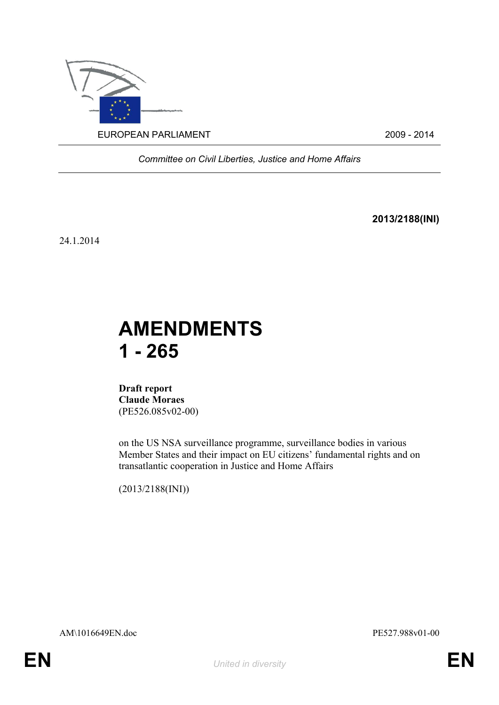

*Committee on Civil Liberties, Justice and Home Affairs*

**2013/2188(INI)**

24.1.2014

# **AMENDMENTS 1 - 265**

**Draft report Claude Moraes** (PE526.085v02-00)

on the US NSA surveillance programme, surveillance bodies in various Member States and their impact on EU citizens' fundamental rights and on transatlantic cooperation in Justice and Home Affairs

(2013/2188(INI))

AM\1016649EN.doc PE527.988v01-00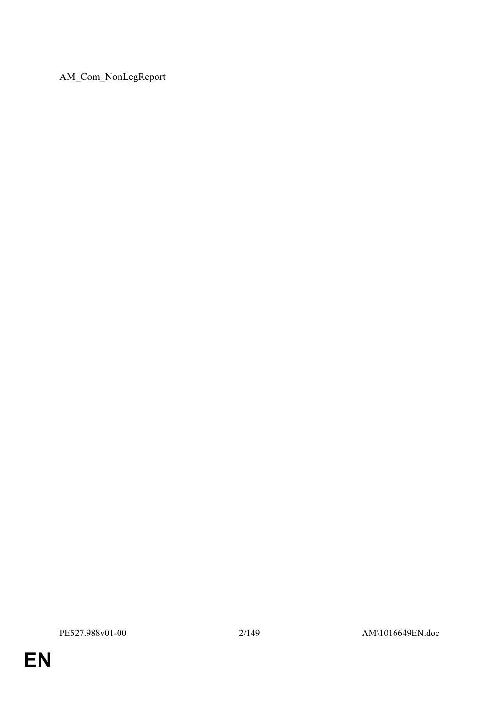AM\_Com\_NonLegReport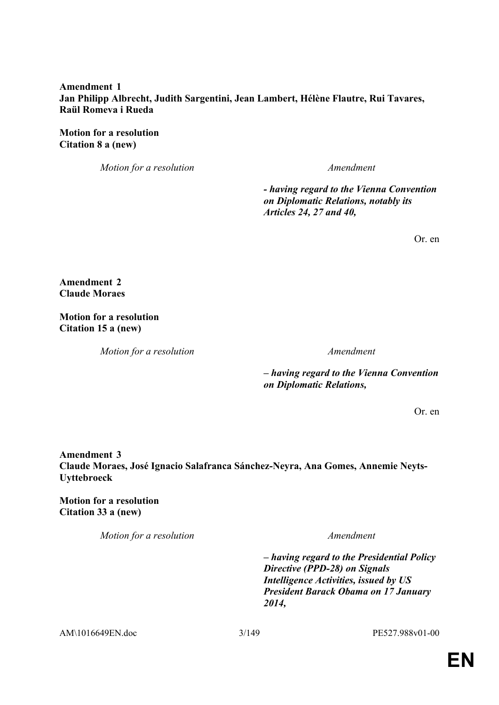### **Amendment 1 Jan Philipp Albrecht, Judith Sargentini, Jean Lambert, Hélène Flautre, Rui Tavares, Raül Romeva i Rueda**

**Motion for a resolution Citation 8 a (new)**

*Motion for a resolution Amendment*

*- having regard to the Vienna Convention on Diplomatic Relations, notably its Articles 24, 27 and 40,*

Or. en

**Amendment 2 Claude Moraes**

**Motion for a resolution Citation 15 a (new)**

*Motion for a resolution Amendment*

*– having regard to the Vienna Convention on Diplomatic Relations,*

Or. en

**Amendment 3 Claude Moraes, José Ignacio Salafranca Sánchez-Neyra, Ana Gomes, Annemie Neyts-Uyttebroeck**

**Motion for a resolution Citation 33 a (new)**

*Motion for a resolution Amendment*

*– having regard to the Presidential Policy Directive (PPD-28) on Signals Intelligence Activities, issued by US President Barack Obama on 17 January 2014,*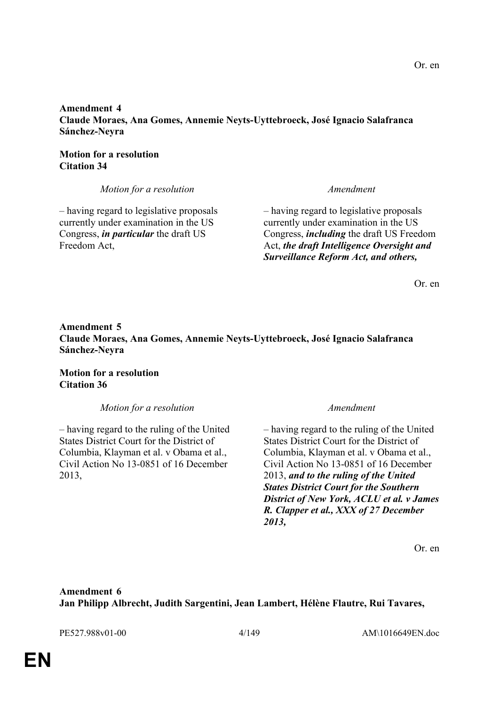# **Amendment 4 Claude Moraes, Ana Gomes, Annemie Neyts-Uyttebroeck, José Ignacio Salafranca Sánchez-Neyra**

# **Motion for a resolution Citation 34**

*Motion for a resolution Amendment*

– having regard to legislative proposals currently under examination in the US Congress, *in particular* the draft US Freedom Act,

– having regard to legislative proposals currently under examination in the US Congress, *including* the draft US Freedom Act, *the draft Intelligence Oversight and Surveillance Reform Act, and others,*

Or. en

# **Amendment 5 Claude Moraes, Ana Gomes, Annemie Neyts-Uyttebroeck, José Ignacio Salafranca Sánchez-Neyra**

**Motion for a resolution Citation 36**

*Motion for a resolution Amendment*

– having regard to the ruling of the United States District Court for the District of Columbia, Klayman et al. v Obama et al., Civil Action No 13-0851 of 16 December 2013,

– having regard to the ruling of the United States District Court for the District of Columbia, Klayman et al. v Obama et al., Civil Action No 13-0851 of 16 December 2013, *and to the ruling of the United States District Court for the Southern District of New York, ACLU et al. v James R. Clapper et al., XXX of 27 December 2013,*

Or. en

# **Amendment 6 Jan Philipp Albrecht, Judith Sargentini, Jean Lambert, Hélène Flautre, Rui Tavares,**

PE527.988v01-00 4/149 AM\1016649EN.doc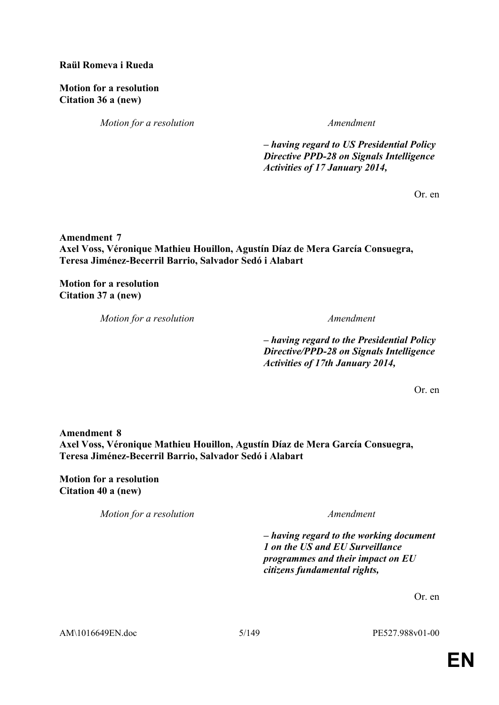### **Raül Romeva i Rueda**

**Motion for a resolution Citation 36 a (new)**

*Motion for a resolution Amendment*

*– having regard to US Presidential Policy Directive PPD-28 on Signals Intelligence Activities of 17 January 2014,*

Or. en

**Amendment 7 Axel Voss, Véronique Mathieu Houillon, Agustín Díaz de Mera García Consuegra, Teresa Jiménez-Becerril Barrio, Salvador Sedó i Alabart**

**Motion for a resolution Citation 37 a (new)**

*Motion for a resolution Amendment*

*– having regard to the Presidential Policy Directive/PPD-28 on Signals Intelligence Activities of 17th January 2014,*

Or. en

**Amendment 8 Axel Voss, Véronique Mathieu Houillon, Agustín Díaz de Mera García Consuegra, Teresa Jiménez-Becerril Barrio, Salvador Sedó i Alabart**

**Motion for a resolution Citation 40 a (new)**

*Motion for a resolution Amendment*

*– having regard to the working document 1 on the US and EU Surveillance programmes and their impact on EU citizens fundamental rights,*

Or. en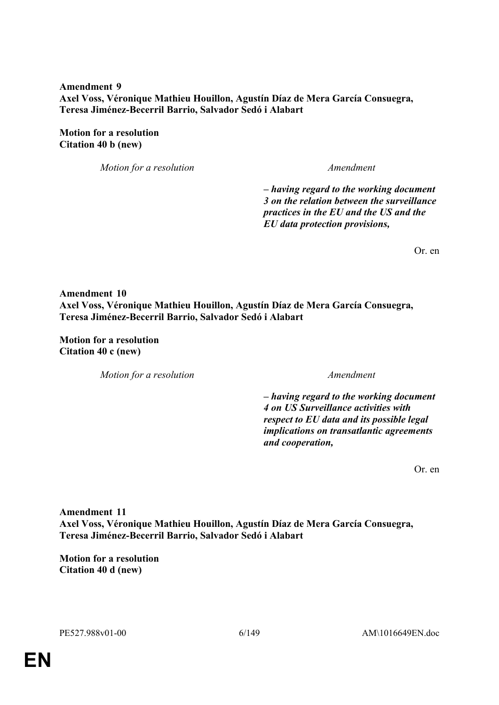**Amendment 9 Axel Voss, Véronique Mathieu Houillon, Agustín Díaz de Mera García Consuegra, Teresa Jiménez-Becerril Barrio, Salvador Sedó i Alabart**

**Motion for a resolution Citation 40 b (new)**

*Motion for a resolution Amendment*

*– having regard to the working document 3 on the relation between the surveillance practices in the EU and the US and the EU data protection provisions,*

Or. en

**Amendment 10 Axel Voss, Véronique Mathieu Houillon, Agustín Díaz de Mera García Consuegra, Teresa Jiménez-Becerril Barrio, Salvador Sedó i Alabart**

**Motion for a resolution Citation 40 c (new)**

*Motion for a resolution Amendment*

*– having regard to the working document 4 on US Surveillance activities with respect to EU data and its possible legal implications on transatlantic agreements and cooperation,*

Or. en

**Amendment 11 Axel Voss, Véronique Mathieu Houillon, Agustín Díaz de Mera García Consuegra, Teresa Jiménez-Becerril Barrio, Salvador Sedó i Alabart**

**Motion for a resolution Citation 40 d (new)**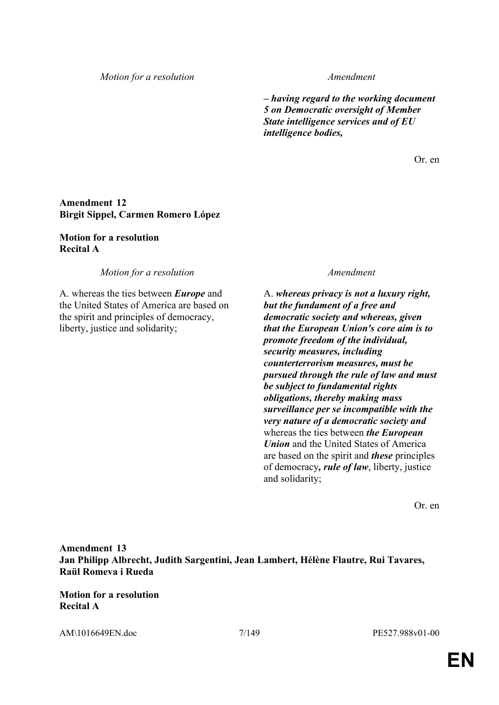*Motion for a resolution Amendment*

*– having regard to the working document 5 on Democratic oversight of Member State intelligence services and of EU intelligence bodies,*

Or. en

# **Amendment 12 Birgit Sippel, Carmen Romero López**

#### **Motion for a resolution Recital A**

*Motion for a resolution Amendment*

A. whereas the ties between *Europe* and the United States of America are based on the spirit and principles of democracy, liberty, justice and solidarity;

A. *whereas privacy is not a luxury right, but the fundament of a free and democratic society and whereas, given that the European Union's core aim is to promote freedom of the individual, security measures, including counterterrorism measures, must be pursued through the rule of law and must be subject to fundamental rights obligations, thereby making mass surveillance per se incompatible with the very nature of a democratic society and* whereas the ties between *the European Union* and the United States of America are based on the spirit and *these* principles of democracy*, rule of law*, liberty, justice and solidarity;

Or. en

**Amendment 13 Jan Philipp Albrecht, Judith Sargentini, Jean Lambert, Hélène Flautre, Rui Tavares, Raül Romeva i Rueda**

**Motion for a resolution Recital A**

AM\1016649EN.doc 7/149 PE527.988v01-00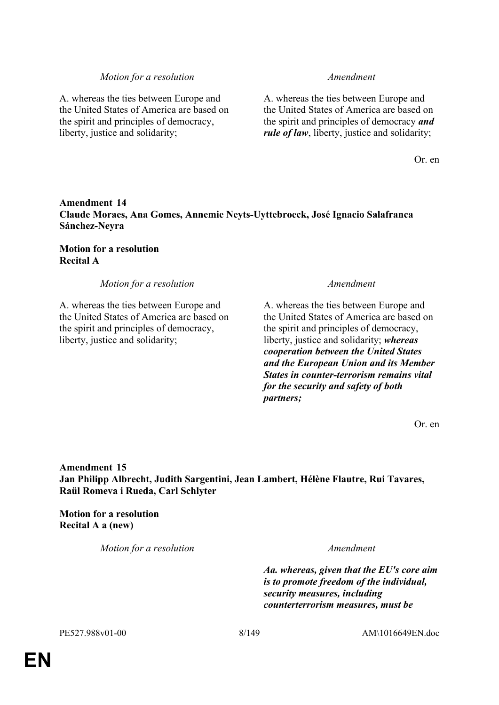#### *Motion for a resolution Amendment*

A. whereas the ties between Europe and the United States of America are based on the spirit and principles of democracy, liberty, justice and solidarity;

A. whereas the ties between Europe and the United States of America are based on the spirit and principles of democracy *and rule of law*, liberty, justice and solidarity;

Or. en

### **Amendment 14 Claude Moraes, Ana Gomes, Annemie Neyts-Uyttebroeck, José Ignacio Salafranca Sánchez-Neyra**

**Motion for a resolution Recital A**

*Motion for a resolution Amendment*

A. whereas the ties between Europe and the United States of America are based on the spirit and principles of democracy, liberty, justice and solidarity;

A. whereas the ties between Europe and the United States of America are based on the spirit and principles of democracy, liberty, justice and solidarity; *whereas cooperation between the United States and the European Union and its Member States in counter-terrorism remains vital for the security and safety of both partners;*

Or. en

**Amendment 15 Jan Philipp Albrecht, Judith Sargentini, Jean Lambert, Hélène Flautre, Rui Tavares, Raül Romeva i Rueda, Carl Schlyter**

**Motion for a resolution Recital A a (new)**

*Motion for a resolution Amendment*

*Aa. whereas, given that the EU's core aim is to promote freedom of the individual, security measures, including counterterrorism measures, must be*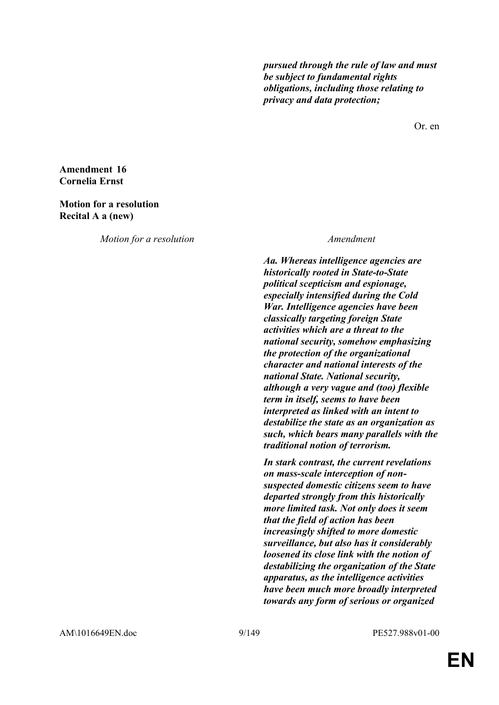*pursued through the rule of law and must be subject to fundamental rights obligations, including those relating to privacy and data protection;*

Or. en

### **Amendment 16 Cornelia Ernst**

#### **Motion for a resolution Recital A a (new)**

*Motion for a resolution Amendment*

*Aa. Whereas intelligence agencies are historically rooted in State-to-State political scepticism and espionage, especially intensified during the Cold War. Intelligence agencies have been classically targeting foreign State activities which are a threat to the national security, somehow emphasizing the protection of the organizational character and national interests of the national State. National security, although a very vague and (too) flexible term in itself, seems to have been interpreted as linked with an intent to destabilize the state as an organization as such, which bears many parallels with the traditional notion of terrorism.*

*In stark contrast, the current revelations on mass-scale interception of nonsuspected domestic citizens seem to have departed strongly from this historically more limited task. Not only does it seem that the field of action has been increasingly shifted to more domestic surveillance, but also has it considerably loosened its close link with the notion of destabilizing the organization of the State apparatus, as the intelligence activities have been much more broadly interpreted towards any form of serious or organized* 

AM\1016649EN.doc 9/149 PE527.988v01-00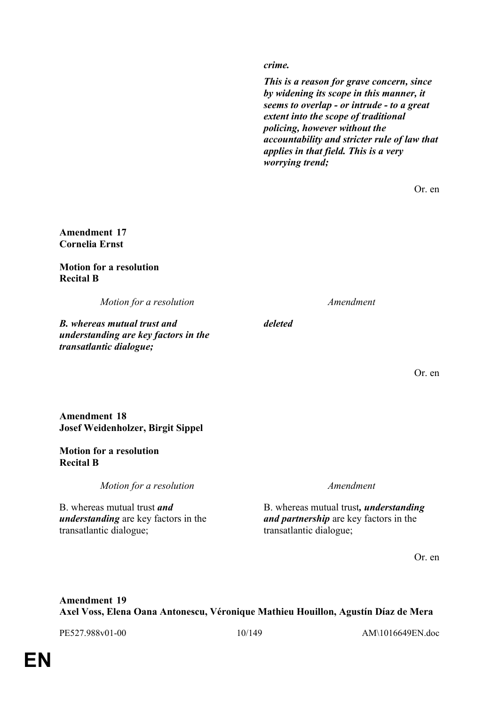*crime.*

*This is a reason for grave concern, since by widening its scope in this manner, it seems to overlap - or intrude - to a great extent into the scope of traditional policing, however without the accountability and stricter rule of law that applies in that field. This is a very worrying trend;*

Or. en

**Amendment 17 Cornelia Ernst**

**Motion for a resolution Recital B**

*Motion for a resolution Amendment*

*B. whereas mutual trust and understanding are key factors in the transatlantic dialogue;*

*deleted*

Or. en

### **Amendment 18 Josef Weidenholzer, Birgit Sippel**

#### **Motion for a resolution Recital B**

*Motion for a resolution Amendment*

B. whereas mutual trust *and understanding* are key factors in the transatlantic dialogue;

B. whereas mutual trust*, understanding and partnership* are key factors in the transatlantic dialogue;

Or. en

# **Amendment 19 Axel Voss, Elena Oana Antonescu, Véronique Mathieu Houillon, Agustín Díaz de Mera**

PE527.988v01-00 10/149 AM\1016649EN.doc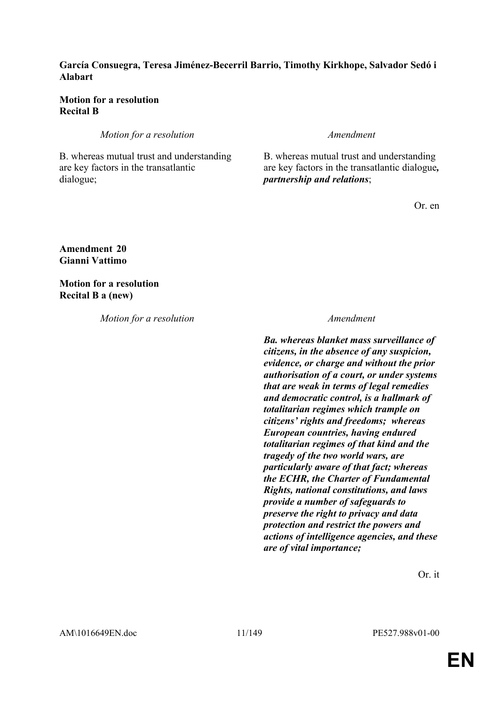### **García Consuegra, Teresa Jiménez-Becerril Barrio, Timothy Kirkhope, Salvador Sedó i Alabart**

### **Motion for a resolution Recital B**

*Motion for a resolution Amendment* 

B. whereas mutual trust and understanding are key factors in the transatlantic dialogue;

B. whereas mutual trust and understanding are key factors in the transatlantic dialogue*, partnership and relations*;

Or. en

**Amendment 20 Gianni Vattimo**

**Motion for a resolution Recital B a (new)**

*Motion for a resolution Amendment*

*Ba. whereas blanket mass surveillance of citizens, in the absence of any suspicion, evidence, or charge and without the prior authorisation of a court, or under systems that are weak in terms of legal remedies and democratic control, is a hallmark of totalitarian regimes which trample on citizens' rights and freedoms; whereas European countries, having endured totalitarian regimes of that kind and the tragedy of the two world wars, are particularly aware of that fact; whereas the ECHR, the Charter of Fundamental Rights, national constitutions, and laws provide a number of safeguards to preserve the right to privacy and data protection and restrict the powers and actions of intelligence agencies, and these are of vital importance;*

Or. it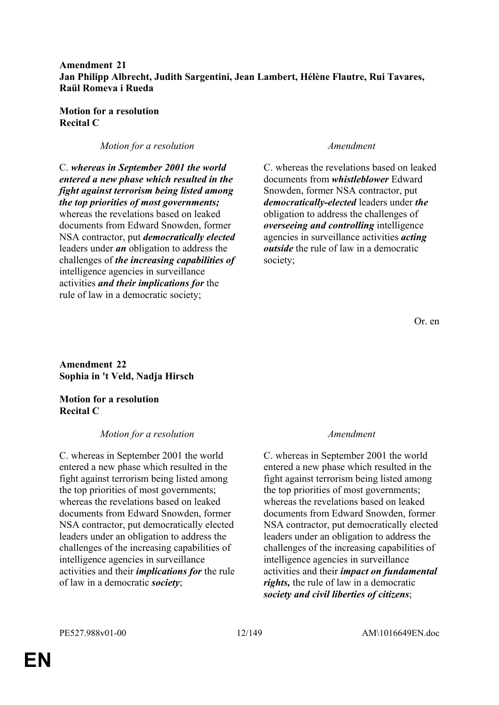### **Amendment 21 Jan Philipp Albrecht, Judith Sargentini, Jean Lambert, Hélène Flautre, Rui Tavares, Raül Romeva i Rueda**

**Motion for a resolution Recital C**

### *Motion for a resolution Amendment*

C. *whereas in September 2001 the world entered a new phase which resulted in the fight against terrorism being listed among the top priorities of most governments;* whereas the revelations based on leaked documents from Edward Snowden, former NSA contractor, put *democratically elected* leaders under *an* obligation to address the challenges of *the increasing capabilities of* intelligence agencies in surveillance activities *and their implications for* the rule of law in a democratic society;

C. whereas the revelations based on leaked documents from *whistleblower* Edward Snowden, former NSA contractor, put *democratically-elected* leaders under *the* obligation to address the challenges of *overseeing and controlling* intelligence agencies in surveillance activities *acting outside* the rule of law in a democratic society;

Or. en

**Amendment 22 Sophia in 't Veld, Nadja Hirsch**

**Motion for a resolution Recital C**

### *Motion for a resolution Amendment*

C. whereas in September 2001 the world entered a new phase which resulted in the fight against terrorism being listed among the top priorities of most governments; whereas the revelations based on leaked documents from Edward Snowden, former NSA contractor, put democratically elected leaders under an obligation to address the challenges of the increasing capabilities of intelligence agencies in surveillance activities and their *implications for* the rule of law in a democratic *society*;

C. whereas in September 2001 the world entered a new phase which resulted in the fight against terrorism being listed among the top priorities of most governments; whereas the revelations based on leaked documents from Edward Snowden, former NSA contractor, put democratically elected leaders under an obligation to address the challenges of the increasing capabilities of intelligence agencies in surveillance activities and their *impact on fundamental rights,* the rule of law in a democratic *society and civil liberties of citizens*;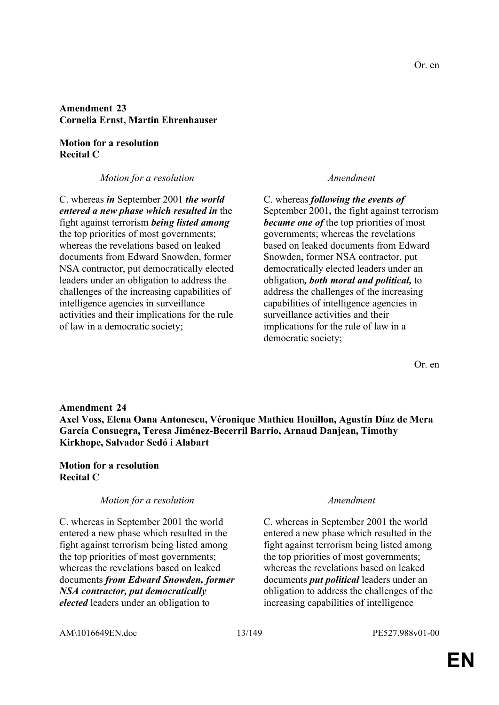# **Amendment 23 Cornelia Ernst, Martin Ehrenhauser**

### **Motion for a resolution Recital C**

*Motion for a resolution Amendment*

C. whereas *in* September 2001 *the world entered a new phase which resulted in* the fight against terrorism *being listed among* the top priorities of most governments; whereas the revelations based on leaked documents from Edward Snowden, former NSA contractor, put democratically elected leaders under an obligation to address the challenges of the increasing capabilities of intelligence agencies in surveillance activities and their implications for the rule of law in a democratic society;

C. whereas *following the events of*  September 2001*,* the fight against terrorism *became one of the top priorities of most* governments; whereas the revelations based on leaked documents from Edward Snowden, former NSA contractor, put democratically elected leaders under an obligation*, both moral and political,* to address the challenges of the increasing capabilities of intelligence agencies in surveillance activities and their implications for the rule of law in a democratic society;

Or. en

#### **Amendment 24**

**Axel Voss, Elena Oana Antonescu, Véronique Mathieu Houillon, Agustín Díaz de Mera García Consuegra, Teresa Jiménez-Becerril Barrio, Arnaud Danjean, Timothy Kirkhope, Salvador Sedó i Alabart**

#### **Motion for a resolution Recital C**

#### *Motion for a resolution Amendment*

C. whereas in September 2001 the world entered a new phase which resulted in the fight against terrorism being listed among the top priorities of most governments; whereas the revelations based on leaked documents *from Edward Snowden, former NSA contractor, put democratically elected* leaders under an obligation to

C. whereas in September 2001 the world entered a new phase which resulted in the fight against terrorism being listed among the top priorities of most governments; whereas the revelations based on leaked documents *put political* leaders under an obligation to address the challenges of the increasing capabilities of intelligence

AM\1016649EN.doc 13/149 PE527.988v01-00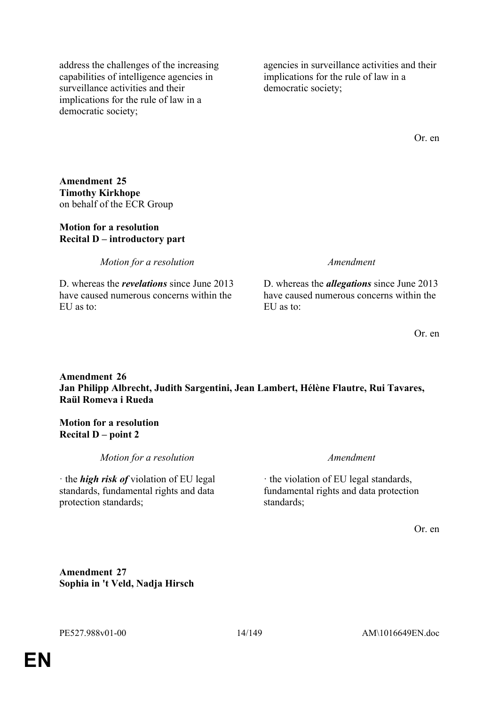address the challenges of the increasing capabilities of intelligence agencies in surveillance activities and their implications for the rule of law in a democratic society;

agencies in surveillance activities and their implications for the rule of law in a democratic society;

Or. en

**Amendment 25 Timothy Kirkhope** on behalf of the ECR Group

### **Motion for a resolution Recital D – introductory part**

*Motion for a resolution Amendment*

D. whereas the *revelations* since June 2013 have caused numerous concerns within the EU as to:

D. whereas the *allegations* since June 2013 have caused numerous concerns within the  $EU$  as to:

Or. en

# **Amendment 26 Jan Philipp Albrecht, Judith Sargentini, Jean Lambert, Hélène Flautre, Rui Tavares, Raül Romeva i Rueda**

#### **Motion for a resolution Recital D – point 2**

*Motion for a resolution Amendment*

· the *high risk of* violation of EU legal standards, fundamental rights and data protection standards;

· the violation of EU legal standards, fundamental rights and data protection standards;

Or. en

**Amendment 27 Sophia in 't Veld, Nadja Hirsch**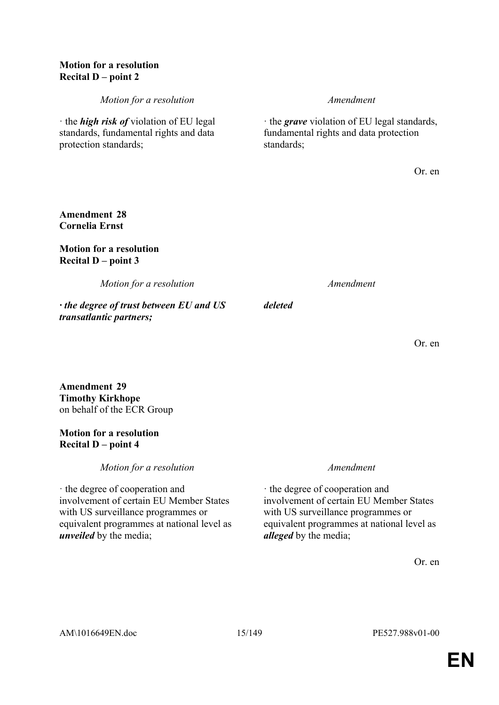### **Motion for a resolution Recital D – point 2**

*Motion for a resolution Amendment*

· the *high risk of* violation of EU legal standards, fundamental rights and data

· the *grave* violation of EU legal standards, fundamental rights and data protection standards;

Or. en

### **Amendment 28 Cornelia Ernst**

protection standards;

### **Motion for a resolution Recital D – point 3**

*Motion for a resolution Amendment*

*· the degree of trust between EU and US transatlantic partners;*

*deleted*

Or. en

### **Amendment 29 Timothy Kirkhope** on behalf of the ECR Group

# **Motion for a resolution Recital D – point 4**

*Motion for a resolution Amendment*

· the degree of cooperation and involvement of certain EU Member States with US surveillance programmes or equivalent programmes at national level as *unveiled* by the media;

· the degree of cooperation and involvement of certain EU Member States with US surveillance programmes or equivalent programmes at national level as *alleged* by the media;

Or. en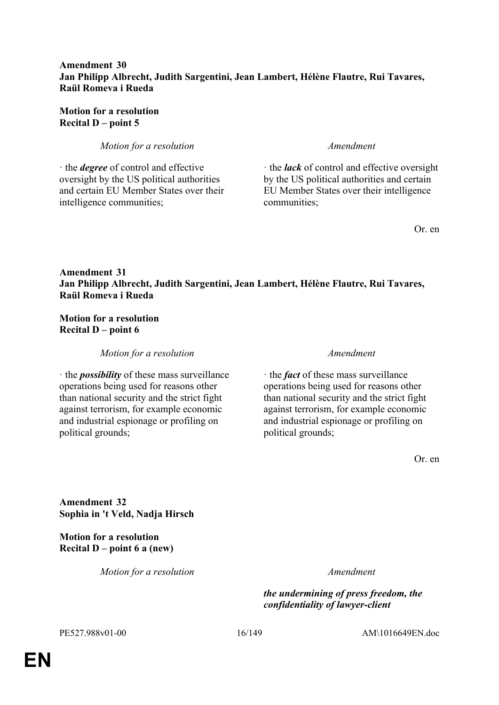### **Amendment 30 Jan Philipp Albrecht, Judith Sargentini, Jean Lambert, Hélène Flautre, Rui Tavares, Raül Romeva i Rueda**

**Motion for a resolution Recital D – point 5**

*Motion for a resolution Amendment*

· the *degree* of control and effective oversight by the US political authorities and certain EU Member States over their intelligence communities;

· the *lack* of control and effective oversight by the US political authorities and certain EU Member States over their intelligence communities;

Or. en

# **Amendment 31 Jan Philipp Albrecht, Judith Sargentini, Jean Lambert, Hélène Flautre, Rui Tavares, Raül Romeva i Rueda**

# **Motion for a resolution Recital D – point 6**

*Motion for a resolution Amendment*

· the *possibility* of these mass surveillance operations being used for reasons other than national security and the strict fight against terrorism, for example economic and industrial espionage or profiling on political grounds;

· the *fact* of these mass surveillance operations being used for reasons other than national security and the strict fight against terrorism, for example economic and industrial espionage or profiling on political grounds;

Or. en

**Amendment 32 Sophia in 't Veld, Nadja Hirsch**

**Motion for a resolution Recital D – point 6 a (new)**

*Motion for a resolution Amendment*

*the undermining of press freedom, the confidentiality of lawyer-client* 

PE527.988v01-00 16/149 AM\1016649EN.doc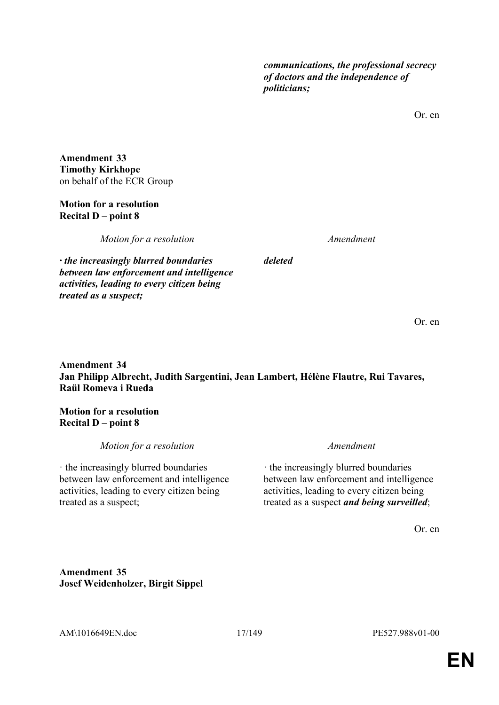*communications, the professional secrecy of doctors and the independence of politicians;*

Or. en

**Amendment 33 Timothy Kirkhope** on behalf of the ECR Group

### **Motion for a resolution Recital D – point 8**

*treated as a suspect;*

*Motion for a resolution Amendment*

*· the increasingly blurred boundaries between law enforcement and intelligence activities, leading to every citizen being* 

*deleted*

Or. en

**Amendment 34 Jan Philipp Albrecht, Judith Sargentini, Jean Lambert, Hélène Flautre, Rui Tavares, Raül Romeva i Rueda**

# **Motion for a resolution Recital D – point 8**

*Motion for a resolution Amendment*

· the increasingly blurred boundaries between law enforcement and intelligence activities, leading to every citizen being treated as a suspect;

· the increasingly blurred boundaries between law enforcement and intelligence activities, leading to every citizen being treated as a suspect *and being surveilled*;

Or. en

**Amendment 35 Josef Weidenholzer, Birgit Sippel**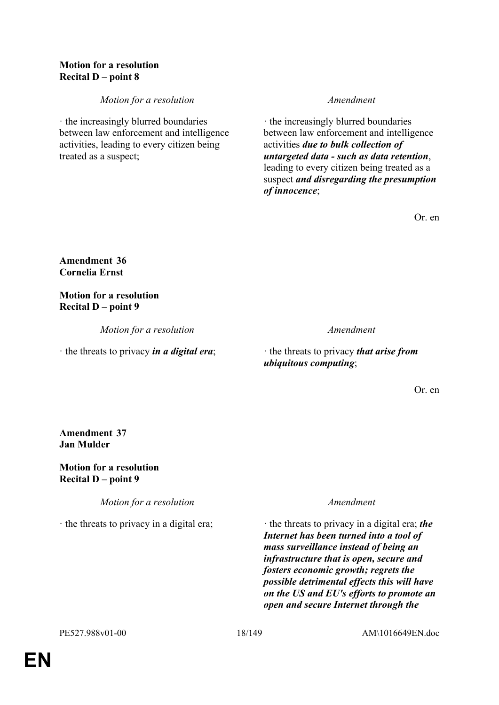## **Motion for a resolution Recital D – point 8**

*Motion for a resolution Amendment*

· the increasingly blurred boundaries between law enforcement and intelligence activities, leading to every citizen being treated as a suspect;

· the increasingly blurred boundaries between law enforcement and intelligence activities *due to bulk collection of untargeted data - such as data retention*, leading to every citizen being treated as a suspect *and disregarding the presumption of innocence*;

Or. en

# **Amendment 36 Cornelia Ernst**

# **Motion for a resolution Recital D – point 9**

*Motion for a resolution Amendment*

· the threats to privacy *in a digital era*; · the threats to privacy *that arise from ubiquitous computing*;

Or. en

# **Amendment 37 Jan Mulder**

**Motion for a resolution Recital D – point 9**

*Motion for a resolution Amendment*

· the threats to privacy in a digital era; *the* **in** the threats to privacy in a digital era; *the Internet has been turned into a tool of mass surveillance instead of being an infrastructure that is open, secure and fosters economic growth; regrets the possible detrimental effects this will have on the US and EU's efforts to promote an open and secure Internet through the*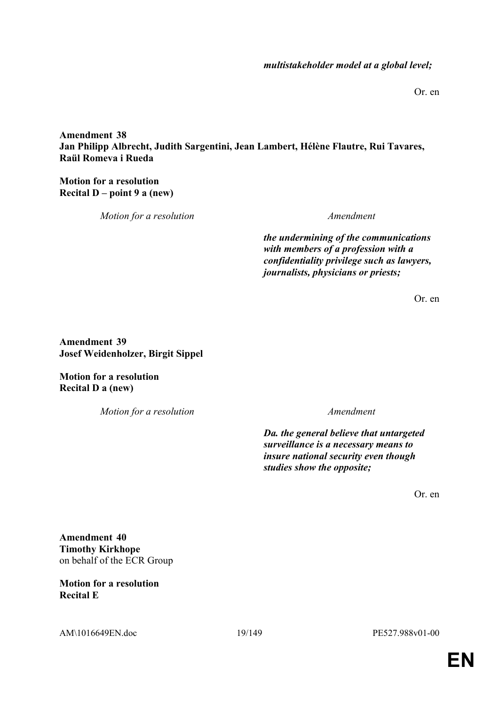Or. en

**Amendment 38 Jan Philipp Albrecht, Judith Sargentini, Jean Lambert, Hélène Flautre, Rui Tavares, Raül Romeva i Rueda**

**Motion for a resolution Recital D – point 9 a (new)**

*Motion for a resolution Amendment*

*the undermining of the communications with members of a profession with a confidentiality privilege such as lawyers, journalists, physicians or priests;*

Or. en

**Amendment 39 Josef Weidenholzer, Birgit Sippel**

**Motion for a resolution Recital D a (new)**

*Motion for a resolution Amendment*

*Da. the general believe that untargeted surveillance is a necessary means to insure national security even though studies show the opposite;*

Or. en

**Amendment 40 Timothy Kirkhope** on behalf of the ECR Group

**Motion for a resolution Recital E**

AM\1016649EN.doc 19/149 PE527.988v01-00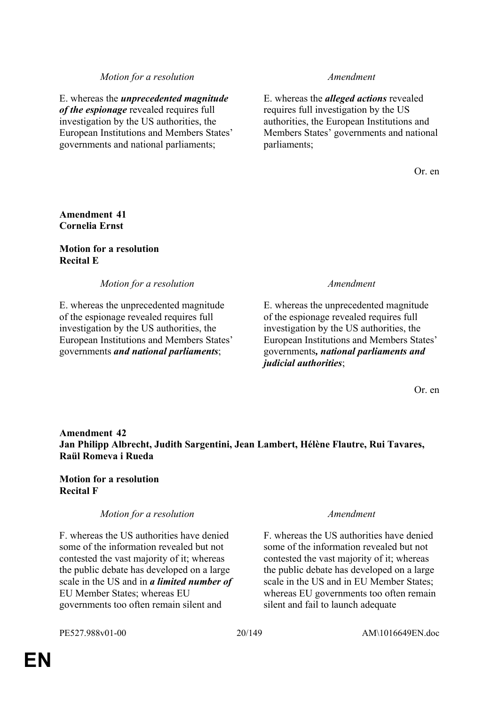### *Motion for a resolution Amendment*

E. whereas the *unprecedented magnitude of the espionage* revealed requires full investigation by the US authorities, the European Institutions and Members States' governments and national parliaments;

E. whereas the *alleged actions* revealed requires full investigation by the US authorities, the European Institutions and Members States' governments and national parliaments;

Or. en

### **Amendment 41 Cornelia Ernst**

### **Motion for a resolution Recital E**

*Motion for a resolution Amendment*

E. whereas the unprecedented magnitude of the espionage revealed requires full investigation by the US authorities, the European Institutions and Members States' governments *and national parliaments*;

E. whereas the unprecedented magnitude of the espionage revealed requires full investigation by the US authorities, the European Institutions and Members States' governments*, national parliaments and judicial authorities*;

Or. en

# **Amendment 42 Jan Philipp Albrecht, Judith Sargentini, Jean Lambert, Hélène Flautre, Rui Tavares, Raül Romeva i Rueda**

### **Motion for a resolution Recital F**

# *Motion for a resolution Amendment*

F. whereas the US authorities have denied some of the information revealed but not contested the vast majority of it; whereas the public debate has developed on a large scale in the US and in *a limited number of* EU Member States; whereas EU governments too often remain silent and

F. whereas the US authorities have denied some of the information revealed but not contested the vast majority of it; whereas the public debate has developed on a large scale in the US and in EU Member States; whereas EU governments too often remain silent and fail to launch adequate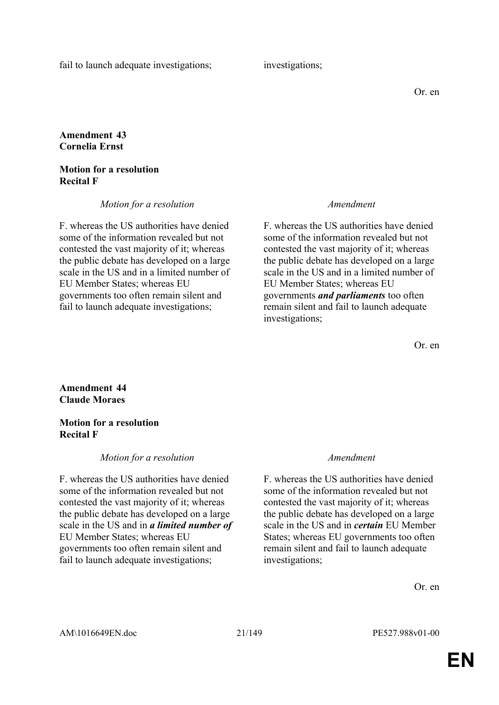fail to launch adequate investigations; investigations;

# **Amendment 43 Cornelia Ernst**

### **Motion for a resolution Recital F**

*Motion for a resolution Amendment*

F. whereas the US authorities have denied some of the information revealed but not contested the vast majority of it; whereas the public debate has developed on a large scale in the US and in a limited number of EU Member States; whereas EU governments too often remain silent and fail to launch adequate investigations;

F. whereas the US authorities have denied some of the information revealed but not contested the vast majority of it; whereas the public debate has developed on a large scale in the US and in a limited number of EU Member States; whereas EU governments *and parliaments* too often remain silent and fail to launch adequate investigations;

Or. en

### **Amendment 44 Claude Moraes**

### **Motion for a resolution Recital F**

# *Motion for a resolution Amendment*

F. whereas the US authorities have denied some of the information revealed but not contested the vast majority of it; whereas the public debate has developed on a large scale in the US and in *a limited number of* EU Member States; whereas EU governments too often remain silent and fail to launch adequate investigations;

F. whereas the US authorities have denied some of the information revealed but not contested the vast majority of it; whereas the public debate has developed on a large scale in the US and in *certain* EU Member States; whereas EU governments too often remain silent and fail to launch adequate investigations;

Or. en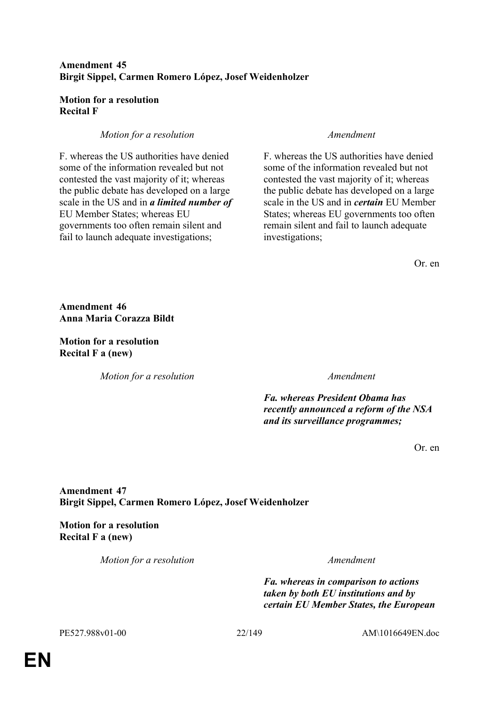# **Amendment 45 Birgit Sippel, Carmen Romero López, Josef Weidenholzer**

### **Motion for a resolution Recital F**

# *Motion for a resolution Amendment*

F. whereas the US authorities have denied some of the information revealed but not contested the vast majority of it; whereas the public debate has developed on a large scale in the US and in *a limited number of* EU Member States; whereas EU governments too often remain silent and fail to launch adequate investigations;

F. whereas the US authorities have denied some of the information revealed but not contested the vast majority of it; whereas the public debate has developed on a large scale in the US and in *certain* EU Member States; whereas EU governments too often remain silent and fail to launch adequate investigations;

Or. en

**Amendment 46 Anna Maria Corazza Bildt**

**Motion for a resolution Recital F a (new)**

*Motion for a resolution Amendment*

*Fa. whereas President Obama has recently announced a reform of the NSA and its surveillance programmes;*

Or. en

# **Amendment 47 Birgit Sippel, Carmen Romero López, Josef Weidenholzer**

**Motion for a resolution Recital F a (new)**

*Motion for a resolution Amendment*

*Fa. whereas in comparison to actions taken by both EU institutions and by certain EU Member States, the European* 

PE527.988v01-00 22/149 AM\1016649EN.doc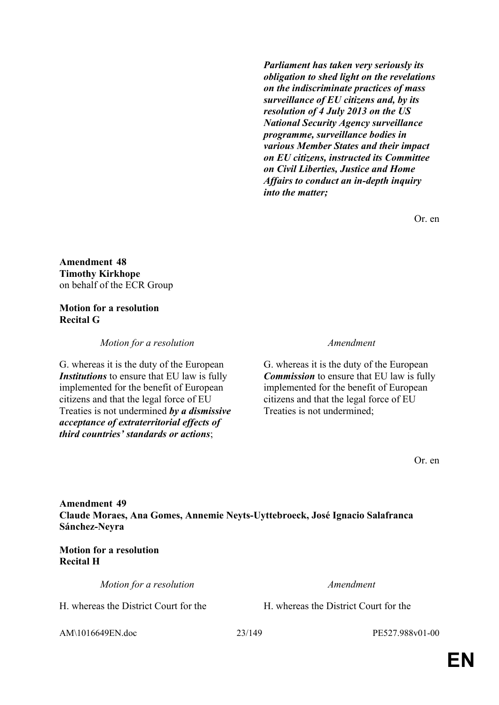*Parliament has taken very seriously its obligation to shed light on the revelations on the indiscriminate practices of mass surveillance of EU citizens and, by its resolution of 4 July 2013 on the US National Security Agency surveillance programme, surveillance bodies in various Member States and their impact on EU citizens, instructed its Committee on Civil Liberties, Justice and Home Affairs to conduct an in-depth inquiry into the matter;*

Or. en

**Amendment 48 Timothy Kirkhope** on behalf of the ECR Group

### **Motion for a resolution Recital G**

*Motion for a resolution Amendment*

G. whereas it is the duty of the European *Institutions* to ensure that EU law is fully implemented for the benefit of European citizens and that the legal force of EU Treaties is not undermined *by a dismissive acceptance of extraterritorial effects of third countries' standards or actions*;

G. whereas it is the duty of the European *Commission* to ensure that EU law is fully implemented for the benefit of European citizens and that the legal force of EU Treaties is not undermined;

Or. en

**Amendment 49 Claude Moraes, Ana Gomes, Annemie Neyts-Uyttebroeck, José Ignacio Salafranca Sánchez-Neyra**

**Motion for a resolution Recital H**

*Motion for a resolution Amendment*

H. whereas the District Court for the H. whereas the District Court for the

AM\1016649EN.doc 23/149 PE527.988v01-00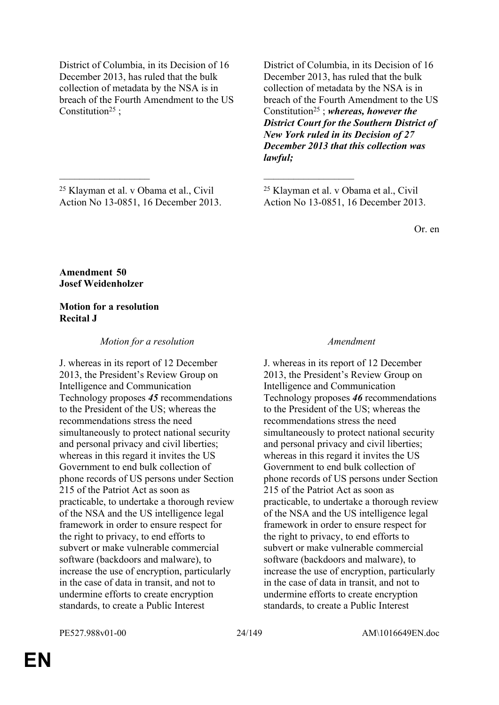District of Columbia, in its Decision of 16 December 2013, has ruled that the bulk collection of metadata by the NSA is in breach of the Fourth Amendment to the US Constitution<sup>25</sup>:

<sup>25</sup> Klayman et al. v Obama et al., Civil Action No 13-0851, 16 December 2013.

 $\mathcal{L}_\mathcal{L}$  , and the contribution of the contribution of the contribution of the contribution of the contribution of the contribution of the contribution of the contribution of the contribution of the contribution of

District of Columbia, in its Decision of 16 December 2013, has ruled that the bulk collection of metadata by the NSA is in breach of the Fourth Amendment to the US Constitution<sup>25</sup> ; *whereas, however the District Court for the Southern District of New York ruled in its Decision of 27 December 2013 that this collection was lawful;*

<sup>25</sup> Klayman et al. v Obama et al., Civil Action No 13-0851, 16 December 2013.

Or. en

**Amendment 50 Josef Weidenholzer**

### **Motion for a resolution Recital J**

#### *Motion for a resolution Amendment*

J. whereas in its report of 12 December 2013, the President's Review Group on Intelligence and Communication Technology proposes *45* recommendations to the President of the US; whereas the recommendations stress the need simultaneously to protect national security and personal privacy and civil liberties; whereas in this regard it invites the US Government to end bulk collection of phone records of US persons under Section 215 of the Patriot Act as soon as practicable, to undertake a thorough review of the NSA and the US intelligence legal framework in order to ensure respect for the right to privacy, to end efforts to subvert or make vulnerable commercial software (backdoors and malware), to increase the use of encryption, particularly in the case of data in transit, and not to undermine efforts to create encryption standards, to create a Public Interest

J. whereas in its report of 12 December 2013, the President's Review Group on Intelligence and Communication Technology proposes *46* recommendations to the President of the US; whereas the recommendations stress the need simultaneously to protect national security and personal privacy and civil liberties; whereas in this regard it invites the US Government to end bulk collection of phone records of US persons under Section 215 of the Patriot Act as soon as practicable, to undertake a thorough review of the NSA and the US intelligence legal framework in order to ensure respect for the right to privacy, to end efforts to subvert or make vulnerable commercial software (backdoors and malware), to increase the use of encryption, particularly in the case of data in transit, and not to undermine efforts to create encryption standards, to create a Public Interest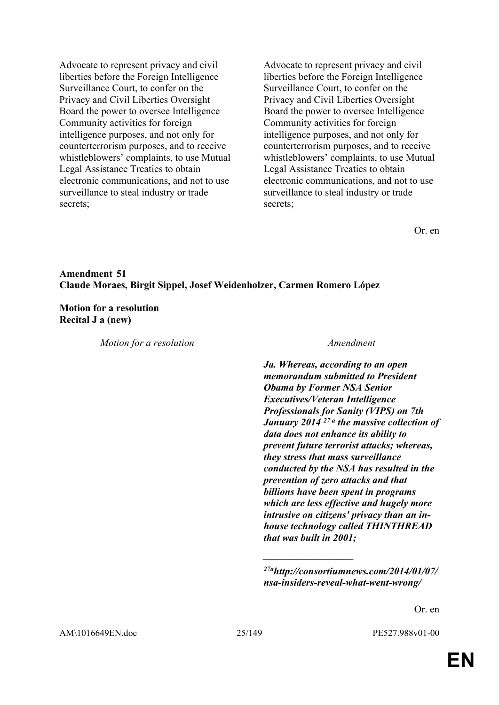Advocate to represent privacy and civil liberties before the Foreign Intelligence Surveillance Court, to confer on the Privacy and Civil Liberties Oversight Board the power to oversee Intelligence Community activities for foreign intelligence purposes, and not only for counterterrorism purposes, and to receive whistleblowers' complaints, to use Mutual Legal Assistance Treaties to obtain electronic communications, and not to use surveillance to steal industry or trade secrets;

Advocate to represent privacy and civil liberties before the Foreign Intelligence Surveillance Court, to confer on the Privacy and Civil Liberties Oversight Board the power to oversee Intelligence Community activities for foreign intelligence purposes, and not only for counterterrorism purposes, and to receive whistleblowers' complaints, to use Mutual Legal Assistance Treaties to obtain electronic communications, and not to use surveillance to steal industry or trade secrets;

Or. en

### **Amendment 51 Claude Moraes, Birgit Sippel, Josef Weidenholzer, Carmen Romero López**

#### **Motion for a resolution Recital J a (new)**

*Motion for a resolution Amendment*

*Ja. Whereas, according to an open memorandum submitted to President Obama by Former NSA Senior Executives/Veteran Intelligence Professionals for Sanity (VIPS) on 7th January 2014 27 a the massive collection of data does not enhance its ability to prevent future terrorist attacks; whereas, they stress that mass surveillance conducted by the NSA has resulted in the prevention of zero attacks and that billions have been spent in programs which are less effective and hugely more intrusive on citizens' privacy than an inhouse technology called THINTHREAD that was built in 2001;*

*\_\_\_\_\_\_\_\_\_\_\_\_\_\_\_\_\_\_*

Or. en

*<sup>27</sup>ahttp://consortiumnews.com/2014/01/07/ nsa-insiders-reveal-what-went-wrong/*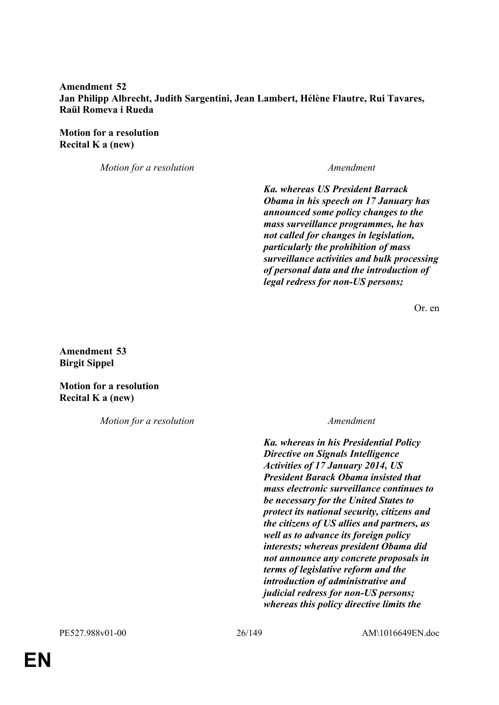### **Amendment 52 Jan Philipp Albrecht, Judith Sargentini, Jean Lambert, Hélène Flautre, Rui Tavares, Raül Romeva i Rueda**

**Motion for a resolution Recital K a (new)**

*Motion for a resolution Amendment*

*Ka. whereas US President Barrack Obama in his speech on 17 January has announced some policy changes to the mass surveillance programmes, he has not called for changes in legislation, particularly the prohibition of mass surveillance activities and bulk processing of personal data and the introduction of legal redress for non-US persons;*

Or. en

**Amendment 53 Birgit Sippel**

**Motion for a resolution Recital K a (new)**

*Motion for a resolution Amendment*

*Ka. whereas in his Presidential Policy Directive on Signals Intelligence Activities of 17 January 2014, US President Barack Obama insisted that mass electronic surveillance continues to be necessary for the United States to protect its national security, citizens and the citizens of US allies and partners, as well as to advance its foreign policy interests; whereas president Obama did not announce any concrete proposals in terms of legislative reform and the introduction of administrative and judicial redress for non-US persons; whereas this policy directive limits the*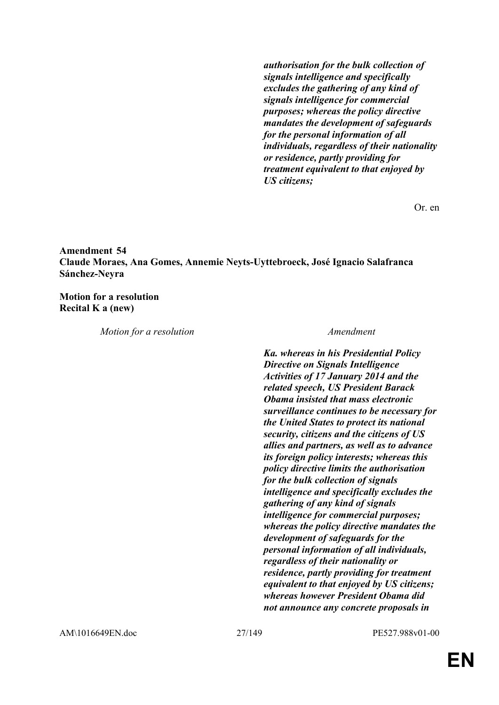*authorisation for the bulk collection of signals intelligence and specifically excludes the gathering of any kind of signals intelligence for commercial purposes; whereas the policy directive mandates the development of safeguards for the personal information of all individuals, regardless of their nationality or residence, partly providing for treatment equivalent to that enjoyed by US citizens;*

Or. en

**Amendment 54 Claude Moraes, Ana Gomes, Annemie Neyts-Uyttebroeck, José Ignacio Salafranca Sánchez-Neyra**

**Motion for a resolution Recital K a (new)**

*Motion for a resolution Amendment*

*Ka. whereas in his Presidential Policy Directive on Signals Intelligence Activities of 17 January 2014 and the related speech, US President Barack Obama insisted that mass electronic surveillance continues to be necessary for the United States to protect its national security, citizens and the citizens of US allies and partners, as well as to advance its foreign policy interests; whereas this policy directive limits the authorisation for the bulk collection of signals intelligence and specifically excludes the gathering of any kind of signals intelligence for commercial purposes; whereas the policy directive mandates the development of safeguards for the personal information of all individuals, regardless of their nationality or residence, partly providing for treatment equivalent to that enjoyed by US citizens; whereas however President Obama did not announce any concrete proposals in* 

AM\1016649EN.doc 27/149 PE527.988v01-00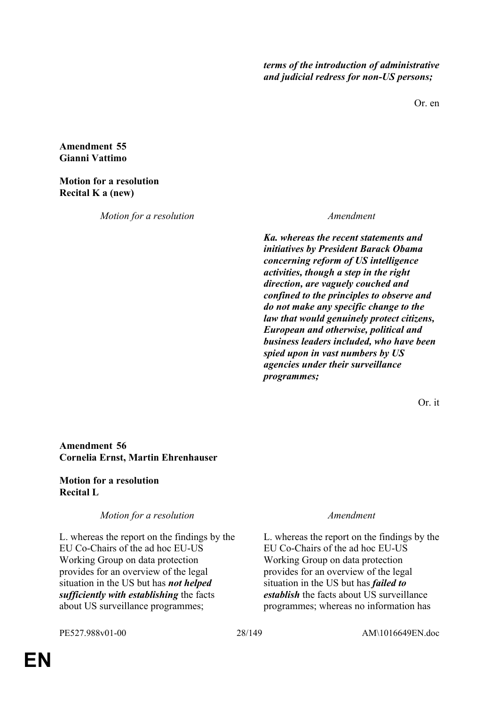*terms of the introduction of administrative and judicial redress for non-US persons;*

Or. en

**Amendment 55 Gianni Vattimo**

### **Motion for a resolution Recital K a (new)**

*Motion for a resolution Amendment*

*Ka. whereas the recent statements and initiatives by President Barack Obama concerning reform of US intelligence activities, though a step in the right direction, are vaguely couched and confined to the principles to observe and do not make any specific change to the law that would genuinely protect citizens, European and otherwise, political and business leaders included, who have been spied upon in vast numbers by US agencies under their surveillance programmes;* 

Or. it

# **Amendment 56 Cornelia Ernst, Martin Ehrenhauser**

### **Motion for a resolution Recital L**

# *Motion for a resolution Amendment*

L. whereas the report on the findings by the EU Co-Chairs of the ad hoc EU-US Working Group on data protection provides for an overview of the legal situation in the US but has *not helped sufficiently with establishing* the facts about US surveillance programmes;

L. whereas the report on the findings by the EU Co-Chairs of the ad hoc EU-US Working Group on data protection provides for an overview of the legal situation in the US but has *failed to establish* the facts about US surveillance programmes; whereas no information has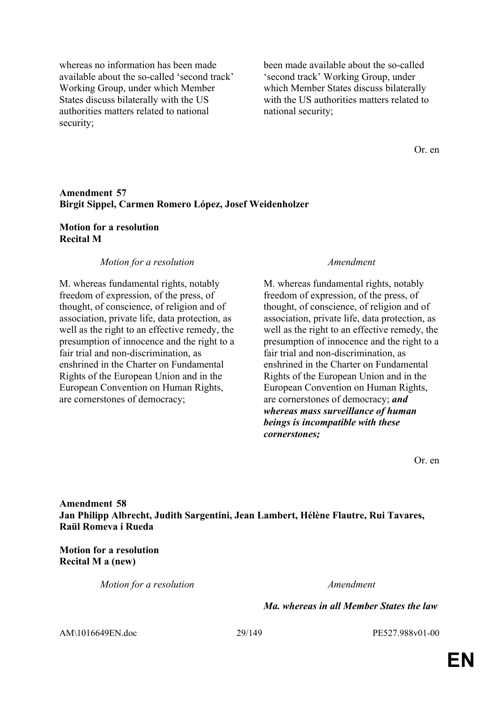whereas no information has been made available about the so-called 'second track' Working Group, under which Member States discuss bilaterally with the US authorities matters related to national security;

been made available about the so-called 'second track' Working Group, under which Member States discuss bilaterally with the US authorities matters related to national security;

Or. en

#### **Amendment 57 Birgit Sippel, Carmen Romero López, Josef Weidenholzer**

#### **Motion for a resolution Recital M**

#### *Motion for a resolution Amendment*

M. whereas fundamental rights, notably freedom of expression, of the press, of thought, of conscience, of religion and of association, private life, data protection, as well as the right to an effective remedy, the presumption of innocence and the right to a fair trial and non-discrimination, as enshrined in the Charter on Fundamental Rights of the European Union and in the European Convention on Human Rights, are cornerstones of democracy;

M. whereas fundamental rights, notably freedom of expression, of the press, of thought, of conscience, of religion and of association, private life, data protection, as well as the right to an effective remedy, the presumption of innocence and the right to a fair trial and non-discrimination, as enshrined in the Charter on Fundamental Rights of the European Union and in the European Convention on Human Rights, are cornerstones of democracy; *and whereas mass surveillance of human beings is incompatible with these cornerstones;* 

Or. en

**Amendment 58 Jan Philipp Albrecht, Judith Sargentini, Jean Lambert, Hélène Flautre, Rui Tavares, Raül Romeva i Rueda**

**Motion for a resolution Recital M a (new)**

*Motion for a resolution Amendment*

*Ma. whereas in all Member States the law* 

AM\1016649EN.doc 29/149 PE527.988v01-00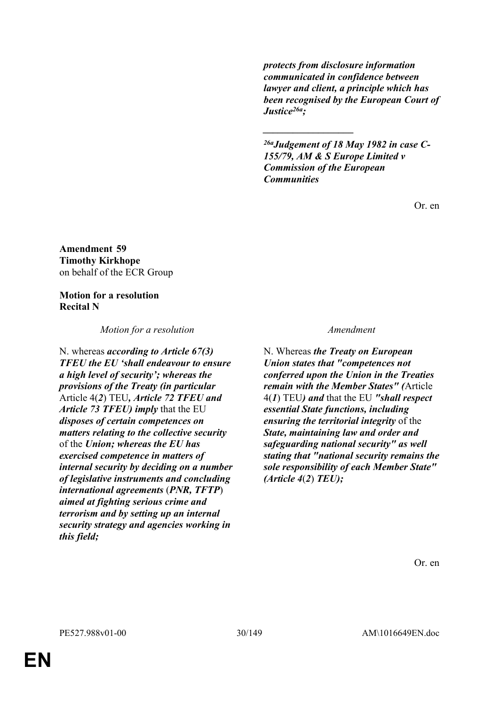*protects from disclosure information communicated in confidence between lawyer and client, a principle which has been recognised by the European Court of Justice26a;*

*26aJudgement of 18 May 1982 in case C-155/79, AM & S Europe Limited v Commission of the European Communities*

*\_\_\_\_\_\_\_\_\_\_\_\_\_\_\_\_\_\_*

Or. en

**Amendment 59 Timothy Kirkhope** on behalf of the ECR Group

# **Motion for a resolution Recital N**

*Motion for a resolution Amendment*

N. whereas *according to Article 67(3) TFEU the EU 'shall endeavour to ensure a high level of security'; whereas the provisions of the Treaty (in particular* Article 4(*2*) TEU*, Article 72 TFEU and Article 73 TFEU) imply* that the EU *disposes of certain competences on matters relating to the collective security* of the *Union; whereas the EU has exercised competence in matters of internal security by deciding on a number of legislative instruments and concluding international agreements* (*PNR, TFTP*) *aimed at fighting serious crime and terrorism and by setting up an internal security strategy and agencies working in this field;*

N. Whereas *the Treaty on European Union states that "competences not conferred upon the Union in the Treaties remain with the Member States" (*Article 4(*1*) TEU*) and* that the EU *"shall respect essential State functions, including ensuring the territorial integrity* of the *State, maintaining law and order and safeguarding national security" as well stating that "national security remains the sole responsibility of each Member State" (Article 4*(*2*) *TEU);*

Or. en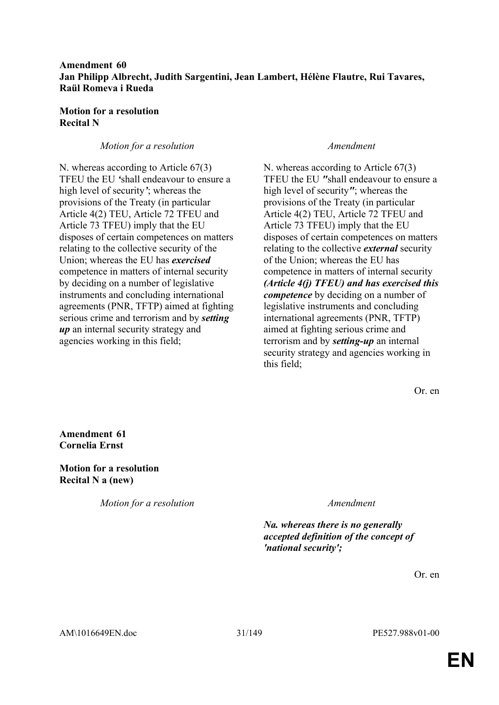### **Amendment 60 Jan Philipp Albrecht, Judith Sargentini, Jean Lambert, Hélène Flautre, Rui Tavares, Raül Romeva i Rueda**

### **Motion for a resolution Recital N**

# *Motion for a resolution Amendment*

N. whereas according to Article 67(3) TFEU the EU *'*shall endeavour to ensure a high level of security*'*; whereas the provisions of the Treaty (in particular Article 4(2) TEU, Article 72 TFEU and Article 73 TFEU) imply that the EU disposes of certain competences on matters relating to the collective security of the Union; whereas the EU has *exercised* competence in matters of internal security by deciding on a number of legislative instruments and concluding international agreements (PNR, TFTP) aimed at fighting serious crime and terrorism and by *setting up* an internal security strategy and agencies working in this field;

N. whereas according to Article 67(3) TFEU the EU *"*shall endeavour to ensure a high level of security*"*; whereas the provisions of the Treaty (in particular Article 4(2) TEU, Article 72 TFEU and Article 73 TFEU) imply that the EU disposes of certain competences on matters relating to the collective *external* security of the Union; whereas the EU has competence in matters of internal security *(Article 4(j) TFEU) and has exercised this competence* by deciding on a number of legislative instruments and concluding international agreements (PNR, TFTP) aimed at fighting serious crime and terrorism and by *setting-up* an internal security strategy and agencies working in this field;

Or. en

**Amendment 61 Cornelia Ernst**

**Motion for a resolution Recital N a (new)**

*Motion for a resolution Amendment*

*Na. whereas there is no generally accepted definition of the concept of 'national security';*

Or. en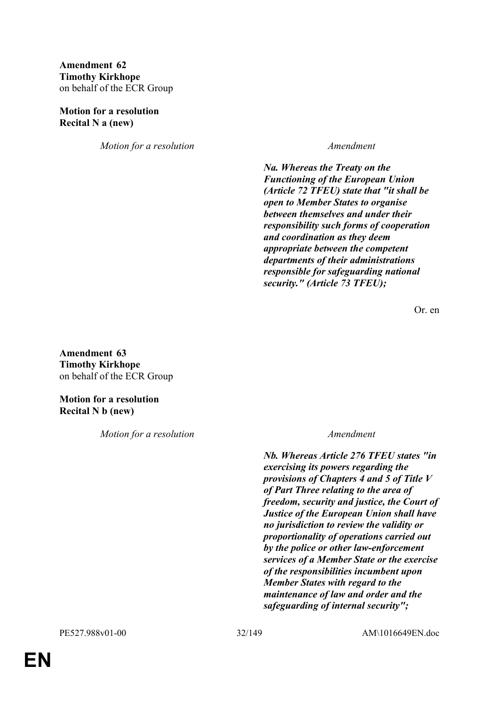# **Amendment 62 Timothy Kirkhope** on behalf of the ECR Group

#### **Motion for a resolution Recital N a (new)**

*Motion for a resolution Amendment*

*Na. Whereas the Treaty on the Functioning of the European Union (Article 72 TFEU) state that "it shall be open to Member States to organise between themselves and under their responsibility such forms of cooperation and coordination as they deem appropriate between the competent departments of their administrations responsible for safeguarding national security." (Article 73 TFEU);*

Or. en

**Amendment 63 Timothy Kirkhope** on behalf of the ECR Group

**Motion for a resolution Recital N b (new)**

*Motion for a resolution Amendment*

*Nb. Whereas Article 276 TFEU states "in exercising its powers regarding the provisions of Chapters 4 and 5 of Title V of Part Three relating to the area of freedom, security and justice, the Court of Justice of the European Union shall have no jurisdiction to review the validity or proportionality of operations carried out by the police or other law-enforcement services of a Member State or the exercise of the responsibilities incumbent upon Member States with regard to the maintenance of law and order and the safeguarding of internal security";*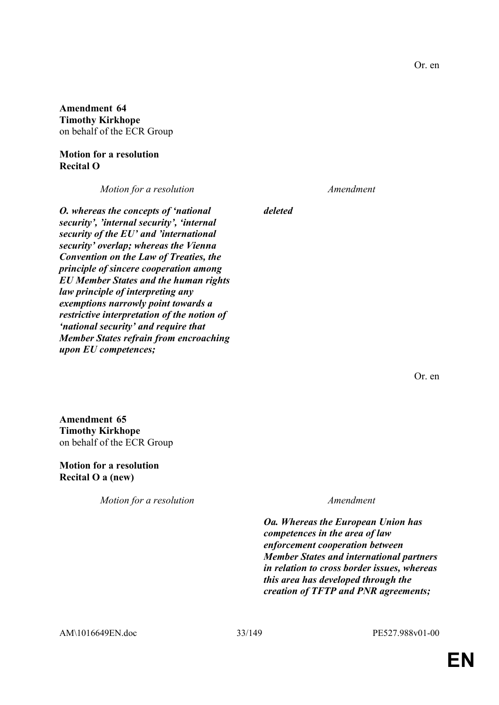**Amendment 64 Timothy Kirkhope** on behalf of the ECR Group

### **Motion for a resolution Recital O**

*Motion for a resolution Amendment*

*O. whereas the concepts of 'national security', 'internal security', 'internal security of the EU' and 'international security' overlap; whereas the Vienna Convention on the Law of Treaties, the principle of sincere cooperation among EU Member States and the human rights law principle of interpreting any exemptions narrowly point towards a restrictive interpretation of the notion of 'national security' and require that Member States refrain from encroaching upon EU competences;*

*deleted*

Or. en

**Amendment 65 Timothy Kirkhope** on behalf of the ECR Group

**Motion for a resolution Recital O a (new)**

*Motion for a resolution Amendment*

*Oa. Whereas the European Union has competences in the area of law enforcement cooperation between Member States and international partners in relation to cross border issues, whereas this area has developed through the creation of TFTP and PNR agreements;*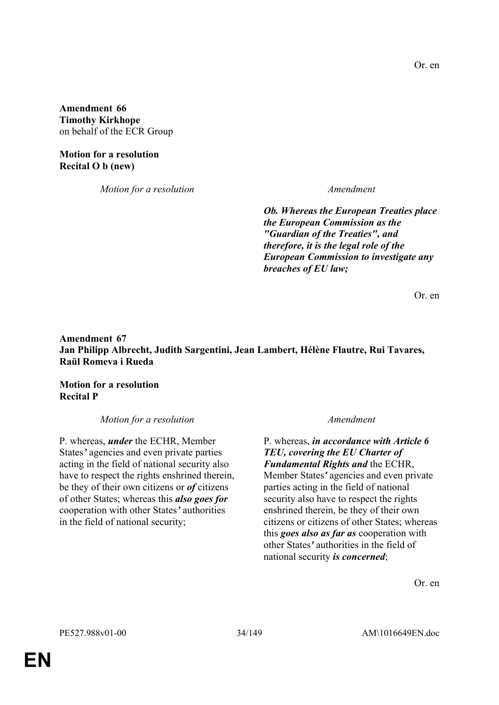**Amendment 66 Timothy Kirkhope** on behalf of the ECR Group

**Motion for a resolution Recital O b (new)**

*Motion for a resolution Amendment*

*Ob. Whereas the European Treaties place the European Commission as the "Guardian of the Treaties", and therefore, it is the legal role of the European Commission to investigate any breaches of EU law;*

Or. en

# **Amendment 67 Jan Philipp Albrecht, Judith Sargentini, Jean Lambert, Hélène Flautre, Rui Tavares, Raül Romeva i Rueda**

**Motion for a resolution Recital P**

*Motion for a resolution Amendment*

P. whereas, *under* the ECHR, Member States*'* agencies and even private parties acting in the field of national security also have to respect the rights enshrined therein, be they of their own citizens or *of* citizens of other States; whereas this *also goes for* cooperation with other States*'* authorities in the field of national security;

P. whereas, *in accordance with Article 6 TEU, covering the EU Charter of Fundamental Rights and* the ECHR, Member States*'* agencies and even private parties acting in the field of national security also have to respect the rights enshrined therein, be they of their own citizens or citizens of other States; whereas this *goes also as far as* cooperation with other States*'* authorities in the field of national security *is concerned*;

Or. en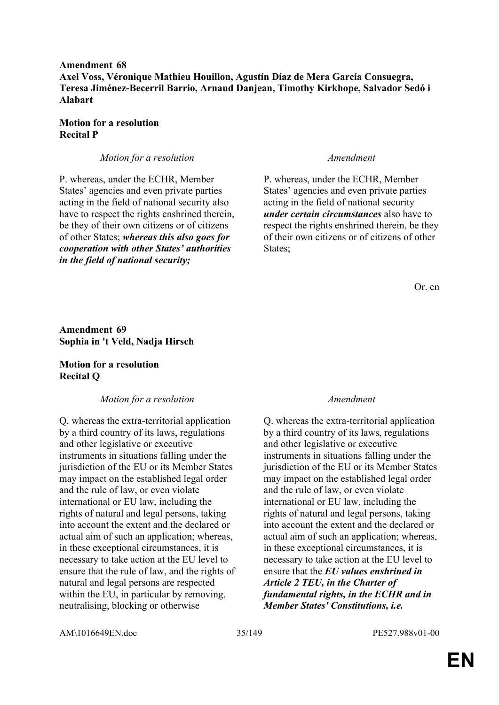**Amendment 68 Axel Voss, Véronique Mathieu Houillon, Agustín Díaz de Mera García Consuegra, Teresa Jiménez-Becerril Barrio, Arnaud Danjean, Timothy Kirkhope, Salvador Sedó i Alabart**

#### **Motion for a resolution Recital P**

#### *Motion for a resolution Amendment*

P. whereas, under the ECHR, Member States' agencies and even private parties acting in the field of national security also have to respect the rights enshrined therein, be they of their own citizens or of citizens of other States; *whereas this also goes for cooperation with other States' authorities in the field of national security;*

P. whereas, under the ECHR, Member States' agencies and even private parties acting in the field of national security *under certain circumstances* also have to respect the rights enshrined therein, be they of their own citizens or of citizens of other States:

Or. en

**Amendment 69 Sophia in 't Veld, Nadja Hirsch**

### **Motion for a resolution Recital Q**

#### *Motion for a resolution Amendment*

Q. whereas the extra-territorial application by a third country of its laws, regulations and other legislative or executive instruments in situations falling under the jurisdiction of the EU or its Member States may impact on the established legal order and the rule of law, or even violate international or EU law, including the rights of natural and legal persons, taking into account the extent and the declared or actual aim of such an application; whereas, in these exceptional circumstances, it is necessary to take action at the EU level to ensure that the rule of law, and the rights of natural and legal persons are respected within the EU, in particular by removing, neutralising, blocking or otherwise

Q. whereas the extra-territorial application by a third country of its laws, regulations and other legislative or executive instruments in situations falling under the jurisdiction of the EU or its Member States may impact on the established legal order and the rule of law, or even violate international or EU law, including the rights of natural and legal persons, taking into account the extent and the declared or actual aim of such an application; whereas, in these exceptional circumstances, it is necessary to take action at the EU level to ensure that the *EU values enshrined in Article 2 TEU, in the Charter of fundamental rights, in the ECHR and in Member States' Constitutions, i.e.* 

AM\1016649EN.doc 35/149 PE527.988v01-00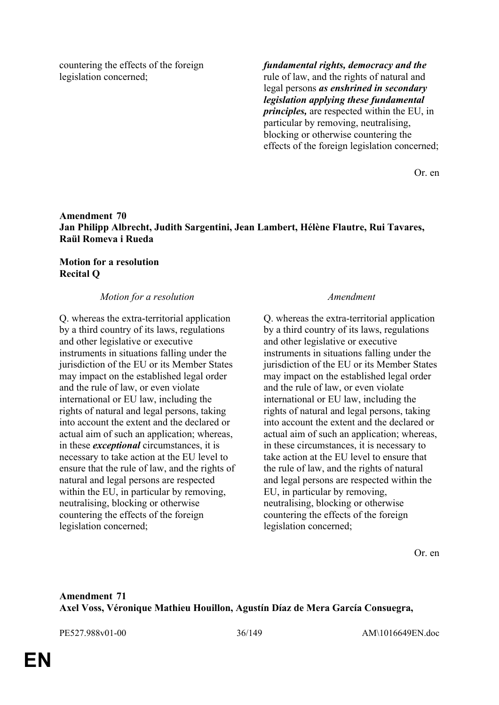countering the effects of the foreign legislation concerned;

*fundamental rights, democracy and the* rule of law, and the rights of natural and legal persons *as enshrined in secondary legislation applying these fundamental principles,* are respected within the EU, in particular by removing, neutralising, blocking or otherwise countering the effects of the foreign legislation concerned;

Or. en

### **Amendment 70 Jan Philipp Albrecht, Judith Sargentini, Jean Lambert, Hélène Flautre, Rui Tavares, Raül Romeva i Rueda**

### **Motion for a resolution Recital Q**

#### *Motion for a resolution Amendment*

Q. whereas the extra-territorial application by a third country of its laws, regulations and other legislative or executive instruments in situations falling under the jurisdiction of the EU or its Member States may impact on the established legal order and the rule of law, or even violate international or EU law, including the rights of natural and legal persons, taking into account the extent and the declared or actual aim of such an application; whereas, in these *exceptional* circumstances, it is necessary to take action at the EU level to ensure that the rule of law, and the rights of natural and legal persons are respected within the EU, in particular by removing, neutralising, blocking or otherwise countering the effects of the foreign legislation concerned;

Q. whereas the extra-territorial application by a third country of its laws, regulations and other legislative or executive instruments in situations falling under the jurisdiction of the EU or its Member States may impact on the established legal order and the rule of law, or even violate international or EU law, including the rights of natural and legal persons, taking into account the extent and the declared or actual aim of such an application; whereas, in these circumstances, it is necessary to take action at the EU level to ensure that the rule of law, and the rights of natural and legal persons are respected within the EU, in particular by removing, neutralising, blocking or otherwise countering the effects of the foreign legislation concerned;

Or. en

# **Amendment 71 Axel Voss, Véronique Mathieu Houillon, Agustín Díaz de Mera García Consuegra,**

PE527.988v01-00 36/149 AM\1016649EN.doc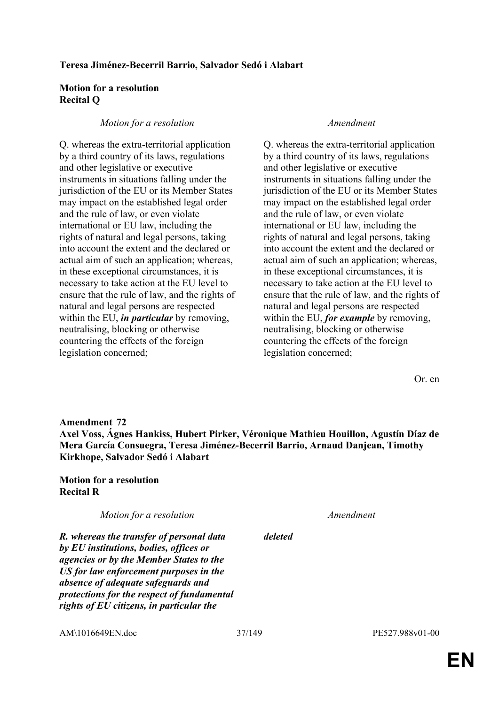## **Motion for a resolution Recital Q**

## *Motion for a resolution Amendment*

Q. whereas the extra-territorial application by a third country of its laws, regulations and other legislative or executive instruments in situations falling under the jurisdiction of the EU or its Member States may impact on the established legal order and the rule of law, or even violate international or EU law, including the rights of natural and legal persons, taking into account the extent and the declared or actual aim of such an application; whereas, in these exceptional circumstances, it is necessary to take action at the EU level to ensure that the rule of law, and the rights of natural and legal persons are respected within the EU, *in particular* by removing, neutralising, blocking or otherwise countering the effects of the foreign legislation concerned;

Q. whereas the extra-territorial application by a third country of its laws, regulations and other legislative or executive instruments in situations falling under the jurisdiction of the EU or its Member States may impact on the established legal order and the rule of law, or even violate international or EU law, including the rights of natural and legal persons, taking into account the extent and the declared or actual aim of such an application; whereas, in these exceptional circumstances, it is necessary to take action at the EU level to ensure that the rule of law, and the rights of natural and legal persons are respected within the EU, *for example* by removing, neutralising, blocking or otherwise countering the effects of the foreign legislation concerned;

Or. en

**Amendment 72 Axel Voss, Ágnes Hankiss, Hubert Pirker, Véronique Mathieu Houillon, Agustín Díaz de Mera García Consuegra, Teresa Jiménez-Becerril Barrio, Arnaud Danjean, Timothy Kirkhope, Salvador Sedó i Alabart**

**Motion for a resolution Recital R**

*Motion for a resolution Amendment*

*deleted*

*R. whereas the transfer of personal data by EU institutions, bodies, offices or agencies or by the Member States to the US for law enforcement purposes in the absence of adequate safeguards and protections for the respect of fundamental rights of EU citizens, in particular the* 

AM\1016649EN.doc 37/149 PE527.988v01-00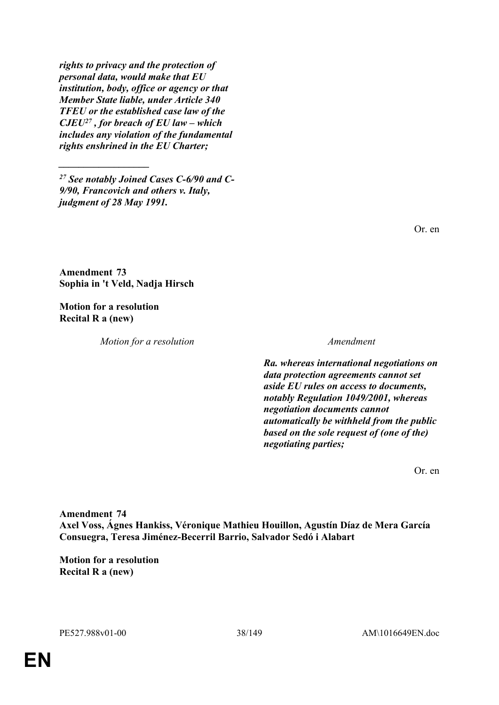*rights to privacy and the protection of personal data, would make that EU institution, body, office or agency or that Member State liable, under Article 340 TFEU or the established case law of the CJEU<sup>27</sup> , for breach of EU law – which includes any violation of the fundamental rights enshrined in the EU Charter;*

*<sup>27</sup> See notably Joined Cases C-6/90 and C-9/90, Francovich and others v. Italy, judgment of 28 May 1991.*

Or. en

**Amendment 73 Sophia in 't Veld, Nadja Hirsch**

**Motion for a resolution Recital R a (new)**

*\_\_\_\_\_\_\_\_\_\_\_\_\_\_\_\_\_\_*

*Motion for a resolution Amendment*

*Ra. whereas international negotiations on data protection agreements cannot set aside EU rules on access to documents, notably Regulation 1049/2001, whereas negotiation documents cannot automatically be withheld from the public based on the sole request of (one of the) negotiating parties;*

Or. en

**Amendment 74 Axel Voss, Ágnes Hankiss, Véronique Mathieu Houillon, Agustín Díaz de Mera García Consuegra, Teresa Jiménez-Becerril Barrio, Salvador Sedó i Alabart**

**Motion for a resolution Recital R a (new)**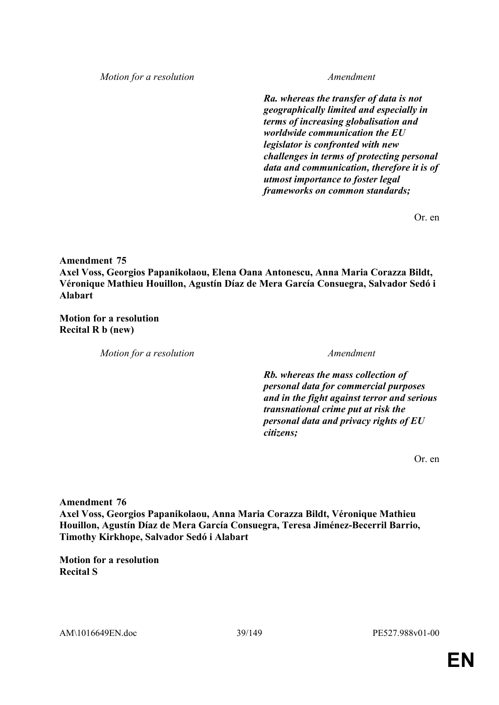*Motion for a resolution Amendment*

*Ra. whereas the transfer of data is not geographically limited and especially in terms of increasing globalisation and worldwide communication the EU legislator is confronted with new challenges in terms of protecting personal data and communication, therefore it is of utmost importance to foster legal frameworks on common standards;*

Or. en

**Amendment 75**

**Axel Voss, Georgios Papanikolaou, Elena Oana Antonescu, Anna Maria Corazza Bildt, Véronique Mathieu Houillon, Agustín Díaz de Mera García Consuegra, Salvador Sedó i Alabart**

**Motion for a resolution Recital R b (new)**

*Motion for a resolution Amendment*

*Rb. whereas the mass collection of personal data for commercial purposes and in the fight against terror and serious transnational crime put at risk the personal data and privacy rights of EU citizens;*

Or. en

**Amendment 76 Axel Voss, Georgios Papanikolaou, Anna Maria Corazza Bildt, Véronique Mathieu Houillon, Agustín Díaz de Mera García Consuegra, Teresa Jiménez-Becerril Barrio, Timothy Kirkhope, Salvador Sedó i Alabart**

**Motion for a resolution Recital S**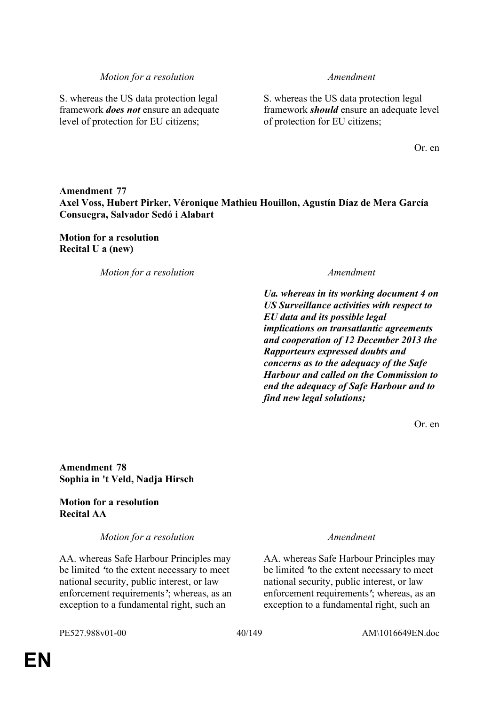S. whereas the US data protection legal framework *does not* ensure an adequate level of protection for EU citizens;

S. whereas the US data protection legal framework *should* ensure an adequate level of protection for EU citizens;

Or. en

# **Amendment 77 Axel Voss, Hubert Pirker, Véronique Mathieu Houillon, Agustín Díaz de Mera García Consuegra, Salvador Sedó i Alabart**

## **Motion for a resolution Recital U a (new)**

*Motion for a resolution Amendment*

*Ua. whereas in its working document 4 on US Surveillance activities with respect to EU data and its possible legal implications on transatlantic agreements and cooperation of 12 December 2013 the Rapporteurs expressed doubts and concerns as to the adequacy of the Safe Harbour and called on the Commission to end the adequacy of Safe Harbour and to find new legal solutions;*

Or. en

**Amendment 78 Sophia in 't Veld, Nadja Hirsch**

# **Motion for a resolution Recital AA**

*Motion for a resolution Amendment*

AA. whereas Safe Harbour Principles may be limited *'*to the extent necessary to meet national security, public interest, or law enforcement requirements*'*; whereas, as an exception to a fundamental right, such an

AA. whereas Safe Harbour Principles may be limited *'*to the extent necessary to meet national security, public interest, or law enforcement requirements*'*; whereas, as an exception to a fundamental right, such an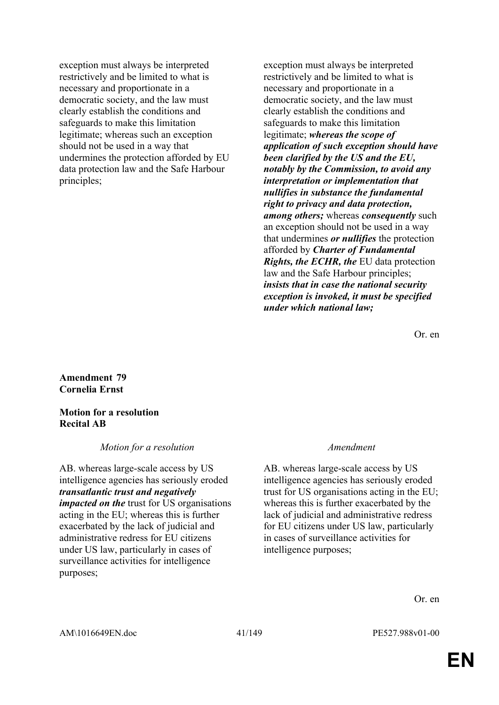exception must always be interpreted restrictively and be limited to what is necessary and proportionate in a democratic society, and the law must clearly establish the conditions and safeguards to make this limitation legitimate; whereas such an exception should not be used in a way that undermines the protection afforded by EU data protection law and the Safe Harbour principles;

exception must always be interpreted restrictively and be limited to what is necessary and proportionate in a democratic society, and the law must clearly establish the conditions and safeguards to make this limitation legitimate; *whereas the scope of application of such exception should have been clarified by the US and the EU, notably by the Commission, to avoid any interpretation or implementation that nullifies in substance the fundamental right to privacy and data protection, among others;* whereas *consequently* such an exception should not be used in a way that undermines *or nullifies* the protection afforded by *Charter of Fundamental Rights, the ECHR, the* EU data protection law and the Safe Harbour principles; *insists that in case the national security exception is invoked, it must be specified under which national law;*

Or. en

**Amendment 79 Cornelia Ernst**

### **Motion for a resolution Recital AB**

*Motion for a resolution Amendment*

AB. whereas large-scale access by US intelligence agencies has seriously eroded *transatlantic trust and negatively impacted on the* trust for US organisations acting in the EU; whereas this is further exacerbated by the lack of judicial and administrative redress for EU citizens under US law, particularly in cases of surveillance activities for intelligence purposes;

AB. whereas large-scale access by US intelligence agencies has seriously eroded trust for US organisations acting in the EU; whereas this is further exacerbated by the lack of judicial and administrative redress for EU citizens under US law, particularly in cases of surveillance activities for intelligence purposes;

Or. en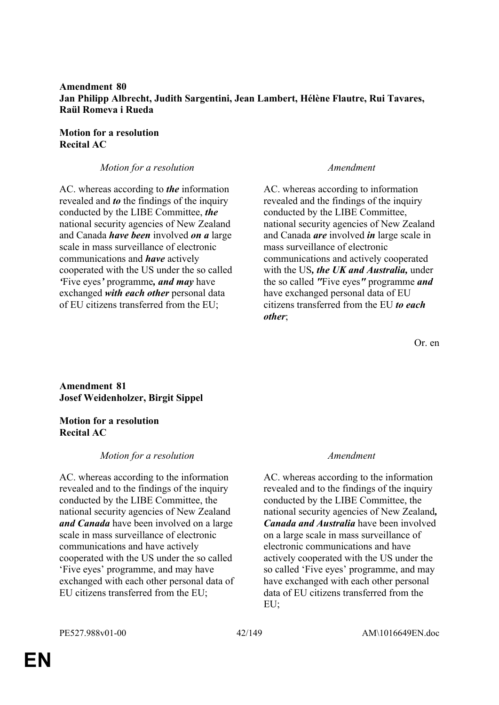## **Amendment 80 Jan Philipp Albrecht, Judith Sargentini, Jean Lambert, Hélène Flautre, Rui Tavares, Raül Romeva i Rueda**

## **Motion for a resolution Recital AC**

## *Motion for a resolution Amendment*

AC. whereas according to *the* information revealed and *to* the findings of the inquiry conducted by the LIBE Committee, *the* national security agencies of New Zealand and Canada *have been* involved *on a* large scale in mass surveillance of electronic communications and *have* actively cooperated with the US under the so called *'*Five eyes*'* programme*, and may* have exchanged *with each other* personal data of EU citizens transferred from the EU;

AC. whereas according to information revealed and the findings of the inquiry conducted by the LIBE Committee, national security agencies of New Zealand and Canada *are* involved *in* large scale in mass surveillance of electronic communications and actively cooperated with the US*, the UK and Australia,* under the so called *"*Five eyes*"* programme *and* have exchanged personal data of EU citizens transferred from the EU *to each other*;

Or. en

# **Amendment 81 Josef Weidenholzer, Birgit Sippel**

## **Motion for a resolution Recital AC**

# *Motion for a resolution Amendment*

AC. whereas according to the information revealed and to the findings of the inquiry conducted by the LIBE Committee, the national security agencies of New Zealand *and Canada* have been involved on a large scale in mass surveillance of electronic communications and have actively cooperated with the US under the so called 'Five eyes' programme, and may have exchanged with each other personal data of EU citizens transferred from the EU;

AC. whereas according to the information revealed and to the findings of the inquiry conducted by the LIBE Committee, the national security agencies of New Zealand*, Canada and Australia* have been involved on a large scale in mass surveillance of electronic communications and have actively cooperated with the US under the so called 'Five eyes' programme, and may have exchanged with each other personal data of EU citizens transferred from the EU;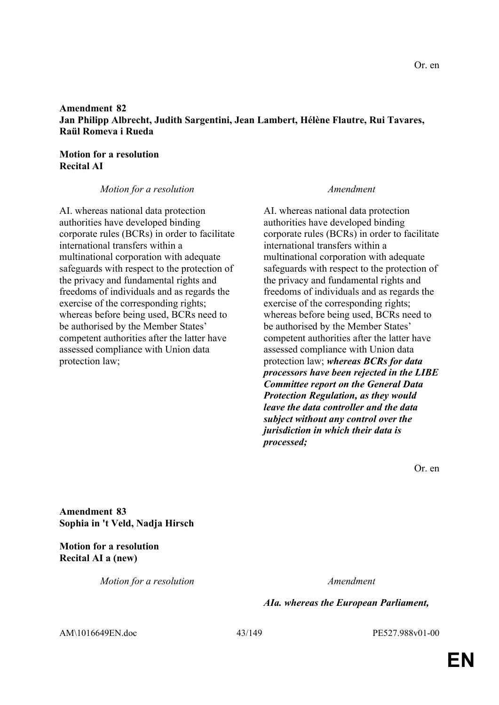## **Amendment 82 Jan Philipp Albrecht, Judith Sargentini, Jean Lambert, Hélène Flautre, Rui Tavares, Raül Romeva i Rueda**

# **Motion for a resolution Recital AI**

## *Motion for a resolution Amendment*

AI. whereas national data protection authorities have developed binding corporate rules (BCRs) in order to facilitate international transfers within a multinational corporation with adequate safeguards with respect to the protection of the privacy and fundamental rights and freedoms of individuals and as regards the exercise of the corresponding rights; whereas before being used, BCRs need to be authorised by the Member States' competent authorities after the latter have assessed compliance with Union data protection law;

AI. whereas national data protection authorities have developed binding corporate rules (BCRs) in order to facilitate international transfers within a multinational corporation with adequate safeguards with respect to the protection of the privacy and fundamental rights and freedoms of individuals and as regards the exercise of the corresponding rights; whereas before being used, BCRs need to be authorised by the Member States' competent authorities after the latter have assessed compliance with Union data protection law; *whereas BCRs for data processors have been rejected in the LIBE Committee report on the General Data Protection Regulation, as they would leave the data controller and the data subject without any control over the jurisdiction in which their data is processed;*

Or. en

**Amendment 83 Sophia in 't Veld, Nadja Hirsch**

**Motion for a resolution Recital AI a (new)**

*Motion for a resolution Amendment*

# *AIa. whereas the European Parliament,*

AM\1016649EN.doc 43/149 PE527.988v01-00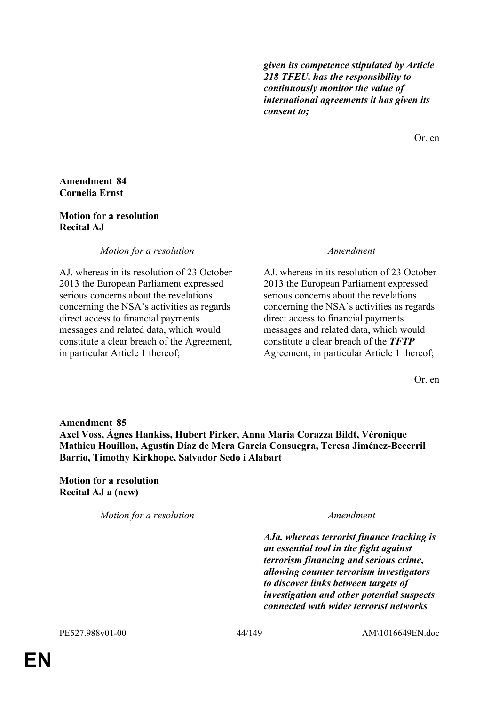*given its competence stipulated by Article 218 TFEU, has the responsibility to continuously monitor the value of international agreements it has given its consent to;*

Or. en

## **Amendment 84 Cornelia Ernst**

## **Motion for a resolution Recital AJ**

*Motion for a resolution Amendment*

AJ. whereas in its resolution of 23 October 2013 the European Parliament expressed serious concerns about the revelations concerning the NSA's activities as regards direct access to financial payments messages and related data, which would constitute a clear breach of the Agreement, in particular Article 1 thereof;

AJ. whereas in its resolution of 23 October 2013 the European Parliament expressed serious concerns about the revelations concerning the NSA's activities as regards direct access to financial payments messages and related data, which would constitute a clear breach of the *TFTP* Agreement, in particular Article 1 thereof;

Or. en

**Amendment 85 Axel Voss, Ágnes Hankiss, Hubert Pirker, Anna Maria Corazza Bildt, Véronique Mathieu Houillon, Agustín Díaz de Mera García Consuegra, Teresa Jiménez-Becerril Barrio, Timothy Kirkhope, Salvador Sedó i Alabart**

**Motion for a resolution Recital AJ a (new)**

*Motion for a resolution Amendment*

*AJa. whereas terrorist finance tracking is an essential tool in the fight against terrorism financing and serious crime, allowing counter terrorism investigators to discover links between targets of investigation and other potential suspects connected with wider terrorist networks*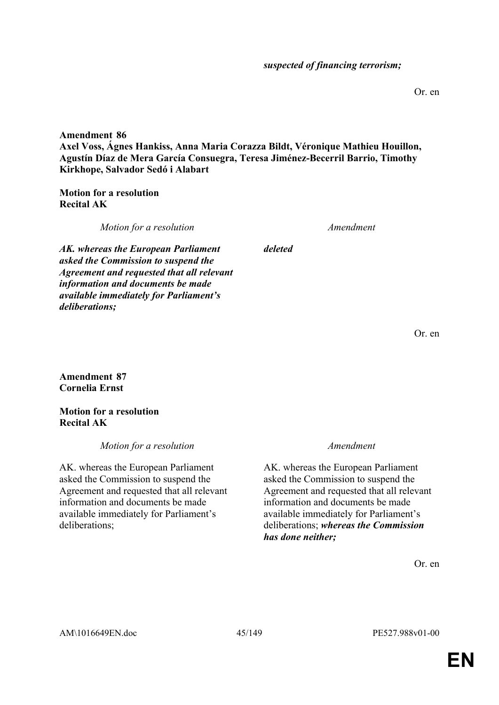Or. en

**Amendment 86 Axel Voss, Ágnes Hankiss, Anna Maria Corazza Bildt, Véronique Mathieu Houillon, Agustín Díaz de Mera García Consuegra, Teresa Jiménez-Becerril Barrio, Timothy Kirkhope, Salvador Sedó i Alabart**

**Motion for a resolution Recital AK**

*Motion for a resolution Amendment*

*deleted*

*AK. whereas the European Parliament asked the Commission to suspend the Agreement and requested that all relevant information and documents be made available immediately for Parliament's deliberations;*

Or. en

**Amendment 87 Cornelia Ernst**

**Motion for a resolution Recital AK**

*Motion for a resolution Amendment*

AK. whereas the European Parliament asked the Commission to suspend the Agreement and requested that all relevant information and documents be made available immediately for Parliament's deliberations;

AK. whereas the European Parliament asked the Commission to suspend the Agreement and requested that all relevant information and documents be made available immediately for Parliament's deliberations; *whereas the Commission has done neither;*

Or. en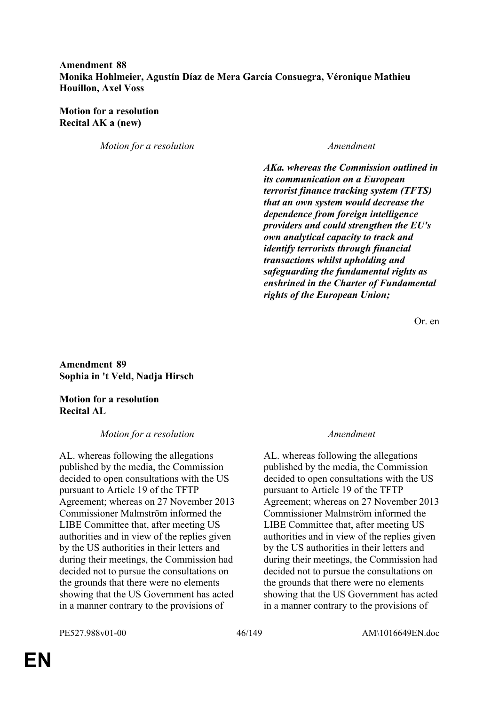# **Amendment 88 Monika Hohlmeier, Agustín Díaz de Mera García Consuegra, Véronique Mathieu Houillon, Axel Voss**

**Motion for a resolution Recital AK a (new)**

*Motion for a resolution Amendment*

*AKa. whereas the Commission outlined in its communication on a European terrorist finance tracking system (TFTS) that an own system would decrease the dependence from foreign intelligence providers and could strengthen the EU's own analytical capacity to track and identify terrorists through financial transactions whilst upholding and safeguarding the fundamental rights as enshrined in the Charter of Fundamental rights of the European Union;*

Or. en

**Amendment 89 Sophia in 't Veld, Nadja Hirsch**

**Motion for a resolution Recital AL**

### *Motion for a resolution Amendment*

AL. whereas following the allegations published by the media, the Commission decided to open consultations with the US pursuant to Article 19 of the TFTP Agreement; whereas on 27 November 2013 Commissioner Malmström informed the LIBE Committee that, after meeting US authorities and in view of the replies given by the US authorities in their letters and during their meetings, the Commission had decided not to pursue the consultations on the grounds that there were no elements showing that the US Government has acted in a manner contrary to the provisions of

AL. whereas following the allegations published by the media, the Commission decided to open consultations with the US pursuant to Article 19 of the TFTP Agreement; whereas on 27 November 2013 Commissioner Malmström informed the LIBE Committee that, after meeting US authorities and in view of the replies given by the US authorities in their letters and during their meetings, the Commission had decided not to pursue the consultations on the grounds that there were no elements showing that the US Government has acted in a manner contrary to the provisions of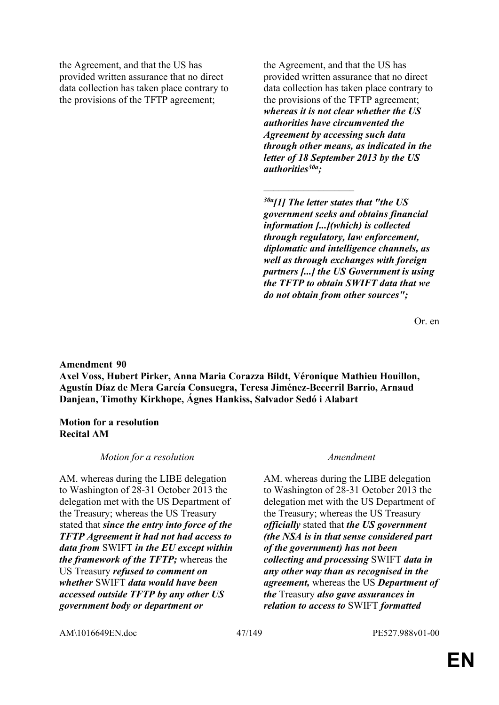the Agreement, and that the US has provided written assurance that no direct data collection has taken place contrary to the provisions of the TFTP agreement;

the Agreement, and that the US has provided written assurance that no direct data collection has taken place contrary to the provisions of the TFTP agreement; *whereas it is not clear whether the US authorities have circumvented the Agreement by accessing such data through other means, as indicated in the letter of 18 September 2013 by the US authorities30a;*

*30a[1] The letter states that "the US government seeks and obtains financial information [...](which) is collected through regulatory, law enforcement, diplomatic and intelligence channels, as well as through exchanges with foreign partners [...] the US Government is using the TFTP to obtain SWIFT data that we do not obtain from other sources";*

 $\overline{\phantom{a}}$  , where  $\overline{\phantom{a}}$ 

Or. en

### **Amendment 90**

**Axel Voss, Hubert Pirker, Anna Maria Corazza Bildt, Véronique Mathieu Houillon, Agustín Díaz de Mera García Consuegra, Teresa Jiménez-Becerril Barrio, Arnaud Danjean, Timothy Kirkhope, Ágnes Hankiss, Salvador Sedó i Alabart**

### **Motion for a resolution Recital AM**

### *Motion for a resolution Amendment*

AM. whereas during the LIBE delegation to Washington of 28-31 October 2013 the delegation met with the US Department of the Treasury; whereas the US Treasury stated that *since the entry into force of the TFTP Agreement it had not had access to data from* SWIFT *in the EU except within the framework of the TFTP;* whereas the US Treasury *refused to comment on whether* SWIFT *data would have been accessed outside TFTP by any other US government body or department or*

AM. whereas during the LIBE delegation to Washington of 28-31 October 2013 the delegation met with the US Department of the Treasury; whereas the US Treasury *officially* stated that *the US government (the NSA is in that sense considered part of the government) has not been collecting and processing* SWIFT *data in any other way than as recognised in the agreement,* whereas the US *Department of the* Treasury *also gave assurances in relation to access to* SWIFT *formatted* 

AM\1016649EN.doc 47/149 PE527.988v01-00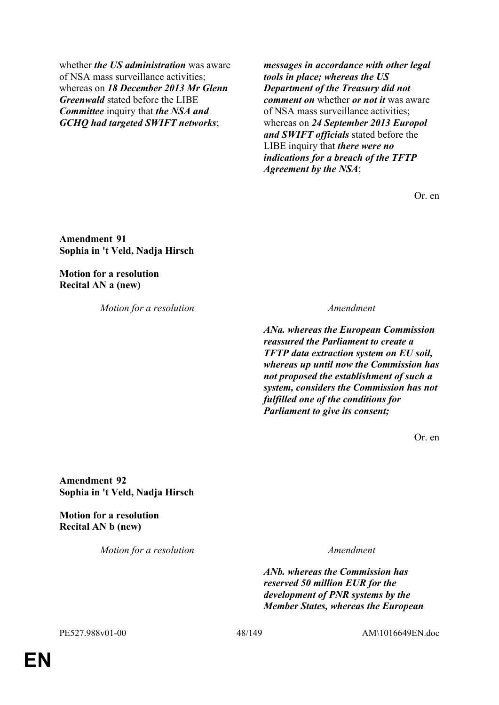whether *the US administration* was aware of NSA mass surveillance activities; whereas on *18 December 2013 Mr Glenn Greenwald* stated before the LIBE *Committee* inquiry that *the NSA and GCHQ had targeted SWIFT networks*;

*messages in accordance with other legal tools in place; whereas the US Department of the Treasury did not comment on* whether *or not it* was aware of NSA mass surveillance activities; whereas on *24 September 2013 Europol and SWIFT officials* stated before the LIBE inquiry that *there were no indications for a breach of the TFTP Agreement by the NSA*;

Or. en

**Amendment 91 Sophia in 't Veld, Nadja Hirsch**

**Motion for a resolution Recital AN a (new)**

*Motion for a resolution Amendment*

*ANa. whereas the European Commission reassured the Parliament to create a TFTP data extraction system on EU soil, whereas up until now the Commission has not proposed the establishment of such a system, considers the Commission has not fulfilled one of the conditions for Parliament to give its consent;*

Or. en

**Amendment 92 Sophia in 't Veld, Nadja Hirsch**

**Motion for a resolution Recital AN b (new)**

*Motion for a resolution Amendment*

*ANb. whereas the Commission has reserved 50 million EUR for the development of PNR systems by the Member States, whereas the European* 

PE527.988v01-00 48/149 AM\1016649EN.doc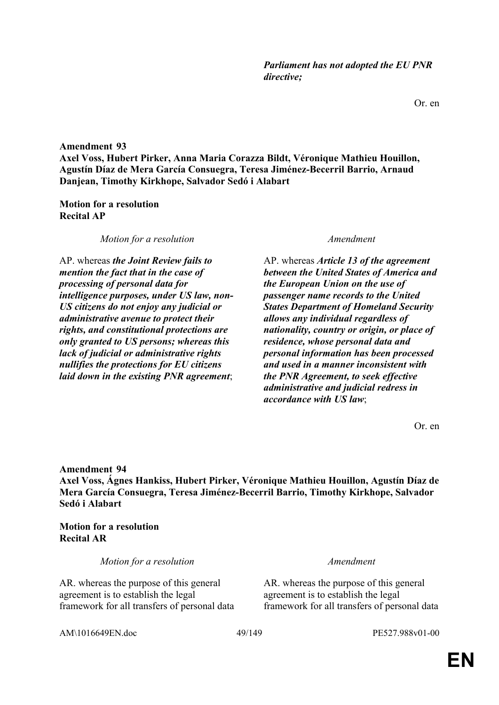Or. en

**Amendment 93 Axel Voss, Hubert Pirker, Anna Maria Corazza Bildt, Véronique Mathieu Houillon, Agustín Díaz de Mera García Consuegra, Teresa Jiménez-Becerril Barrio, Arnaud Danjean, Timothy Kirkhope, Salvador Sedó i Alabart**

## **Motion for a resolution Recital AP**

*Motion for a resolution Amendment*

AP. whereas *the Joint Review fails to mention the fact that in the case of processing of personal data for intelligence purposes, under US law, non-US citizens do not enjoy any judicial or administrative avenue to protect their rights, and constitutional protections are only granted to US persons; whereas this lack of judicial or administrative rights nullifies the protections for EU citizens laid down in the existing PNR agreement*;

AP. whereas *Article 13 of the agreement between the United States of America and the European Union on the use of passenger name records to the United States Department of Homeland Security allows any individual regardless of nationality, country or origin, or place of residence, whose personal data and personal information has been processed and used in a manner inconsistent with the PNR Agreement, to seek effective administrative and judicial redress in accordance with US law*;

Or. en

**Amendment 94**

**Axel Voss, Ágnes Hankiss, Hubert Pirker, Véronique Mathieu Houillon, Agustín Díaz de Mera García Consuegra, Teresa Jiménez-Becerril Barrio, Timothy Kirkhope, Salvador Sedó i Alabart**

**Motion for a resolution Recital AR**

*Motion for a resolution Amendment*

AR. whereas the purpose of this general agreement is to establish the legal framework for all transfers of personal data

AR. whereas the purpose of this general agreement is to establish the legal framework for all transfers of personal data

AM\1016649EN.doc 49/149 PE527.988v01-00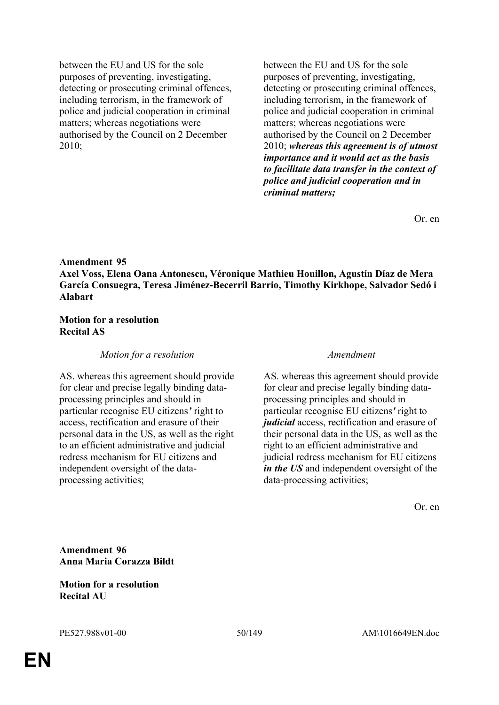between the EU and US for the sole purposes of preventing, investigating, detecting or prosecuting criminal offences, including terrorism, in the framework of police and judicial cooperation in criminal matters; whereas negotiations were authorised by the Council on 2 December 2010;

between the EU and US for the sole purposes of preventing, investigating, detecting or prosecuting criminal offences, including terrorism, in the framework of police and judicial cooperation in criminal matters; whereas negotiations were authorised by the Council on 2 December 2010; *whereas this agreement is of utmost importance and it would act as the basis to facilitate data transfer in the context of police and judicial cooperation and in criminal matters;*

Or. en

### **Amendment 95**

**Axel Voss, Elena Oana Antonescu, Véronique Mathieu Houillon, Agustín Díaz de Mera García Consuegra, Teresa Jiménez-Becerril Barrio, Timothy Kirkhope, Salvador Sedó i Alabart**

### **Motion for a resolution Recital AS**

### *Motion for a resolution Amendment*

AS. whereas this agreement should provide for clear and precise legally binding dataprocessing principles and should in particular recognise EU citizens*'* right to access, rectification and erasure of their personal data in the US, as well as the right to an efficient administrative and judicial redress mechanism for EU citizens and independent oversight of the dataprocessing activities;

AS. whereas this agreement should provide for clear and precise legally binding dataprocessing principles and should in particular recognise EU citizens*'* right to *judicial* access, rectification and erasure of their personal data in the US, as well as the right to an efficient administrative and judicial redress mechanism for EU citizens *in the US* and independent oversight of the data-processing activities;

Or. en

**Amendment 96 Anna Maria Corazza Bildt**

**Motion for a resolution Recital AU**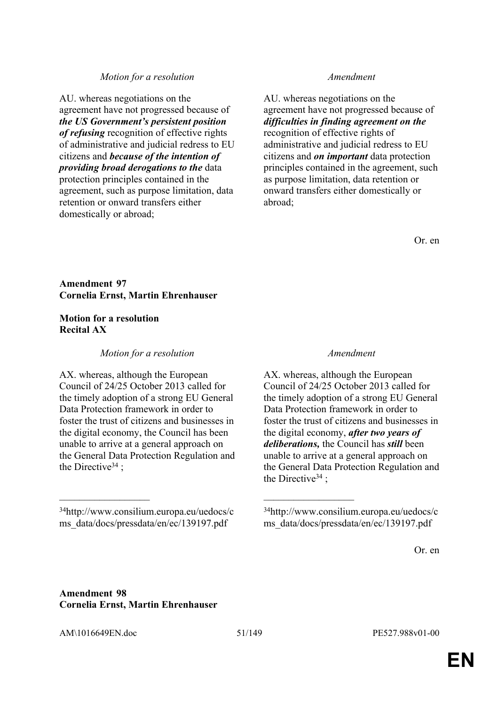### *Motion for a resolution Amendment*

AU. whereas negotiations on the agreement have not progressed because of *the US Government's persistent position of refusing* recognition of effective rights of administrative and judicial redress to EU citizens and *because of the intention of providing broad derogations to the* data protection principles contained in the agreement, such as purpose limitation, data retention or onward transfers either domestically or abroad;

AU. whereas negotiations on the agreement have not progressed because of *difficulties in finding agreement on the*  recognition of effective rights of administrative and judicial redress to EU citizens and *on important* data protection principles contained in the agreement, such as purpose limitation, data retention or onward transfers either domestically or abroad;

Or. en

## **Amendment 97 Cornelia Ernst, Martin Ehrenhauser**

### **Motion for a resolution Recital AX**

### *Motion for a resolution Amendment*

AX. whereas, although the European Council of 24/25 October 2013 called for the timely adoption of a strong EU General Data Protection framework in order to foster the trust of citizens and businesses in the digital economy, the Council has been unable to arrive at a general approach on the General Data Protection Regulation and the Directive<sup>34</sup>:

 $\mathcal{L}_\mathcal{L}$  , and the contribution of the contribution of the contribution of the contribution of the contribution of the contribution of the contribution of the contribution of the contribution of the contribution of

AX. whereas, although the European Council of 24/25 October 2013 called for the timely adoption of a strong EU General Data Protection framework in order to foster the trust of citizens and businesses in the digital economy, *after two years of deliberations,* the Council has *still* been unable to arrive at a general approach on the General Data Protection Regulation and the Directive<sup>34</sup>;

Or. en

## **Amendment 98 Cornelia Ernst, Martin Ehrenhauser**

AM\1016649EN.doc 51/149 PE527.988v01-00

<sup>34</sup>http://www.consilium.europa.eu/uedocs/c ms\_data/docs/pressdata/en/ec/139197.pdf

<sup>34</sup>http://www.consilium.europa.eu/uedocs/c ms\_data/docs/pressdata/en/ec/139197.pdf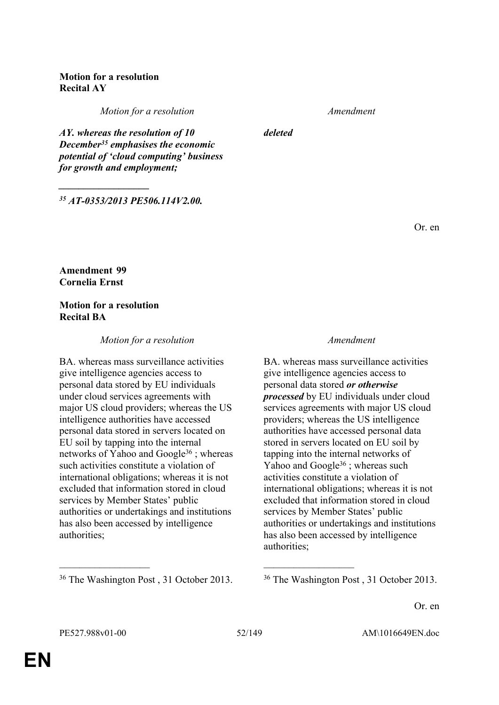# **Motion for a resolution Recital AY**

*Motion for a resolution Amendment*

*deleted*

*<sup>35</sup> AT-0353/2013 PE506.114V2.00.*

*AY. whereas the resolution of 10 December<sup>35</sup> emphasises the economic potential of 'cloud computing' business* 

*for growth and employment;*

*\_\_\_\_\_\_\_\_\_\_\_\_\_\_\_\_\_\_*

Or. en

**Amendment 99 Cornelia Ernst**

# **Motion for a resolution Recital BA**

## *Motion for a resolution Amendment*

BA. whereas mass surveillance activities give intelligence agencies access to personal data stored by EU individuals under cloud services agreements with major US cloud providers; whereas the US intelligence authorities have accessed personal data stored in servers located on EU soil by tapping into the internal networks of Yahoo and Google<sup>36</sup> ; whereas such activities constitute a violation of international obligations; whereas it is not excluded that information stored in cloud services by Member States' public authorities or undertakings and institutions has also been accessed by intelligence authorities;

BA. whereas mass surveillance activities give intelligence agencies access to personal data stored *or otherwise processed* by EU individuals under cloud services agreements with major US cloud providers; whereas the US intelligence authorities have accessed personal data stored in servers located on EU soil by tapping into the internal networks of Yahoo and Google<sup>36</sup>; whereas such activities constitute a violation of international obligations; whereas it is not excluded that information stored in cloud services by Member States' public authorities or undertakings and institutions has also been accessed by intelligence authorities;

<sup>36</sup> The Washington Post, 31 October 2013. <sup>36</sup> The Washington Post, 31 October 2013.

Or. en

 $\mathcal{L}_\mathcal{L}$  , and the contribution of the contribution of the contribution of the contribution of the contribution of the contribution of the contribution of the contribution of the contribution of the contribution of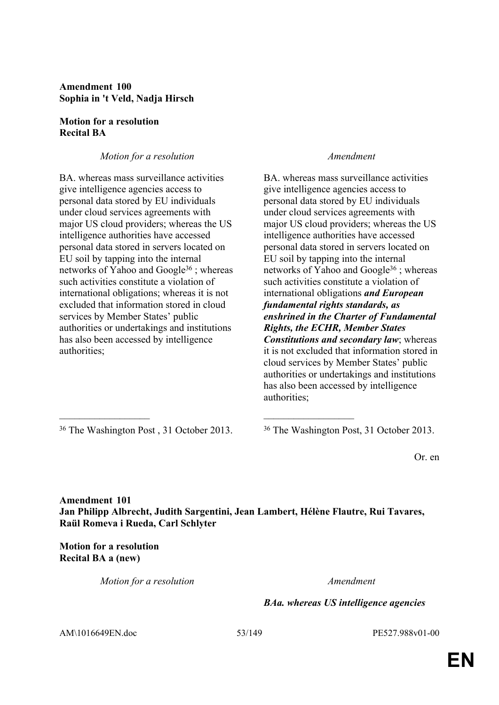**Amendment 100 Sophia in 't Veld, Nadja Hirsch**

## **Motion for a resolution Recital BA**

# *Motion for a resolution Amendment*

BA. whereas mass surveillance activities give intelligence agencies access to personal data stored by EU individuals under cloud services agreements with major US cloud providers; whereas the US intelligence authorities have accessed personal data stored in servers located on EU soil by tapping into the internal networks of Yahoo and Google<sup>36</sup>; whereas such activities constitute a violation of international obligations; whereas it is not excluded that information stored in cloud services by Member States' public authorities or undertakings and institutions has also been accessed by intelligence authorities;

BA. whereas mass surveillance activities give intelligence agencies access to personal data stored by EU individuals under cloud services agreements with major US cloud providers; whereas the US intelligence authorities have accessed personal data stored in servers located on EU soil by tapping into the internal networks of Yahoo and Google<sup>36</sup>; whereas such activities constitute a violation of international obligations *and European fundamental rights standards, as enshrined in the Charter of Fundamental Rights, the ECHR, Member States Constitutions and secondary law*; whereas it is not excluded that information stored in cloud services by Member States' public authorities or undertakings and institutions has also been accessed by intelligence authorities;

<sup>36</sup> The Washington Post, 31 October 2013. <sup>36</sup> The Washington Post, 31 October 2013.

Or. en

**Amendment 101 Jan Philipp Albrecht, Judith Sargentini, Jean Lambert, Hélène Flautre, Rui Tavares, Raül Romeva i Rueda, Carl Schlyter**

 $\mathcal{L}_\mathcal{L}$  , and the contribution of the contribution of the contribution of the contribution of the contribution of the contribution of the contribution of the contribution of the contribution of the contribution of

**Motion for a resolution Recital BA a (new)**

*Motion for a resolution Amendment*

*BAa. whereas US intelligence agencies* 

AM\1016649EN.doc 53/149 PE527.988v01-00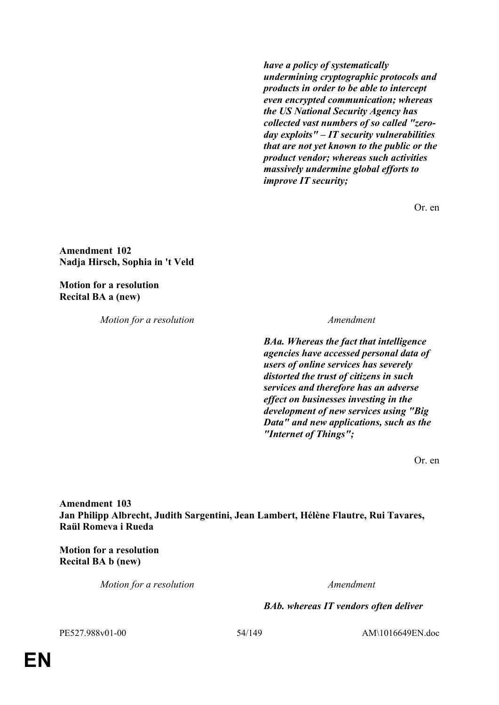*have a policy of systematically undermining cryptographic protocols and products in order to be able to intercept even encrypted communication; whereas the US National Security Agency has collected vast numbers of so called "zeroday exploits" – IT security vulnerabilities that are not yet known to the public or the product vendor; whereas such activities massively undermine global efforts to improve IT security;*

Or. en

**Amendment 102 Nadja Hirsch, Sophia in 't Veld**

**Motion for a resolution Recital BA a (new)**

*Motion for a resolution Amendment*

*BAa. Whereas the fact that intelligence agencies have accessed personal data of users of online services has severely distorted the trust of citizens in such services and therefore has an adverse effect on businesses investing in the development of new services using "Big Data" and new applications, such as the "Internet of Things";*

Or. en

**Amendment 103 Jan Philipp Albrecht, Judith Sargentini, Jean Lambert, Hélène Flautre, Rui Tavares, Raül Romeva i Rueda**

**Motion for a resolution Recital BA b (new)**

*Motion for a resolution Amendment*

*BAb. whereas IT vendors often deliver* 

PE527.988v01-00 54/149 AM\1016649EN.doc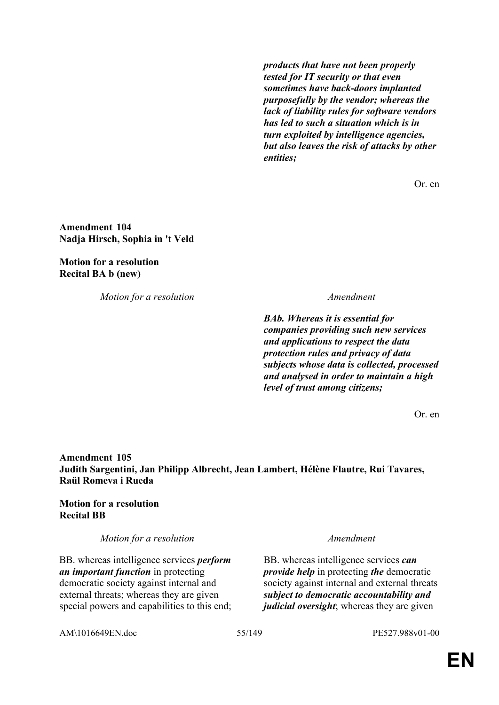*products that have not been properly tested for IT security or that even sometimes have back-doors implanted purposefully by the vendor; whereas the lack of liability rules for software vendors has led to such a situation which is in turn exploited by intelligence agencies, but also leaves the risk of attacks by other entities;*

Or. en

**Amendment 104 Nadja Hirsch, Sophia in 't Veld**

**Motion for a resolution Recital BA b (new)**

*Motion for a resolution Amendment*

*BAb. Whereas it is essential for companies providing such new services and applications to respect the data protection rules and privacy of data subjects whose data is collected, processed and analysed in order to maintain a high level of trust among citizens;*

Or. en

**Amendment 105 Judith Sargentini, Jan Philipp Albrecht, Jean Lambert, Hélène Flautre, Rui Tavares, Raül Romeva i Rueda**

## **Motion for a resolution Recital BB**

*Motion for a resolution Amendment*

BB. whereas intelligence services *perform an important function* in protecting democratic society against internal and external threats; whereas they are given special powers and capabilities to this end;

BB. whereas intelligence services *can provide help* in protecting *the* democratic society against internal and external threats *subject to democratic accountability and judicial oversight*; whereas they are given

AM\1016649EN.doc 55/149 PE527.988v01-00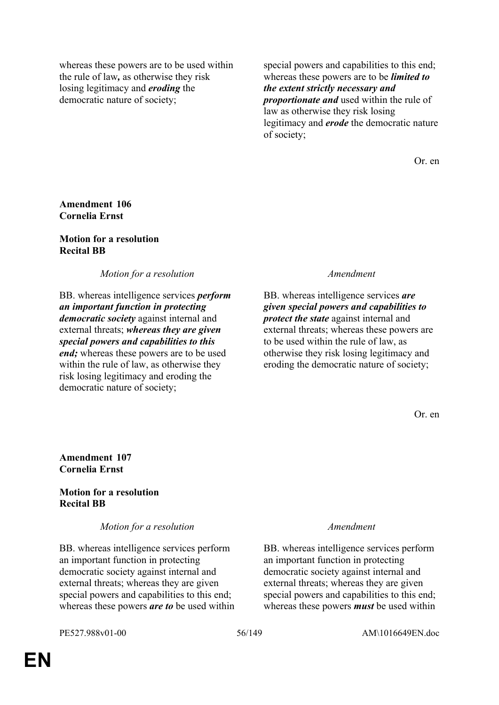whereas these powers are to be used within the rule of law*,* as otherwise they risk losing legitimacy and *eroding* the democratic nature of society;

special powers and capabilities to this end; whereas these powers are to be *limited to the extent strictly necessary and proportionate and* used within the rule of law as otherwise they risk losing legitimacy and *erode* the democratic nature of society;

Or. en

## **Amendment 106 Cornelia Ernst**

## **Motion for a resolution Recital BB**

*Motion for a resolution Amendment*

BB. whereas intelligence services *perform an important function in protecting democratic society* against internal and external threats; *whereas they are given special powers and capabilities to this end;* whereas these powers are to be used within the rule of law, as otherwise they risk losing legitimacy and eroding the democratic nature of society;

BB. whereas intelligence services *are given special powers and capabilities to protect the state* against internal and external threats; whereas these powers are to be used within the rule of law, as otherwise they risk losing legitimacy and eroding the democratic nature of society;

Or. en

## **Amendment 107 Cornelia Ernst**

# **Motion for a resolution Recital BB**

*Motion for a resolution Amendment*

BB. whereas intelligence services perform an important function in protecting democratic society against internal and external threats; whereas they are given special powers and capabilities to this end; whereas these powers *are to* be used within

BB. whereas intelligence services perform an important function in protecting democratic society against internal and external threats; whereas they are given special powers and capabilities to this end; whereas these powers *must* be used within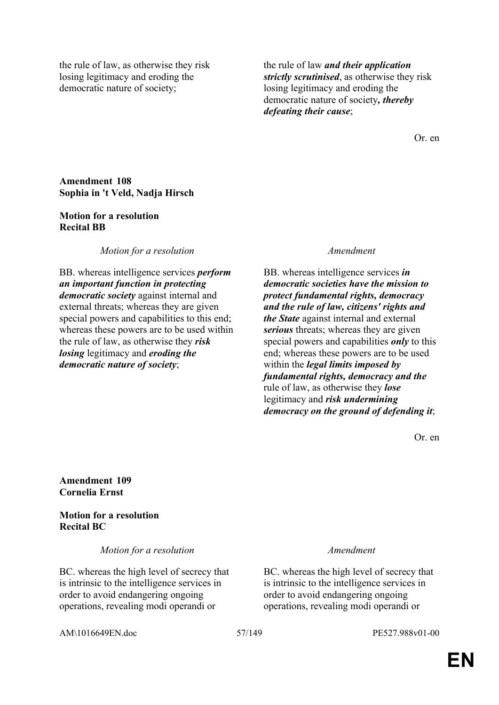the rule of law, as otherwise they risk losing legitimacy and eroding the democratic nature of society;

the rule of law *and their application strictly scrutinised*, as otherwise they risk losing legitimacy and eroding the democratic nature of society*, thereby defeating their cause*;

Or. en

## **Amendment 108 Sophia in 't Veld, Nadja Hirsch**

## **Motion for a resolution Recital BB**

*Motion for a resolution Amendment*

BB. whereas intelligence services *perform an important function in protecting democratic society* against internal and external threats; whereas they are given special powers and capabilities to this end; whereas these powers are to be used within the rule of law, as otherwise they *risk losing* legitimacy and *eroding the democratic nature of society*;

BB. whereas intelligence services *in democratic societies have the mission to protect fundamental rights, democracy and the rule of law, citizens' rights and the State* against internal and external *serious* threats; whereas they are given special powers and capabilities *only* to this end; whereas these powers are to be used within the *legal limits imposed by fundamental rights, democracy and the* rule of law, as otherwise they *lose* legitimacy and *risk undermining democracy on the ground of defending it*;

Or. en

**Amendment 109 Cornelia Ernst**

**Motion for a resolution Recital BC**

*Motion for a resolution Amendment*

BC. whereas the high level of secrecy that is intrinsic to the intelligence services in order to avoid endangering ongoing operations, revealing modi operandi or

BC. whereas the high level of secrecy that is intrinsic to the intelligence services in order to avoid endangering ongoing operations, revealing modi operandi or

AM\1016649EN.doc 57/149 PE527.988v01-00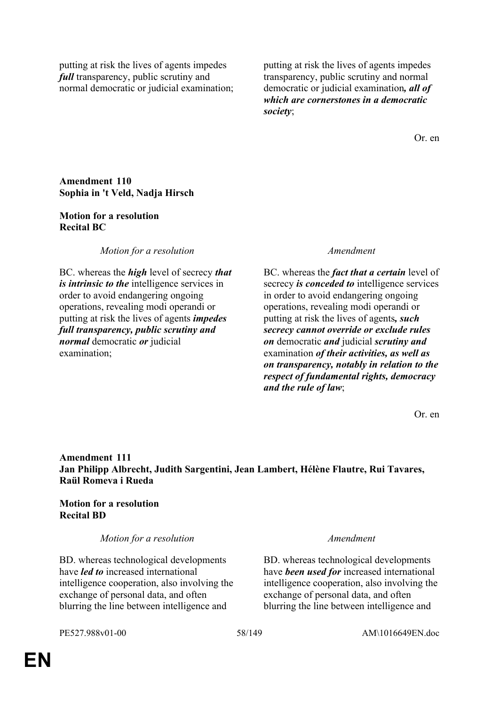putting at risk the lives of agents impedes *full* transparency, public scrutiny and normal democratic or judicial examination; putting at risk the lives of agents impedes transparency, public scrutiny and normal democratic or judicial examination*, all of which are cornerstones in a democratic society*;

Or. en

## **Amendment 110 Sophia in 't Veld, Nadja Hirsch**

## **Motion for a resolution Recital BC**

*Motion for a resolution Amendment*

BC. whereas the *high* level of secrecy *that is intrinsic to the* intelligence services in order to avoid endangering ongoing operations, revealing modi operandi or putting at risk the lives of agents *impedes full transparency, public scrutiny and normal* democratic *or* judicial examination;

BC. whereas the *fact that a certain* level of secrecy *is conceded to* intelligence services in order to avoid endangering ongoing operations, revealing modi operandi or putting at risk the lives of agents*, such secrecy cannot override or exclude rules on* democratic *and* judicial *scrutiny and* examination *of their activities, as well as on transparency, notably in relation to the respect of fundamental rights, democracy and the rule of law*;

Or. en

# **Amendment 111 Jan Philipp Albrecht, Judith Sargentini, Jean Lambert, Hélène Flautre, Rui Tavares, Raül Romeva i Rueda**

## **Motion for a resolution Recital BD**

## *Motion for a resolution Amendment*

BD. whereas technological developments have *led to* increased international intelligence cooperation, also involving the exchange of personal data, and often blurring the line between intelligence and

BD. whereas technological developments have *been used for* increased international intelligence cooperation, also involving the exchange of personal data, and often blurring the line between intelligence and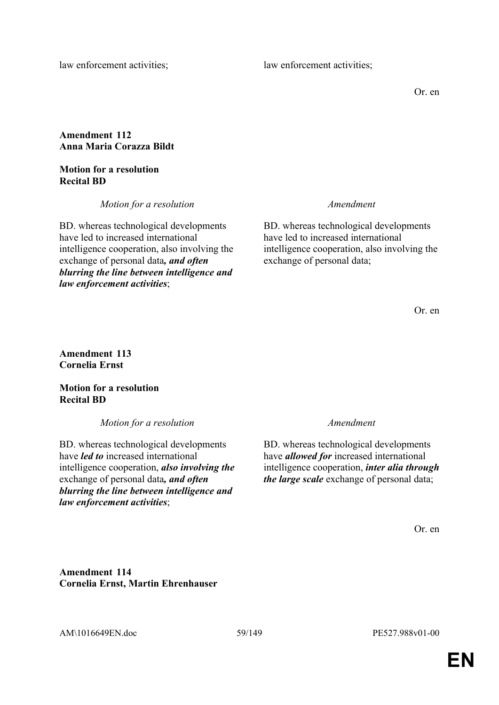law enforcement activities; law enforcement activities;

Or. en

# **Amendment 112 Anna Maria Corazza Bildt**

**Motion for a resolution Recital BD**

*Motion for a resolution Amendment*

BD. whereas technological developments have led to increased international intelligence cooperation, also involving the exchange of personal data*, and often blurring the line between intelligence and law enforcement activities*;

BD. whereas technological developments have led to increased international intelligence cooperation, also involving the exchange of personal data;

Or. en

**Amendment 113 Cornelia Ernst**

**Motion for a resolution Recital BD**

*Motion for a resolution Amendment*

BD. whereas technological developments have *led to* increased international intelligence cooperation, *also involving the* exchange of personal data*, and often blurring the line between intelligence and law enforcement activities*;

BD. whereas technological developments have *allowed for* increased international intelligence cooperation, *inter alia through the large scale* exchange of personal data;

Or. en

**Amendment 114 Cornelia Ernst, Martin Ehrenhauser**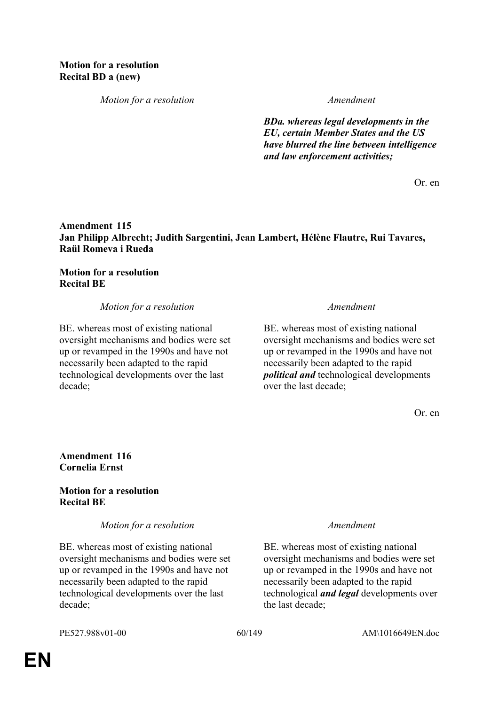*Motion for a resolution Amendment*

*BDa. whereas legal developments in the EU, certain Member States and the US have blurred the line between intelligence and law enforcement activities;*

Or. en

# **Amendment 115 Jan Philipp Albrecht; Judith Sargentini, Jean Lambert, Hélène Flautre, Rui Tavares, Raül Romeva i Rueda**

## **Motion for a resolution Recital BE**

## *Motion for a resolution Amendment*

BE. whereas most of existing national oversight mechanisms and bodies were set up or revamped in the 1990s and have not necessarily been adapted to the rapid technological developments over the last decade;

BE. whereas most of existing national oversight mechanisms and bodies were set up or revamped in the 1990s and have not necessarily been adapted to the rapid *political and* technological developments over the last decade;

Or. en

## **Amendment 116 Cornelia Ernst**

## **Motion for a resolution Recital BE**

*Motion for a resolution Amendment*

BE. whereas most of existing national oversight mechanisms and bodies were set up or revamped in the 1990s and have not necessarily been adapted to the rapid technological developments over the last decade;

BE. whereas most of existing national oversight mechanisms and bodies were set up or revamped in the 1990s and have not necessarily been adapted to the rapid technological *and legal* developments over the last decade;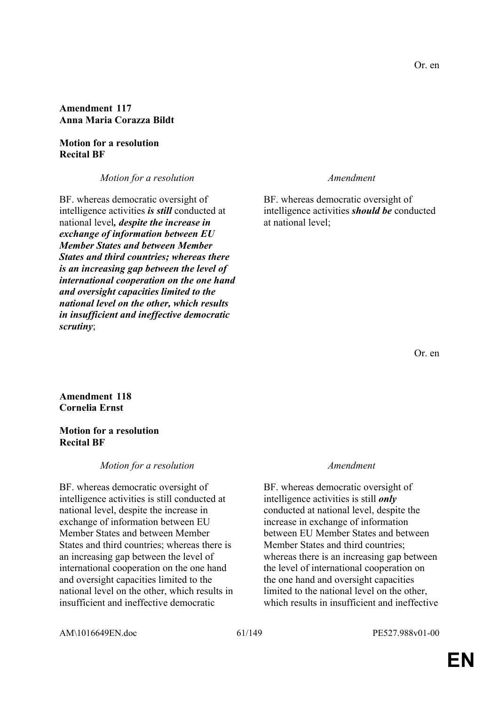## **Amendment 117 Anna Maria Corazza Bildt**

## **Motion for a resolution Recital BF**

*Motion for a resolution Amendment*

BF. whereas democratic oversight of intelligence activities *is still* conducted at national level*, despite the increase in exchange of information between EU Member States and between Member States and third countries; whereas there is an increasing gap between the level of international cooperation on the one hand and oversight capacities limited to the national level on the other, which results in insufficient and ineffective democratic scrutiny*;

BF. whereas democratic oversight of intelligence activities *should be* conducted at national level;

Or. en

**Amendment 118 Cornelia Ernst**

## **Motion for a resolution Recital BF**

## *Motion for a resolution Amendment*

BF. whereas democratic oversight of intelligence activities is still conducted at national level, despite the increase in exchange of information between EU Member States and between Member States and third countries; whereas there is an increasing gap between the level of international cooperation on the one hand and oversight capacities limited to the national level on the other, which results in insufficient and ineffective democratic

BF. whereas democratic oversight of intelligence activities is still *only* conducted at national level, despite the increase in exchange of information between EU Member States and between Member States and third countries; whereas there is an increasing gap between the level of international cooperation on the one hand and oversight capacities limited to the national level on the other, which results in insufficient and ineffective

AM\1016649EN.doc 61/149 PE527.988v01-00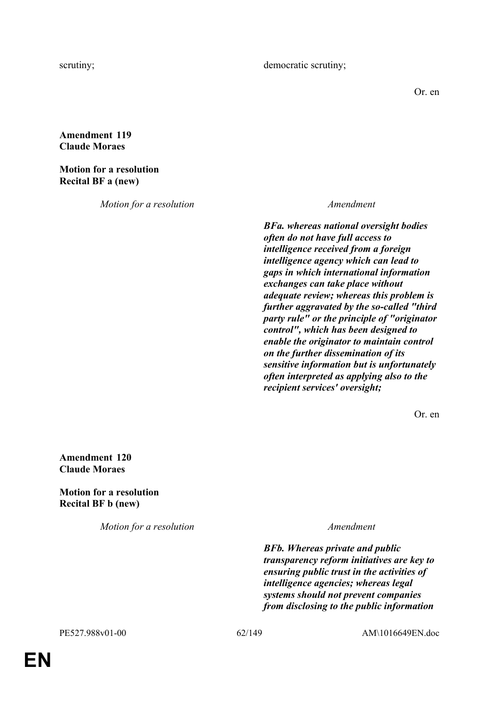Or. en

# **Amendment 119 Claude Moraes**

# **Motion for a resolution Recital BF a (new)**

*Motion for a resolution Amendment*

*BFa. whereas national oversight bodies often do not have full access to intelligence received from a foreign intelligence agency which can lead to gaps in which international information exchanges can take place without adequate review; whereas this problem is further aggravated by the so-called "third party rule" or the principle of "originator control", which has been designed to enable the originator to maintain control on the further dissemination of its sensitive information but is unfortunately often interpreted as applying also to the recipient services' oversight;*

Or. en

**Amendment 120 Claude Moraes**

**Motion for a resolution Recital BF b (new)**

*Motion for a resolution Amendment*

*BFb. Whereas private and public transparency reform initiatives are key to ensuring public trust in the activities of intelligence agencies; whereas legal systems should not prevent companies from disclosing to the public information*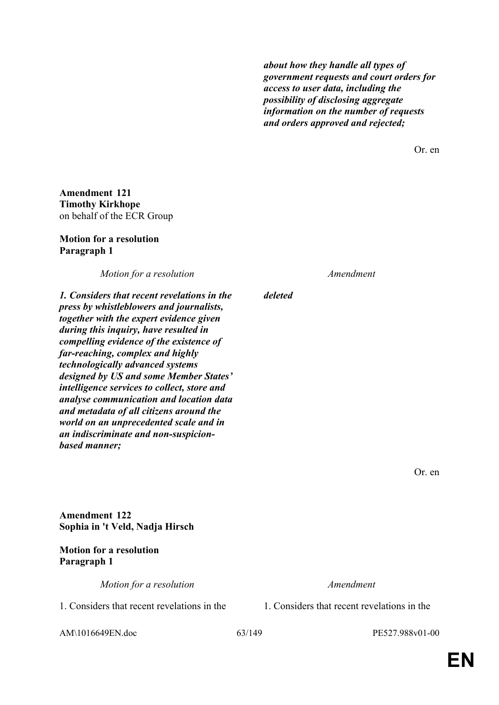*about how they handle all types of government requests and court orders for access to user data, including the possibility of disclosing aggregate information on the number of requests and orders approved and rejected;*

Or. en

**Amendment 121 Timothy Kirkhope** on behalf of the ECR Group

### **Motion for a resolution Paragraph 1**

*Motion for a resolution Amendment*

*deleted*

*1. Considers that recent revelations in the press by whistleblowers and journalists, together with the expert evidence given during this inquiry, have resulted in compelling evidence of the existence of far-reaching, complex and highly technologically advanced systems designed by US and some Member States' intelligence services to collect, store and analyse communication and location data and metadata of all citizens around the world on an unprecedented scale and in an indiscriminate and non-suspicionbased manner;*

Or. en

**Amendment 122 Sophia in 't Veld, Nadja Hirsch**

# **Motion for a resolution Paragraph 1**

*Motion for a resolution Amendment*

1. Considers that recent revelations in the 1. Considers that recent revelations in the

AM\1016649EN.doc 63/149 PE527.988v01-00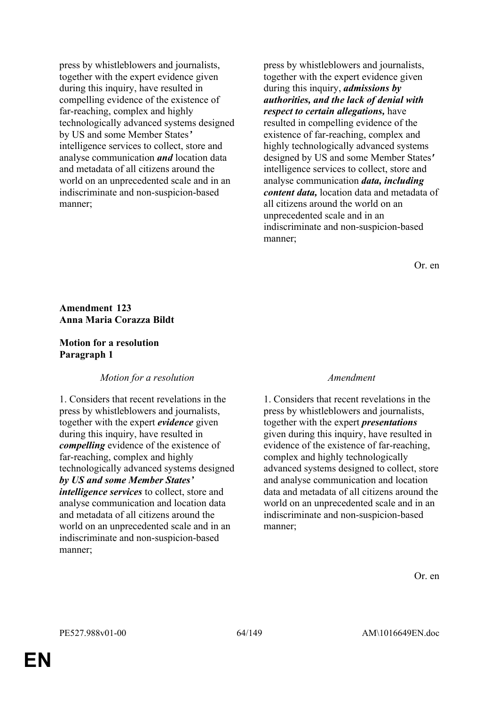press by whistleblowers and journalists, together with the expert evidence given during this inquiry, have resulted in compelling evidence of the existence of far-reaching, complex and highly technologically advanced systems designed by US and some Member States*'* intelligence services to collect, store and analyse communication *and* location data and metadata of all citizens around the world on an unprecedented scale and in an indiscriminate and non-suspicion-based manner;

press by whistleblowers and journalists, together with the expert evidence given during this inquiry, *admissions by authorities, and the lack of denial with respect to certain allegations,* have resulted in compelling evidence of the existence of far-reaching, complex and highly technologically advanced systems designed by US and some Member States*'* intelligence services to collect, store and analyse communication *data, including content data,* location data and metadata of all citizens around the world on an unprecedented scale and in an indiscriminate and non-suspicion-based manner;

Or. en

## **Amendment 123 Anna Maria Corazza Bildt**

## **Motion for a resolution Paragraph 1**

# *Motion for a resolution Amendment*

1. Considers that recent revelations in the press by whistleblowers and journalists, together with the expert *evidence* given during this inquiry, have resulted in *compelling* evidence of the existence of far-reaching, complex and highly technologically advanced systems designed *by US and some Member States' intelligence services* to collect, store and analyse communication and location data and metadata of all citizens around the world on an unprecedented scale and in an indiscriminate and non-suspicion-based manner;

1. Considers that recent revelations in the press by whistleblowers and journalists, together with the expert *presentations*  given during this inquiry, have resulted in evidence of the existence of far-reaching, complex and highly technologically advanced systems designed to collect, store and analyse communication and location data and metadata of all citizens around the world on an unprecedented scale and in an indiscriminate and non-suspicion-based manner;

Or. en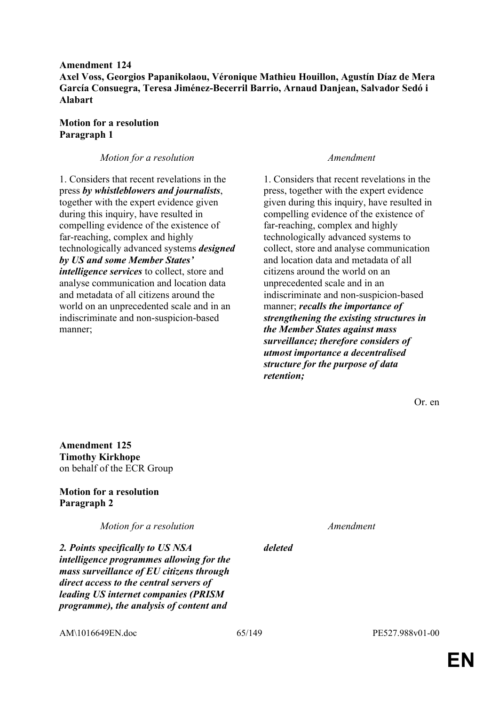**Amendment 124 Axel Voss, Georgios Papanikolaou, Véronique Mathieu Houillon, Agustín Díaz de Mera García Consuegra, Teresa Jiménez-Becerril Barrio, Arnaud Danjean, Salvador Sedó i Alabart**

## **Motion for a resolution Paragraph 1**

## *Motion for a resolution Amendment*

1. Considers that recent revelations in the press *by whistleblowers and journalists*, together with the expert evidence given during this inquiry, have resulted in compelling evidence of the existence of far-reaching, complex and highly technologically advanced systems *designed by US and some Member States' intelligence services* to collect, store and analyse communication and location data and metadata of all citizens around the world on an unprecedented scale and in an indiscriminate and non-suspicion-based manner;

1. Considers that recent revelations in the press, together with the expert evidence given during this inquiry, have resulted in compelling evidence of the existence of far-reaching, complex and highly technologically advanced systems to collect, store and analyse communication and location data and metadata of all citizens around the world on an unprecedented scale and in an indiscriminate and non-suspicion-based manner; *recalls the importance of strengthening the existing structures in the Member States against mass surveillance; therefore considers of utmost importance a decentralised structure for the purpose of data retention;*

Or. en

**Amendment 125 Timothy Kirkhope** on behalf of the ECR Group

# **Motion for a resolution Paragraph 2**

*Motion for a resolution Amendment*

*2. Points specifically to US NSA intelligence programmes allowing for the mass surveillance of EU citizens through direct access to the central servers of leading US internet companies (PRISM programme), the analysis of content and* 

*deleted*

AM\1016649EN.doc 65/149 PE527.988v01-00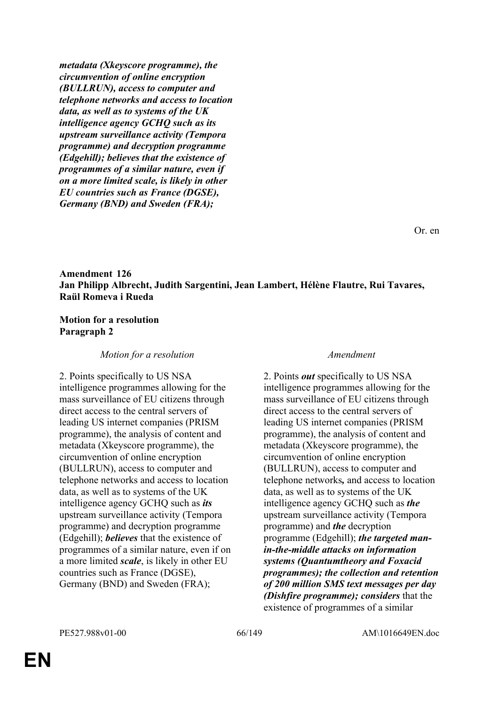*metadata (Xkeyscore programme), the circumvention of online encryption (BULLRUN), access to computer and telephone networks and access to location data, as well as to systems of the UK intelligence agency GCHQ such as its upstream surveillance activity (Tempora programme) and decryption programme (Edgehill); believes that the existence of programmes of a similar nature, even if on a more limited scale, is likely in other EU countries such as France (DGSE), Germany (BND) and Sweden (FRA);*

Or. en

# **Amendment 126 Jan Philipp Albrecht, Judith Sargentini, Jean Lambert, Hélène Flautre, Rui Tavares, Raül Romeva i Rueda**

## **Motion for a resolution Paragraph 2**

## *Motion for a resolution Amendment*

2. Points specifically to US NSA intelligence programmes allowing for the mass surveillance of EU citizens through direct access to the central servers of leading US internet companies (PRISM programme), the analysis of content and metadata (Xkeyscore programme), the circumvention of online encryption (BULLRUN), access to computer and telephone networks and access to location data, as well as to systems of the UK intelligence agency GCHQ such as *its* upstream surveillance activity (Tempora programme) and decryption programme (Edgehill); *believes* that the existence of programmes of a similar nature, even if on a more limited *scale*, is likely in other EU countries such as France (DGSE), Germany (BND) and Sweden (FRA);

2. Points *out* specifically to US NSA intelligence programmes allowing for the mass surveillance of EU citizens through direct access to the central servers of leading US internet companies (PRISM programme), the analysis of content and metadata (Xkeyscore programme), the circumvention of online encryption (BULLRUN), access to computer and telephone networks*,* and access to location data, as well as to systems of the UK intelligence agency GCHQ such as *the* upstream surveillance activity (Tempora programme) and *the* decryption programme (Edgehill); *the targeted manin-the-middle attacks on information systems (Quantumtheory and Foxacid programmes); the collection and retention of 200 million SMS text messages per day (Dishfire programme); considers* that the existence of programmes of a similar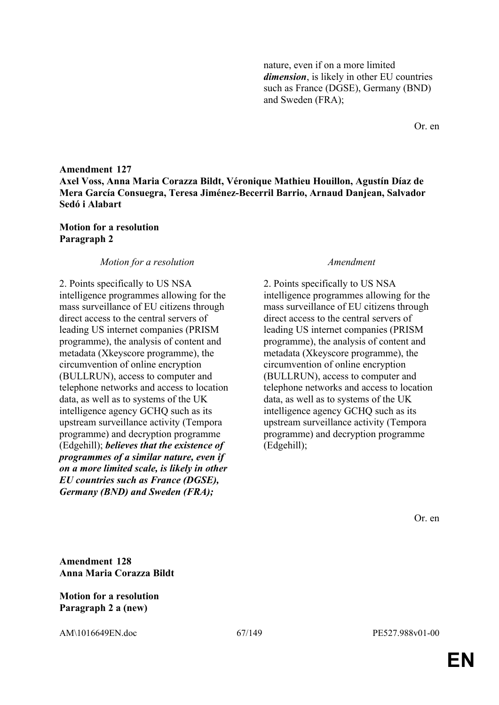nature, even if on a more limited *dimension*, is likely in other EU countries such as France (DGSE), Germany (BND) and Sweden (FRA);

Or. en

# **Amendment 127 Axel Voss, Anna Maria Corazza Bildt, Véronique Mathieu Houillon, Agustín Díaz de Mera García Consuegra, Teresa Jiménez-Becerril Barrio, Arnaud Danjean, Salvador Sedó i Alabart**

## **Motion for a resolution Paragraph 2**

### *Motion for a resolution Amendment*

2. Points specifically to US NSA intelligence programmes allowing for the mass surveillance of EU citizens through direct access to the central servers of leading US internet companies (PRISM programme), the analysis of content and metadata (Xkeyscore programme), the circumvention of online encryption (BULLRUN), access to computer and telephone networks and access to location data, as well as to systems of the UK intelligence agency GCHQ such as its upstream surveillance activity (Tempora programme) and decryption programme (Edgehill); *believes that the existence of programmes of a similar nature, even if on a more limited scale, is likely in other EU countries such as France (DGSE), Germany (BND) and Sweden (FRA);*

2. Points specifically to US NSA intelligence programmes allowing for the mass surveillance of EU citizens through direct access to the central servers of leading US internet companies (PRISM programme), the analysis of content and metadata (Xkeyscore programme), the circumvention of online encryption (BULLRUN), access to computer and telephone networks and access to location data, as well as to systems of the UK intelligence agency GCHQ such as its upstream surveillance activity (Tempora programme) and decryption programme (Edgehill);

Or. en

**Amendment 128 Anna Maria Corazza Bildt**

## **Motion for a resolution Paragraph 2 a (new)**

AM\1016649EN.doc 67/149 PE527.988v01-00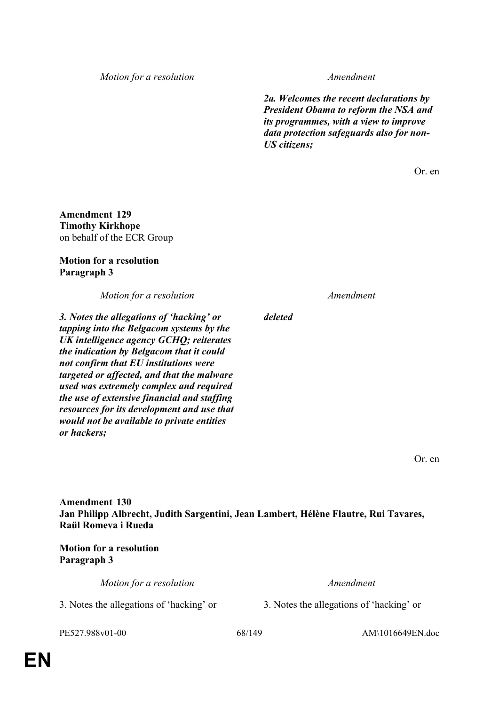*Motion for a resolution Amendment*

*2a. Welcomes the recent declarations by President Obama to reform the NSA and its programmes, with a view to improve data protection safeguards also for non-US citizens;*

Or. en

**Amendment 129 Timothy Kirkhope** on behalf of the ECR Group

### **Motion for a resolution Paragraph 3**

*Motion for a resolution Amendment*

*3. Notes the allegations of 'hacking' or tapping into the Belgacom systems by the UK intelligence agency GCHQ; reiterates the indication by Belgacom that it could not confirm that EU institutions were targeted or affected, and that the malware used was extremely complex and required the use of extensive financial and staffing resources for its development and use that would not be available to private entities or hackers;*

*deleted*

Or. en

**Amendment 130 Jan Philipp Albrecht, Judith Sargentini, Jean Lambert, Hélène Flautre, Rui Tavares, Raül Romeva i Rueda**

**Motion for a resolution Paragraph 3**

*Motion for a resolution Amendment*

3. Notes the allegations of 'hacking' or 3. Notes the allegations of 'hacking' or

PE527.988v01-00 68/149 AM\1016649EN.doc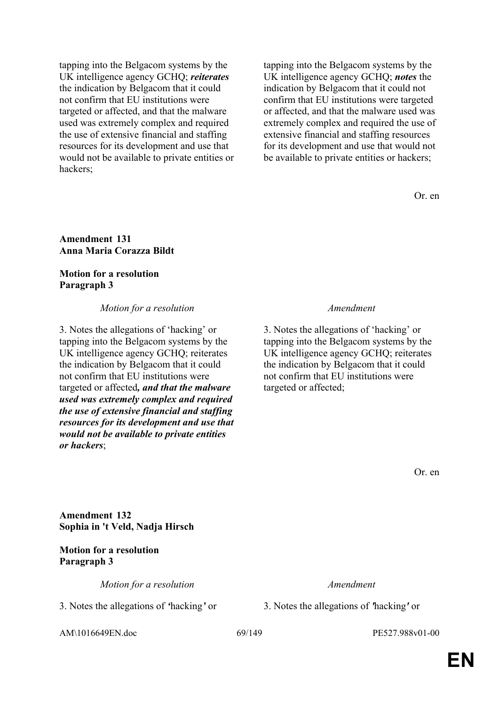tapping into the Belgacom systems by the UK intelligence agency GCHQ; *reiterates* the indication by Belgacom that it could not confirm that EU institutions were targeted or affected, and that the malware used was extremely complex and required the use of extensive financial and staffing resources for its development and use that would not be available to private entities or hackers;

tapping into the Belgacom systems by the UK intelligence agency GCHQ; *notes* the indication by Belgacom that it could not confirm that EU institutions were targeted or affected, and that the malware used was extremely complex and required the use of extensive financial and staffing resources for its development and use that would not be available to private entities or hackers;

Or. en

### **Amendment 131 Anna Maria Corazza Bildt**

## **Motion for a resolution Paragraph 3**

## *Motion for a resolution Amendment*

3. Notes the allegations of 'hacking' or tapping into the Belgacom systems by the UK intelligence agency GCHQ; reiterates the indication by Belgacom that it could not confirm that EU institutions were targeted or affected*, and that the malware used was extremely complex and required the use of extensive financial and staffing resources for its development and use that would not be available to private entities or hackers*;

3. Notes the allegations of 'hacking' or tapping into the Belgacom systems by the UK intelligence agency GCHQ; reiterates the indication by Belgacom that it could not confirm that EU institutions were targeted or affected;

Or. en

**Amendment 132 Sophia in 't Veld, Nadja Hirsch**

**Motion for a resolution Paragraph 3**

*Motion for a resolution Amendment*

3. Notes the allegations of *'*hacking*'* or 3. Notes the allegations of *'*hacking*'* or

AM\1016649EN.doc 69/149 PE527.988v01-00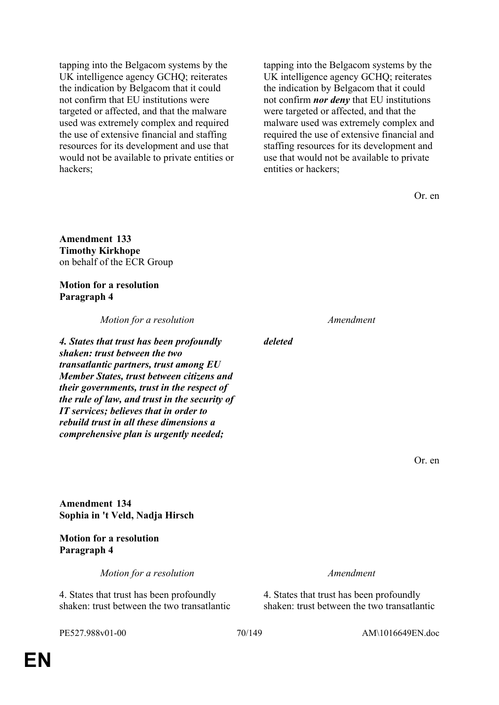tapping into the Belgacom systems by the UK intelligence agency GCHQ; reiterates the indication by Belgacom that it could not confirm that EU institutions were targeted or affected, and that the malware used was extremely complex and required the use of extensive financial and staffing resources for its development and use that would not be available to private entities or hackers;

tapping into the Belgacom systems by the UK intelligence agency GCHQ; reiterates the indication by Belgacom that it could not confirm *nor deny* that EU institutions were targeted or affected, and that the malware used was extremely complex and required the use of extensive financial and staffing resources for its development and use that would not be available to private entities or hackers;

Or. en

**Amendment 133 Timothy Kirkhope** on behalf of the ECR Group

**Motion for a resolution Paragraph 4**

*Motion for a resolution Amendment*

*4. States that trust has been profoundly shaken: trust between the two transatlantic partners, trust among EU Member States, trust between citizens and their governments, trust in the respect of the rule of law, and trust in the security of IT services; believes that in order to rebuild trust in all these dimensions a comprehensive plan is urgently needed;*

*deleted*

Or. en

**Amendment 134 Sophia in 't Veld, Nadja Hirsch**

**Motion for a resolution Paragraph 4**

*Motion for a resolution Amendment*

4. States that trust has been profoundly shaken: trust between the two transatlantic

4. States that trust has been profoundly shaken: trust between the two transatlantic

PE527.988v01-00 70/149 AM\1016649EN.doc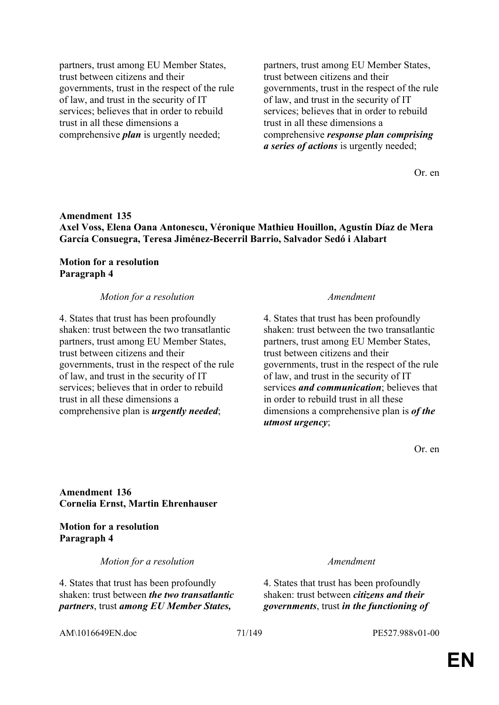partners, trust among EU Member States, trust between citizens and their governments, trust in the respect of the rule of law, and trust in the security of IT services; believes that in order to rebuild trust in all these dimensions a comprehensive *plan* is urgently needed;

partners, trust among EU Member States, trust between citizens and their governments, trust in the respect of the rule of law, and trust in the security of IT services; believes that in order to rebuild trust in all these dimensions a comprehensive *response plan comprising a series of actions* is urgently needed;

Or. en

## **Amendment 135 Axel Voss, Elena Oana Antonescu, Véronique Mathieu Houillon, Agustín Díaz de Mera García Consuegra, Teresa Jiménez-Becerril Barrio, Salvador Sedó i Alabart**

## **Motion for a resolution Paragraph 4**

### *Motion for a resolution Amendment*

4. States that trust has been profoundly shaken: trust between the two transatlantic partners, trust among EU Member States, trust between citizens and their governments, trust in the respect of the rule of law, and trust in the security of IT services; believes that in order to rebuild trust in all these dimensions a comprehensive plan is *urgently needed*;

4. States that trust has been profoundly shaken: trust between the two transatlantic partners, trust among EU Member States, trust between citizens and their governments, trust in the respect of the rule of law, and trust in the security of IT services *and communication*; believes that in order to rebuild trust in all these dimensions a comprehensive plan is *of the utmost urgency*;

Or. en

# **Amendment 136 Cornelia Ernst, Martin Ehrenhauser**

## **Motion for a resolution Paragraph 4**

*Motion for a resolution Amendment*

4. States that trust has been profoundly shaken: trust between *the two transatlantic partners*, trust *among EU Member States,* 

4. States that trust has been profoundly shaken: trust between *citizens and their governments*, trust *in the functioning of* 

AM\1016649EN.doc 71/149 PE527.988v01-00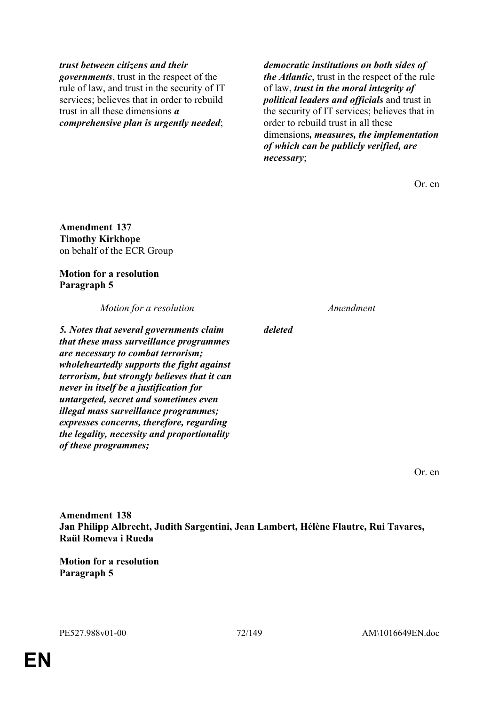## *trust between citizens and their*

*governments*, trust in the respect of the rule of law, and trust in the security of IT services; believes that in order to rebuild trust in all these dimensions *a comprehensive plan is urgently needed*;

*democratic institutions on both sides of the Atlantic*, trust in the respect of the rule of law, *trust in the moral integrity of political leaders and officials* and trust in the security of IT services; believes that in order to rebuild trust in all these dimensions*, measures, the implementation of which can be publicly verified, are necessary*;

Or. en

**Amendment 137 Timothy Kirkhope** on behalf of the ECR Group

## **Motion for a resolution Paragraph 5**

*Motion for a resolution Amendment*

*5. Notes that several governments claim that these mass surveillance programmes are necessary to combat terrorism; wholeheartedly supports the fight against terrorism, but strongly believes that it can never in itself be a justification for untargeted, secret and sometimes even illegal mass surveillance programmes; expresses concerns, therefore, regarding the legality, necessity and proportionality of these programmes;*

*deleted*

Or. en

**Amendment 138 Jan Philipp Albrecht, Judith Sargentini, Jean Lambert, Hélène Flautre, Rui Tavares, Raül Romeva i Rueda**

**Motion for a resolution Paragraph 5**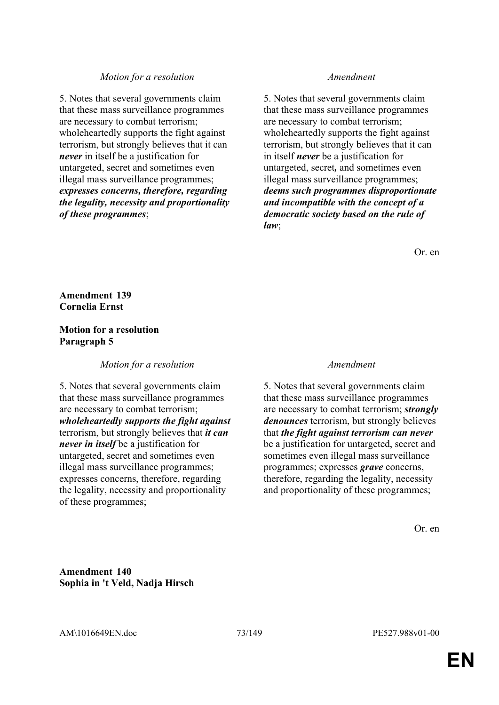### *Motion for a resolution Amendment*

5. Notes that several governments claim that these mass surveillance programmes are necessary to combat terrorism; wholeheartedly supports the fight against terrorism, but strongly believes that it can *never* in itself be a justification for untargeted, secret and sometimes even illegal mass surveillance programmes; *expresses concerns, therefore, regarding the legality, necessity and proportionality of these programmes*;

5. Notes that several governments claim that these mass surveillance programmes are necessary to combat terrorism; wholeheartedly supports the fight against terrorism, but strongly believes that it can in itself *never* be a justification for untargeted, secret*,* and sometimes even illegal mass surveillance programmes; *deems such programmes disproportionate and incompatible with the concept of a democratic society based on the rule of law*;

Or. en

# **Amendment 139 Cornelia Ernst**

### **Motion for a resolution Paragraph 5**

*Motion for a resolution Amendment*

5. Notes that several governments claim that these mass surveillance programmes are necessary to combat terrorism; *wholeheartedly supports the fight against* terrorism, but strongly believes that *it can never in itself* be a justification for untargeted, secret and sometimes even illegal mass surveillance programmes; expresses concerns, therefore, regarding the legality, necessity and proportionality of these programmes;

5. Notes that several governments claim that these mass surveillance programmes are necessary to combat terrorism; *strongly denounces* terrorism, but strongly believes that *the fight against terrorism can never*  be a justification for untargeted, secret and sometimes even illegal mass surveillance programmes; expresses *grave* concerns, therefore, regarding the legality, necessity and proportionality of these programmes;

Or. en

**Amendment 140 Sophia in 't Veld, Nadja Hirsch**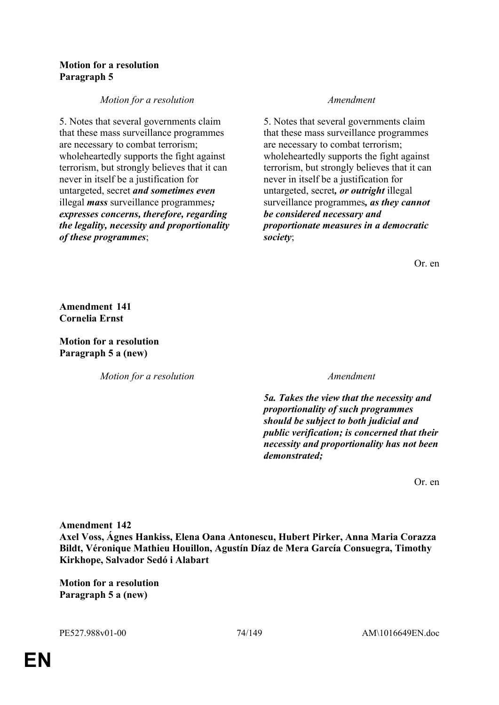### **Motion for a resolution Paragraph 5**

# *Motion for a resolution Amendment*

5. Notes that several governments claim that these mass surveillance programmes are necessary to combat terrorism; wholeheartedly supports the fight against terrorism, but strongly believes that it can never in itself be a justification for untargeted, secret *and sometimes even* illegal *mass* surveillance programmes*; expresses concerns, therefore, regarding the legality, necessity and proportionality of these programmes*;

5. Notes that several governments claim that these mass surveillance programmes are necessary to combat terrorism; wholeheartedly supports the fight against terrorism, but strongly believes that it can never in itself be a justification for untargeted, secret*, or outright* illegal surveillance programmes*, as they cannot be considered necessary and proportionate measures in a democratic society*;

Or. en

**Amendment 141 Cornelia Ernst**

**Motion for a resolution Paragraph 5 a (new)**

*Motion for a resolution Amendment*

*5a. Takes the view that the necessity and proportionality of such programmes should be subject to both judicial and public verification; is concerned that their necessity and proportionality has not been demonstrated;*

Or. en

**Amendment 142**

**Axel Voss, Ágnes Hankiss, Elena Oana Antonescu, Hubert Pirker, Anna Maria Corazza Bildt, Véronique Mathieu Houillon, Agustín Díaz de Mera García Consuegra, Timothy Kirkhope, Salvador Sedó i Alabart**

**Motion for a resolution Paragraph 5 a (new)**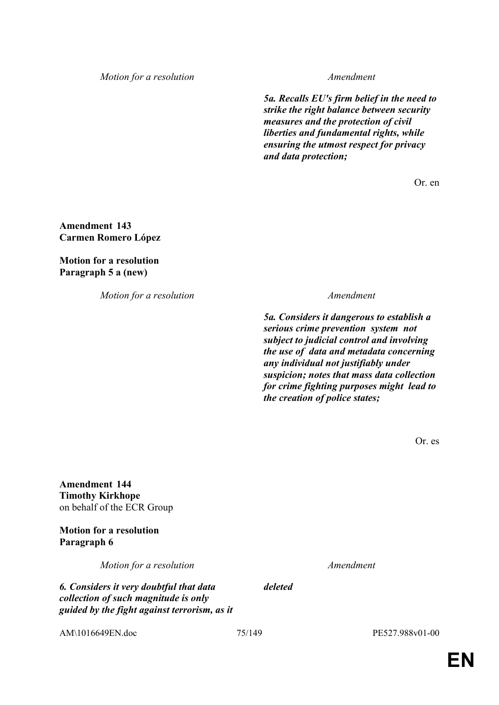*Motion for a resolution Amendment*

*5a. Recalls EU's firm belief in the need to strike the right balance between security measures and the protection of civil liberties and fundamental rights, while ensuring the utmost respect for privacy and data protection;*

Or. en

**Amendment 143 Carmen Romero López**

**Motion for a resolution Paragraph 5 a (new)**

*Motion for a resolution Amendment*

*5a. Considers it dangerous to establish a serious crime prevention system not subject to judicial control and involving the use of data and metadata concerning any individual not justifiably under suspicion; notes that mass data collection for crime fighting purposes might lead to the creation of police states;*

Or. es

**Amendment 144 Timothy Kirkhope** on behalf of the ECR Group

**Motion for a resolution Paragraph 6**

*Motion for a resolution Amendment*

*6. Considers it very doubtful that data collection of such magnitude is only guided by the fight against terrorism, as it*  *deleted*

AM\1016649EN.doc 75/149 PE527.988v01-00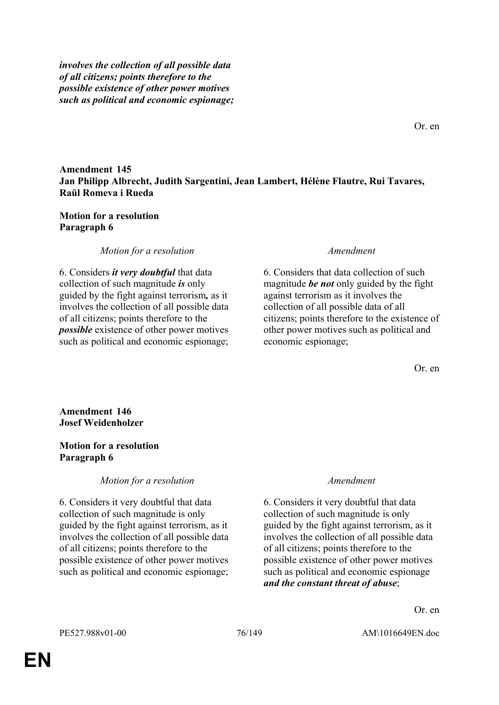*involves the collection of all possible data of all citizens; points therefore to the possible existence of other power motives such as political and economic espionage;*

**Amendment 145 Jan Philipp Albrecht, Judith Sargentini, Jean Lambert, Hélène Flautre, Rui Tavares, Raül Romeva i Rueda**

### **Motion for a resolution Paragraph 6**

*Motion for a resolution Amendment*

6. Considers *it very doubtful* that data collection of such magnitude *is* only guided by the fight against terrorism*,* as it involves the collection of all possible data of all citizens; points therefore to the *possible* existence of other power motives such as political and economic espionage;

6. Considers that data collection of such magnitude *be not* only guided by the fight against terrorism as it involves the collection of all possible data of all citizens; points therefore to the existence of other power motives such as political and economic espionage;

Or. en

**Amendment 146 Josef Weidenholzer**

### **Motion for a resolution Paragraph 6**

*Motion for a resolution Amendment*

6. Considers it very doubtful that data collection of such magnitude is only guided by the fight against terrorism, as it involves the collection of all possible data of all citizens; points therefore to the possible existence of other power motives such as political and economic espionage;

6. Considers it very doubtful that data collection of such magnitude is only guided by the fight against terrorism, as it involves the collection of all possible data of all citizens; points therefore to the possible existence of other power motives such as political and economic espionage *and the constant threat of abuse*;

Or. en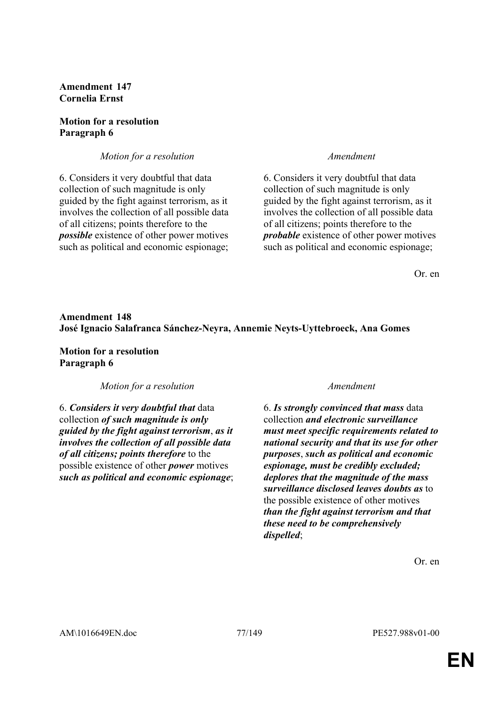# **Amendment 147 Cornelia Ernst**

### **Motion for a resolution Paragraph 6**

# *Motion for a resolution Amendment*

6. Considers it very doubtful that data collection of such magnitude is only guided by the fight against terrorism, as it involves the collection of all possible data of all citizens; points therefore to the *possible* existence of other power motives such as political and economic espionage;

6. Considers it very doubtful that data collection of such magnitude is only guided by the fight against terrorism, as it involves the collection of all possible data of all citizens; points therefore to the *probable* existence of other power motives such as political and economic espionage;

Or. en

# **Amendment 148 José Ignacio Salafranca Sánchez-Neyra, Annemie Neyts-Uyttebroeck, Ana Gomes**

**Motion for a resolution Paragraph 6**

*Motion for a resolution Amendment*

6. *Considers it very doubtful that* data collection *of such magnitude is only guided by the fight against terrorism*, *as it involves the collection of all possible data of all citizens; points therefore* to the possible existence of other *power* motives *such as political and economic espionage*;

6. *Is strongly convinced that mass* data collection *and electronic surveillance must meet specific requirements related to national security and that its use for other purposes*, *such as political and economic espionage, must be credibly excluded; deplores that the magnitude of the mass surveillance disclosed leaves doubts as* to the possible existence of other motives *than the fight against terrorism and that these need to be comprehensively dispelled*;

Or. en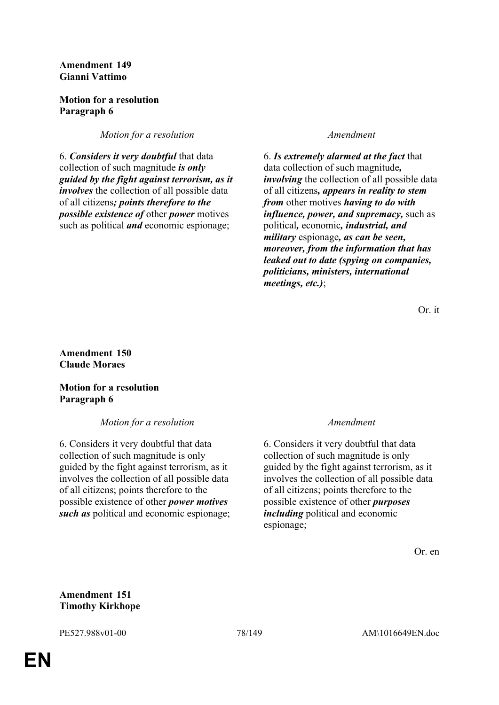### **Amendment 149 Gianni Vattimo**

# **Motion for a resolution Paragraph 6**

*Motion for a resolution Amendment* 

6. *Considers it very doubtful* that data collection of such magnitude *is only guided by the fight against terrorism, as it involves* the collection of all possible data of all citizens*; points therefore to the possible existence of* other *power* motives such as political *and* economic espionage;

6. *Is extremely alarmed at the fact* that data collection of such magnitude*, involving* the collection of all possible data of all citizens*, appears in reality to stem from* other motives *having to do with influence, power, and supremacy,* such as political*,* economic*, industrial, and military* espionage*, as can be seen, moreover, from the information that has leaked out to date (spying on companies, politicians, ministers, international meetings, etc.)*;

Or. it

**Amendment 150 Claude Moraes**

**Motion for a resolution Paragraph 6**

*Motion for a resolution Amendment*

6. Considers it very doubtful that data collection of such magnitude is only guided by the fight against terrorism, as it involves the collection of all possible data of all citizens; points therefore to the possible existence of other *power motives such as* political and economic espionage;

6. Considers it very doubtful that data collection of such magnitude is only guided by the fight against terrorism, as it involves the collection of all possible data of all citizens; points therefore to the possible existence of other *purposes including* political and economic espionage;

Or. en

### **Amendment 151 Timothy Kirkhope**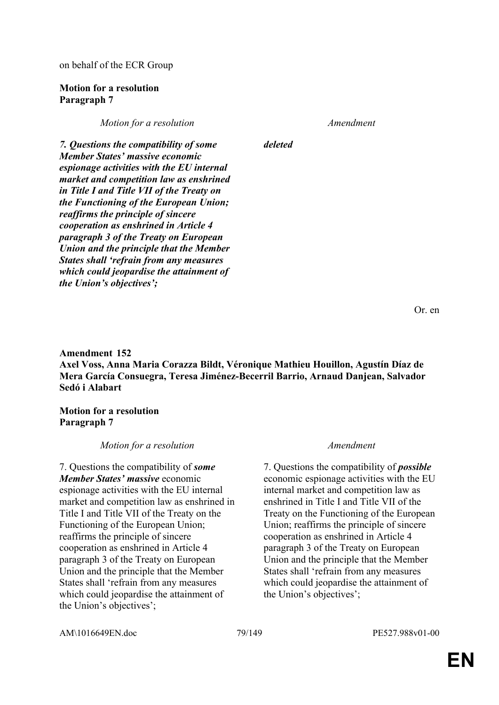on behalf of the ECR Group

### **Motion for a resolution Paragraph 7**

*Motion for a resolution Amendment*

*deleted*

*7. Questions the compatibility of some Member States' massive economic espionage activities with the EU internal market and competition law as enshrined in Title I and Title VII of the Treaty on the Functioning of the European Union; reaffirms the principle of sincere cooperation as enshrined in Article 4 paragraph 3 of the Treaty on European Union and the principle that the Member States shall 'refrain from any measures which could jeopardise the attainment of the Union's objectives';*

Or. en

**Amendment 152 Axel Voss, Anna Maria Corazza Bildt, Véronique Mathieu Houillon, Agustín Díaz de Mera García Consuegra, Teresa Jiménez-Becerril Barrio, Arnaud Danjean, Salvador Sedó i Alabart**

**Motion for a resolution Paragraph 7**

### *Motion for a resolution Amendment*

7. Questions the compatibility of *some Member States' massive* economic espionage activities with the EU internal market and competition law as enshrined in Title I and Title VII of the Treaty on the Functioning of the European Union; reaffirms the principle of sincere cooperation as enshrined in Article 4 paragraph 3 of the Treaty on European Union and the principle that the Member States shall 'refrain from any measures which could jeopardise the attainment of the Union's objectives';

7. Questions the compatibility of *possible* economic espionage activities with the EU internal market and competition law as enshrined in Title I and Title VII of the Treaty on the Functioning of the European Union; reaffirms the principle of sincere cooperation as enshrined in Article 4 paragraph 3 of the Treaty on European Union and the principle that the Member States shall 'refrain from any measures which could jeopardise the attainment of the Union's objectives';

AM\1016649EN.doc 79/149 PE527.988v01-00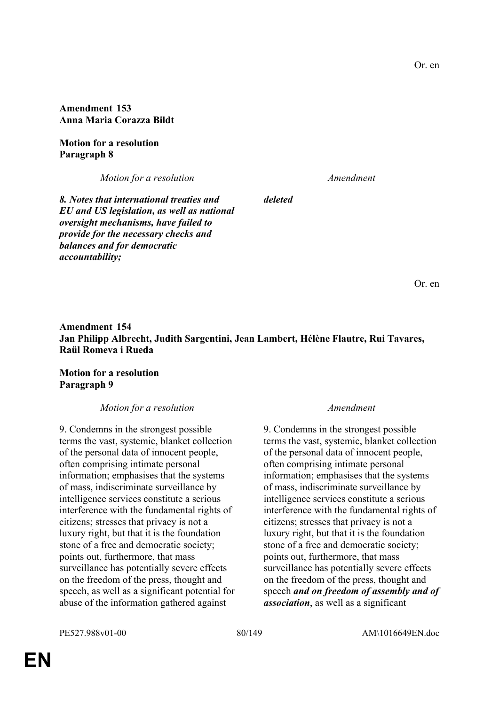**Amendment 153 Anna Maria Corazza Bildt**

**Motion for a resolution Paragraph 8**

*Motion for a resolution Amendment*

*8. Notes that international treaties and EU and US legislation, as well as national oversight mechanisms, have failed to provide for the necessary checks and balances and for democratic accountability;*

Or. en

# **Amendment 154 Jan Philipp Albrecht, Judith Sargentini, Jean Lambert, Hélène Flautre, Rui Tavares, Raül Romeva i Rueda**

*deleted*

**Motion for a resolution Paragraph 9**

*Motion for a resolution Amendment*

9. Condemns in the strongest possible terms the vast, systemic, blanket collection of the personal data of innocent people, often comprising intimate personal information; emphasises that the systems of mass, indiscriminate surveillance by intelligence services constitute a serious interference with the fundamental rights of citizens; stresses that privacy is not a luxury right, but that it is the foundation stone of a free and democratic society; points out, furthermore, that mass surveillance has potentially severe effects on the freedom of the press, thought and speech, as well as a significant potential for abuse of the information gathered against

9. Condemns in the strongest possible terms the vast, systemic, blanket collection of the personal data of innocent people, often comprising intimate personal information; emphasises that the systems of mass, indiscriminate surveillance by intelligence services constitute a serious interference with the fundamental rights of citizens; stresses that privacy is not a luxury right, but that it is the foundation stone of a free and democratic society; points out, furthermore, that mass surveillance has potentially severe effects on the freedom of the press, thought and speech *and on freedom of assembly and of association*, as well as a significant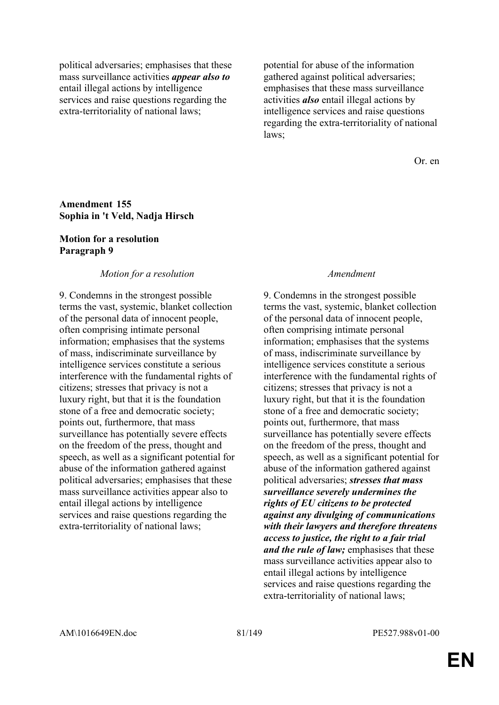political adversaries; emphasises that these mass surveillance activities *appear also to* entail illegal actions by intelligence services and raise questions regarding the extra-territoriality of national laws;

potential for abuse of the information gathered against political adversaries; emphasises that these mass surveillance activities *also* entail illegal actions by intelligence services and raise questions regarding the extra-territoriality of national laws;

Or. en

### **Amendment 155 Sophia in 't Veld, Nadja Hirsch**

### **Motion for a resolution Paragraph 9**

### *Motion for a resolution Amendment*

9. Condemns in the strongest possible terms the vast, systemic, blanket collection of the personal data of innocent people, often comprising intimate personal information; emphasises that the systems of mass, indiscriminate surveillance by intelligence services constitute a serious interference with the fundamental rights of citizens; stresses that privacy is not a luxury right, but that it is the foundation stone of a free and democratic society; points out, furthermore, that mass surveillance has potentially severe effects on the freedom of the press, thought and speech, as well as a significant potential for abuse of the information gathered against political adversaries; emphasises that these mass surveillance activities appear also to entail illegal actions by intelligence services and raise questions regarding the extra-territoriality of national laws;

9. Condemns in the strongest possible terms the vast, systemic, blanket collection of the personal data of innocent people, often comprising intimate personal information; emphasises that the systems of mass, indiscriminate surveillance by intelligence services constitute a serious interference with the fundamental rights of citizens; stresses that privacy is not a luxury right, but that it is the foundation stone of a free and democratic society; points out, furthermore, that mass surveillance has potentially severe effects on the freedom of the press, thought and speech, as well as a significant potential for abuse of the information gathered against political adversaries; *stresses that mass surveillance severely undermines the rights of EU citizens to be protected against any divulging of communications with their lawyers and therefore threatens access to justice, the right to a fair trial and the rule of law;* emphasises that these mass surveillance activities appear also to entail illegal actions by intelligence services and raise questions regarding the extra-territoriality of national laws;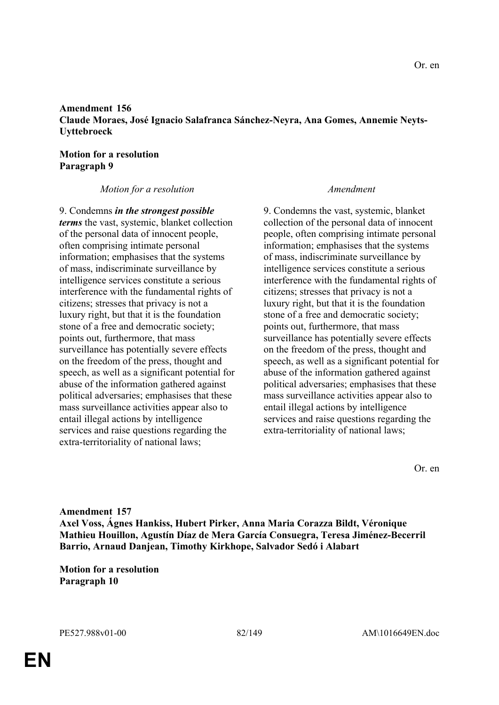# **Amendment 156 Claude Moraes, José Ignacio Salafranca Sánchez-Neyra, Ana Gomes, Annemie Neyts-Uyttebroeck**

# **Motion for a resolution Paragraph 9**

# *Motion for a resolution Amendment*

9. Condemns *in the strongest possible terms* the vast, systemic, blanket collection of the personal data of innocent people, often comprising intimate personal information; emphasises that the systems of mass, indiscriminate surveillance by intelligence services constitute a serious interference with the fundamental rights of citizens; stresses that privacy is not a luxury right, but that it is the foundation stone of a free and democratic society; points out, furthermore, that mass surveillance has potentially severe effects on the freedom of the press, thought and speech, as well as a significant potential for abuse of the information gathered against political adversaries; emphasises that these mass surveillance activities appear also to entail illegal actions by intelligence services and raise questions regarding the extra-territoriality of national laws;

9. Condemns the vast, systemic, blanket collection of the personal data of innocent people, often comprising intimate personal information; emphasises that the systems of mass, indiscriminate surveillance by intelligence services constitute a serious interference with the fundamental rights of citizens; stresses that privacy is not a luxury right, but that it is the foundation stone of a free and democratic society; points out, furthermore, that mass surveillance has potentially severe effects on the freedom of the press, thought and speech, as well as a significant potential for abuse of the information gathered against political adversaries; emphasises that these mass surveillance activities appear also to entail illegal actions by intelligence services and raise questions regarding the extra-territoriality of national laws;

Or. en

**Amendment 157 Axel Voss, Ágnes Hankiss, Hubert Pirker, Anna Maria Corazza Bildt, Véronique Mathieu Houillon, Agustín Díaz de Mera García Consuegra, Teresa Jiménez-Becerril Barrio, Arnaud Danjean, Timothy Kirkhope, Salvador Sedó i Alabart**

**Motion for a resolution Paragraph 10**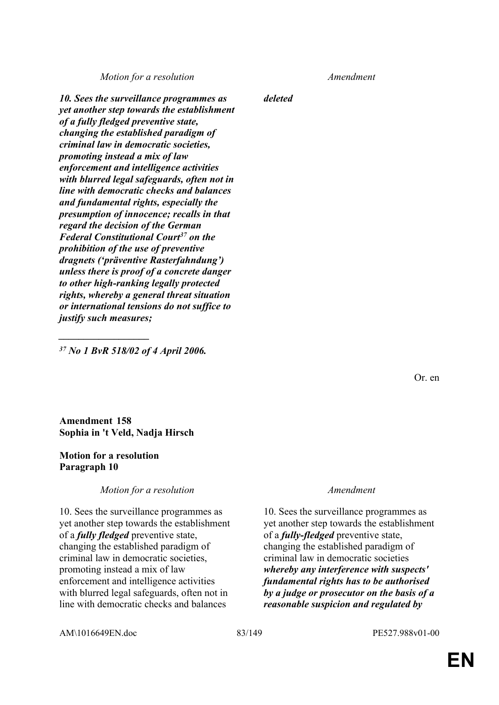*Motion for a resolution Amendment*

*10. Sees the surveillance programmes as yet another step towards the establishment of a fully fledged preventive state, changing the established paradigm of criminal law in democratic societies, promoting instead a mix of law enforcement and intelligence activities with blurred legal safeguards, often not in line with democratic checks and balances and fundamental rights, especially the presumption of innocence; recalls in that regard the decision of the German Federal Constitutional Court<sup>37</sup> on the prohibition of the use of preventive dragnets ('präventive Rasterfahndung') unless there is proof of a concrete danger to other high-ranking legally protected rights, whereby a general threat situation or international tensions do not suffice to justify such measures;*

*<sup>37</sup> No 1 BvR 518/02 of 4 April 2006.*

*\_\_\_\_\_\_\_\_\_\_\_\_\_\_\_\_\_\_*

**Amendment 158 Sophia in 't Veld, Nadja Hirsch**

### **Motion for a resolution Paragraph 10**

### *Motion for a resolution Amendment*

10. Sees the surveillance programmes as yet another step towards the establishment of a *fully fledged* preventive state, changing the established paradigm of criminal law in democratic societies, promoting instead a mix of law enforcement and intelligence activities with blurred legal safeguards, often not in line with democratic checks and balances

*deleted*

10. Sees the surveillance programmes as yet another step towards the establishment of a *fully-fledged* preventive state, changing the established paradigm of criminal law in democratic societies *whereby any interference with suspects' fundamental rights has to be authorised by a judge or prosecutor on the basis of a reasonable suspicion and regulated by* 

AM\1016649EN.doc 83/149 PE527.988v01-00

Or. en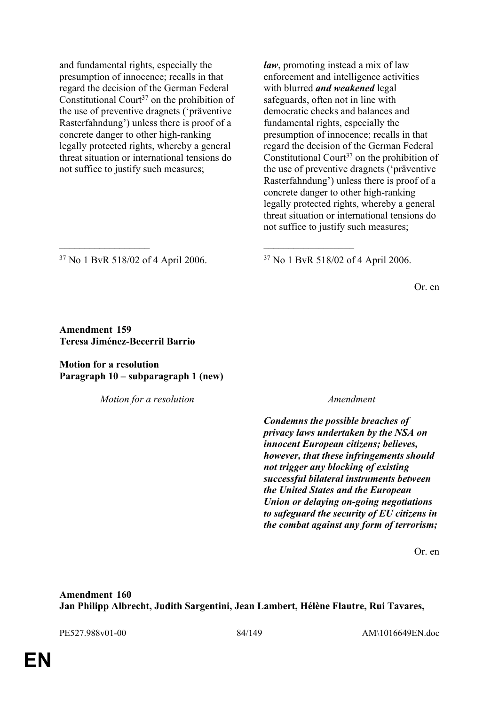and fundamental rights, especially the presumption of innocence; recalls in that regard the decision of the German Federal Constitutional Court<sup>37</sup> on the prohibition of the use of preventive dragnets ('präventive Rasterfahndung') unless there is proof of a concrete danger to other high-ranking legally protected rights, whereby a general threat situation or international tensions do not suffice to justify such measures;

*law*, promoting instead a mix of law enforcement and intelligence activities with blurred *and weakened* legal safeguards, often not in line with democratic checks and balances and fundamental rights, especially the presumption of innocence; recalls in that regard the decision of the German Federal Constitutional Court<sup>37</sup> on the prohibition of the use of preventive dragnets ('präventive Rasterfahndung') unless there is proof of a concrete danger to other high-ranking legally protected rights, whereby a general threat situation or international tensions do not suffice to justify such measures;

<sup>37</sup> No 1 BvR 518/02 of 4 April 2006. <sup>37</sup> No 1 BvR 518/02 of 4 April 2006.

 $\mathcal{L}_\mathcal{L}$  , and the contribution of the contribution of the contribution of the contribution of the contribution of the contribution of the contribution of the contribution of the contribution of the contribution of

Or. en

### **Amendment 159 Teresa Jiménez-Becerril Barrio**

### **Motion for a resolution Paragraph 10 – subparagraph 1 (new)**

*Motion for a resolution Amendment*

*Condemns the possible breaches of privacy laws undertaken by the NSA on innocent European citizens; believes, however, that these infringements should not trigger any blocking of existing successful bilateral instruments between the United States and the European Union or delaying on-going negotiations to safeguard the security of EU citizens in the combat against any form of terrorism;*

Or. en

**Amendment 160 Jan Philipp Albrecht, Judith Sargentini, Jean Lambert, Hélène Flautre, Rui Tavares,** 

PE527.988v01-00 84/149 AM\1016649EN.doc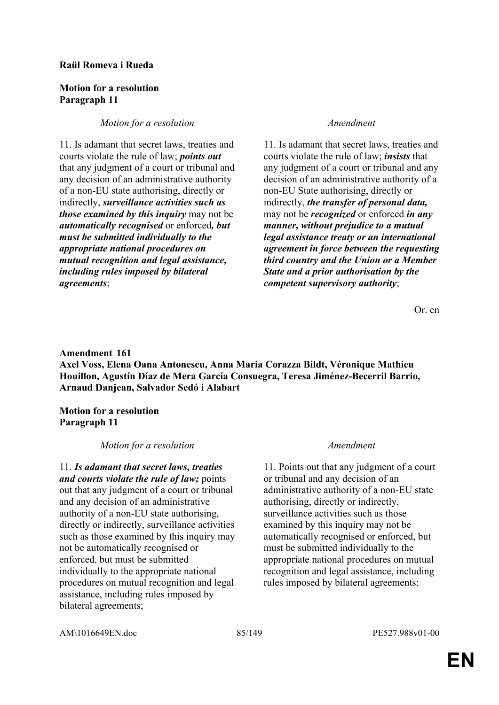### **Raül Romeva i Rueda**

### **Motion for a resolution Paragraph 11**

# *Motion for a resolution Amendment*

11. Is adamant that secret laws, treaties and courts violate the rule of law; *points out* that any judgment of a court or tribunal and any decision of an administrative authority of a non-EU state authorising, directly or indirectly, *surveillance activities such as those examined by this inquiry* may not be *automatically recognised* or enforced*, but must be submitted individually to the appropriate national procedures on mutual recognition and legal assistance, including rules imposed by bilateral agreements*;

11. Is adamant that secret laws, treaties and courts violate the rule of law; *insists* that any judgment of a court or tribunal and any decision of an administrative authority of a non-EU State authorising, directly or indirectly, *the transfer of personal data,* may not be *recognized* or enforced *in any manner, without prejudice to a mutual legal assistance treaty or an international agreement in force between the requesting third country and the Union or a Member State and a prior authorisation by the competent supervisory authority*;

Or. en

# **Amendment 161 Axel Voss, Elena Oana Antonescu, Anna Maria Corazza Bildt, Véronique Mathieu Houillon, Agustín Díaz de Mera García Consuegra, Teresa Jiménez-Becerril Barrio, Arnaud Danjean, Salvador Sedó i Alabart**

**Motion for a resolution Paragraph 11**

# *Motion for a resolution Amendment*

11. *Is adamant that secret laws, treaties and courts violate the rule of law;* points out that any judgment of a court or tribunal and any decision of an administrative authority of a non-EU state authorising, directly or indirectly, surveillance activities such as those examined by this inquiry may not be automatically recognised or enforced, but must be submitted individually to the appropriate national procedures on mutual recognition and legal assistance, including rules imposed by bilateral agreements;

11. Points out that any judgment of a court or tribunal and any decision of an administrative authority of a non-EU state authorising, directly or indirectly, surveillance activities such as those examined by this inquiry may not be automatically recognised or enforced, but must be submitted individually to the appropriate national procedures on mutual recognition and legal assistance, including rules imposed by bilateral agreements;

AM\1016649EN.doc 85/149 PE527.988v01-00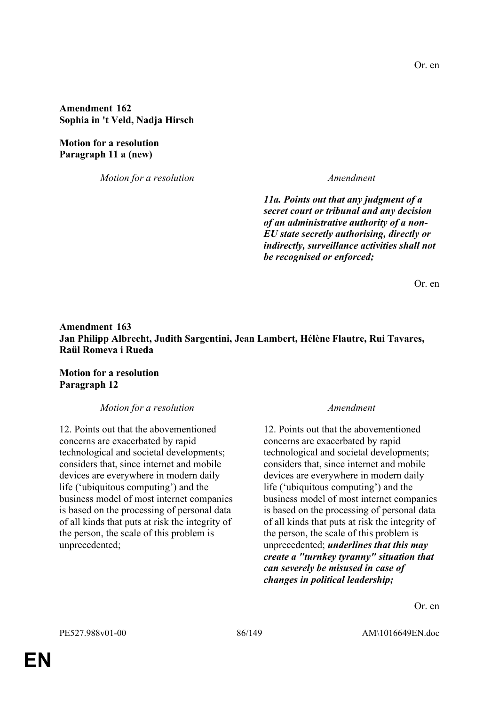**Amendment 162 Sophia in 't Veld, Nadja Hirsch**

**Motion for a resolution Paragraph 11 a (new)**

*Motion for a resolution Amendment*

*11a. Points out that any judgment of a secret court or tribunal and any decision of an administrative authority of a non-EU state secretly authorising, directly or indirectly, surveillance activities shall not be recognised or enforced;*

Or. en

# **Amendment 163 Jan Philipp Albrecht, Judith Sargentini, Jean Lambert, Hélène Flautre, Rui Tavares, Raül Romeva i Rueda**

**Motion for a resolution Paragraph 12**

*Motion for a resolution Amendment*

12. Points out that the abovementioned concerns are exacerbated by rapid technological and societal developments; considers that, since internet and mobile devices are everywhere in modern daily life ('ubiquitous computing') and the business model of most internet companies is based on the processing of personal data of all kinds that puts at risk the integrity of the person, the scale of this problem is unprecedented;

12. Points out that the abovementioned concerns are exacerbated by rapid technological and societal developments; considers that, since internet and mobile devices are everywhere in modern daily life ('ubiquitous computing') and the business model of most internet companies is based on the processing of personal data of all kinds that puts at risk the integrity of the person, the scale of this problem is unprecedented; *underlines that this may create a "turnkey tyranny" situation that can severely be misused in case of changes in political leadership;*

Or. en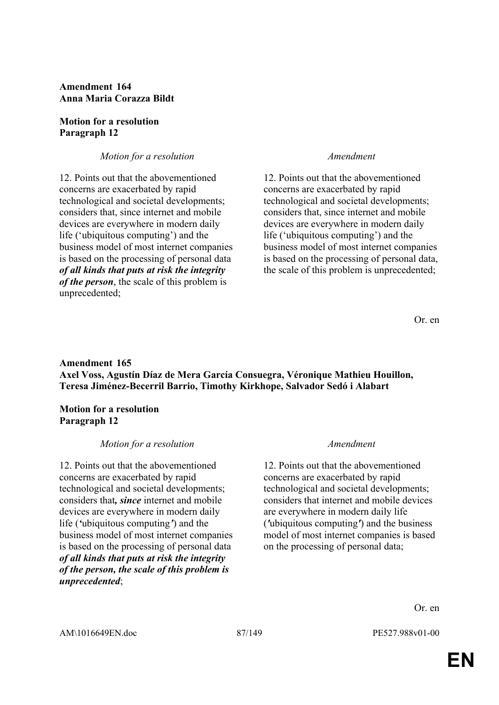**Amendment 164 Anna Maria Corazza Bildt**

### **Motion for a resolution Paragraph 12**

# *Motion for a resolution Amendment*

12. Points out that the abovementioned concerns are exacerbated by rapid technological and societal developments; considers that, since internet and mobile devices are everywhere in modern daily life ('ubiquitous computing') and the business model of most internet companies is based on the processing of personal data *of all kinds that puts at risk the integrity of the person*, the scale of this problem is unprecedented;

12. Points out that the abovementioned concerns are exacerbated by rapid technological and societal developments; considers that, since internet and mobile devices are everywhere in modern daily life ('ubiquitous computing') and the business model of most internet companies is based on the processing of personal data, the scale of this problem is unprecedented;

Or. en

# **Amendment 165 Axel Voss, Agustín Díaz de Mera García Consuegra, Véronique Mathieu Houillon, Teresa Jiménez-Becerril Barrio, Timothy Kirkhope, Salvador Sedó i Alabart**

**Motion for a resolution Paragraph 12**

### *Motion for a resolution Amendment*

12. Points out that the abovementioned concerns are exacerbated by rapid technological and societal developments; considers that*, since* internet and mobile devices are everywhere in modern daily life (*'*ubiquitous computing*'*) and the business model of most internet companies is based on the processing of personal data *of all kinds that puts at risk the integrity of the person, the scale of this problem is unprecedented*;

12. Points out that the abovementioned concerns are exacerbated by rapid technological and societal developments; considers that internet and mobile devices are everywhere in modern daily life (*'*ubiquitous computing*'*) and the business model of most internet companies is based on the processing of personal data;

Or. en

AM\1016649EN.doc 87/149 PE527.988v01-00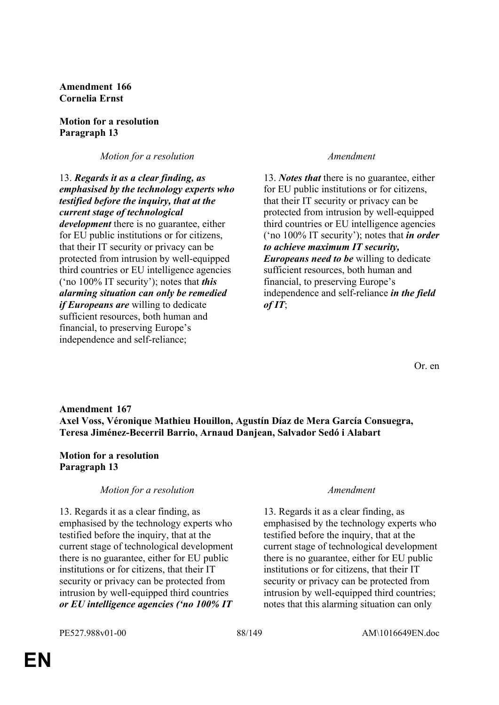**Amendment 166 Cornelia Ernst**

### **Motion for a resolution Paragraph 13**

*Motion for a resolution Amendment*

13. *Regards it as a clear finding, as emphasised by the technology experts who testified before the inquiry, that at the current stage of technological development* there is no guarantee, either for EU public institutions or for citizens, that their IT security or privacy can be protected from intrusion by well-equipped third countries or EU intelligence agencies ('no 100% IT security'); notes that *this alarming situation can only be remedied if Europeans are* willing to dedicate sufficient resources, both human and financial, to preserving Europe's independence and self-reliance;

13. *Notes that* there is no guarantee, either for EU public institutions or for citizens, that their IT security or privacy can be protected from intrusion by well-equipped third countries or EU intelligence agencies ('no 100% IT security'); notes that *in order to achieve maximum IT security, Europeans need to be* willing to dedicate sufficient resources, both human and financial, to preserving Europe's independence and self-reliance *in the field of IT*;

Or. en

# **Amendment 167 Axel Voss, Véronique Mathieu Houillon, Agustín Díaz de Mera García Consuegra, Teresa Jiménez-Becerril Barrio, Arnaud Danjean, Salvador Sedó i Alabart**

# **Motion for a resolution Paragraph 13**

# *Motion for a resolution Amendment*

13. Regards it as a clear finding, as emphasised by the technology experts who testified before the inquiry, that at the current stage of technological development there is no guarantee, either for EU public institutions or for citizens, that their IT security or privacy can be protected from intrusion by well-equipped third countries *or EU intelligence agencies ('no 100% IT* 

13. Regards it as a clear finding, as emphasised by the technology experts who testified before the inquiry, that at the current stage of technological development there is no guarantee, either for EU public institutions or for citizens, that their IT security or privacy can be protected from intrusion by well-equipped third countries; notes that this alarming situation can only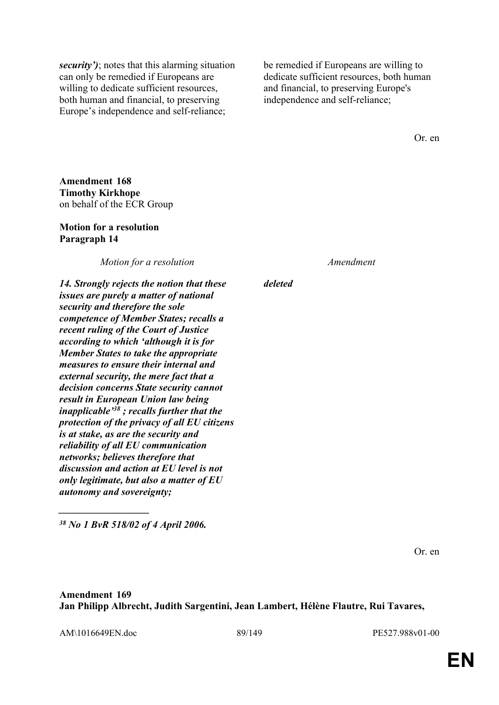*security')*; notes that this alarming situation can only be remedied if Europeans are willing to dedicate sufficient resources, both human and financial, to preserving Europe's independence and self-reliance;

be remedied if Europeans are willing to dedicate sufficient resources, both human and financial, to preserving Europe's independence and self-reliance;

Or. en

**Amendment 168 Timothy Kirkhope** on behalf of the ECR Group

### **Motion for a resolution Paragraph 14**

*Motion for a resolution Amendment*

*deleted*

*14. Strongly rejects the notion that these issues are purely a matter of national security and therefore the sole competence of Member States; recalls a recent ruling of the Court of Justice according to which 'although it is for Member States to take the appropriate measures to ensure their internal and external security, the mere fact that a decision concerns State security cannot result in European Union law being inapplicable'<sup>38</sup> ; recalls further that the protection of the privacy of all EU citizens is at stake, as are the security and reliability of all EU communication networks; believes therefore that discussion and action at EU level is not only legitimate, but also a matter of EU autonomy and sovereignty;*

*<sup>38</sup> No 1 BvR 518/02 of 4 April 2006.*

*\_\_\_\_\_\_\_\_\_\_\_\_\_\_\_\_\_\_*

Or. en

**Amendment 169 Jan Philipp Albrecht, Judith Sargentini, Jean Lambert, Hélène Flautre, Rui Tavares,** 

AM\1016649EN.doc 89/149 PE527.988v01-00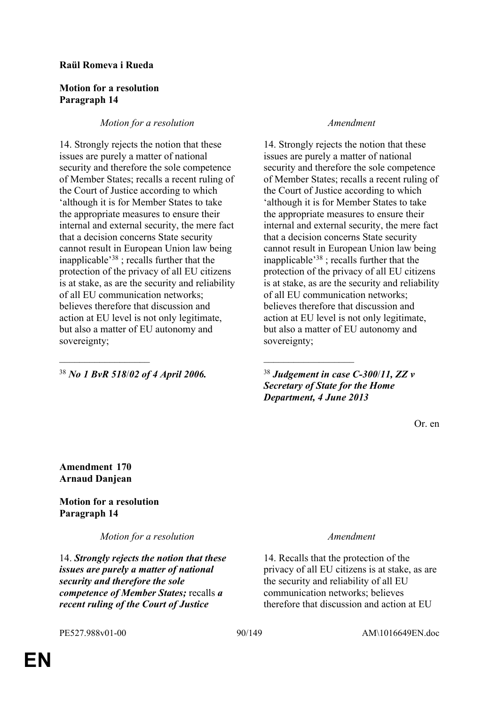### **Raül Romeva i Rueda**

### **Motion for a resolution Paragraph 14**

# *Motion for a resolution Amendment*

14. Strongly rejects the notion that these issues are purely a matter of national security and therefore the sole competence of Member States; recalls a recent ruling of the Court of Justice according to which 'although it is for Member States to take the appropriate measures to ensure their internal and external security, the mere fact that a decision concerns State security cannot result in European Union law being inapplicable'<sup>38</sup> ; recalls further that the protection of the privacy of all EU citizens is at stake, as are the security and reliability of all EU communication networks; believes therefore that discussion and action at EU level is not only legitimate, but also a matter of EU autonomy and sovereignty;

<sup>38</sup> *No 1 BvR 518*/*02 of 4 April 2006.* <sup>38</sup> *Judgement in case C-300*/*11, ZZ v* 

 $\mathcal{L}_\mathcal{L}$  , and the contribution of the contribution of the contribution of the contribution of the contribution of the contribution of the contribution of the contribution of the contribution of the contribution of

14. Strongly rejects the notion that these issues are purely a matter of national security and therefore the sole competence of Member States; recalls a recent ruling of the Court of Justice according to which 'although it is for Member States to take the appropriate measures to ensure their internal and external security, the mere fact that a decision concerns State security cannot result in European Union law being inapplicable'<sup>38</sup> ; recalls further that the protection of the privacy of all EU citizens is at stake, as are the security and reliability of all EU communication networks; believes therefore that discussion and action at EU level is not only legitimate, but also a matter of EU autonomy and sovereignty;

*Secretary of State for the Home Department, 4 June 2013*

Or. en

**Amendment 170 Arnaud Danjean**

# **Motion for a resolution Paragraph 14**

*Motion for a resolution Amendment*

14. *Strongly rejects the notion that these issues are purely a matter of national security and therefore the sole competence of Member States;* recalls *a recent ruling of the Court of Justice* 

14. Recalls that the protection of the privacy of all EU citizens is at stake, as are the security and reliability of all EU communication networks; believes therefore that discussion and action at EU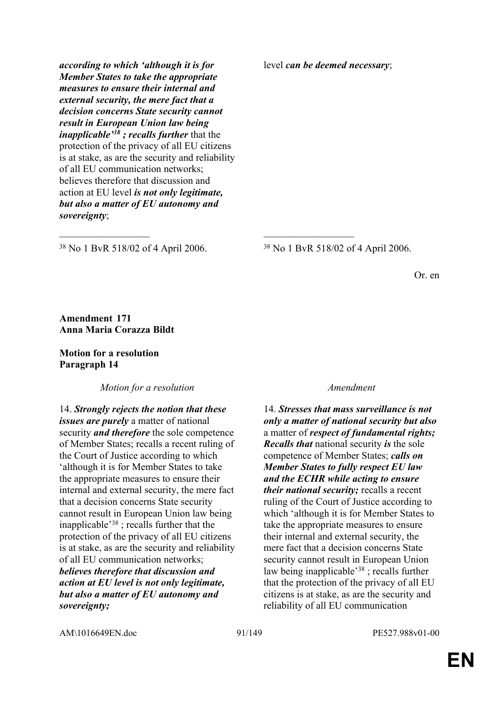*according to which 'although it is for Member States to take the appropriate measures to ensure their internal and external security, the mere fact that a decision concerns State security cannot result in European Union law being inapplicable'<sup>38</sup> ; recalls further* that the protection of the privacy of all EU citizens is at stake, as are the security and reliability of all EU communication networks; believes therefore that discussion and action at EU level *is not only legitimate, but also a matter of EU autonomy and sovereignty*;

level *can be deemed necessary*;

<sup>38</sup> No 1 BvR 518/02 of 4 April 2006. <sup>38</sup> No 1 BvR 518/02 of 4 April 2006.

 $\mathcal{L}_\mathcal{L}$  , and the contribution of the contribution of the contribution of the contribution of the contribution of the contribution of the contribution of the contribution of the contribution of the contribution of

Or. en

### **Amendment 171 Anna Maria Corazza Bildt**

### **Motion for a resolution Paragraph 14**

*Motion for a resolution Amendment*

14. *Strongly rejects the notion that these issues are purely* a matter of national security *and therefore* the sole competence of Member States; recalls a recent ruling of the Court of Justice according to which 'although it is for Member States to take the appropriate measures to ensure their internal and external security, the mere fact that a decision concerns State security cannot result in European Union law being inapplicable'<sup>38</sup> ; recalls further that the protection of the privacy of all EU citizens is at stake, as are the security and reliability of all EU communication networks; *believes therefore that discussion and action at EU level is not only legitimate, but also a matter of EU autonomy and sovereignty;*

14. *Stresses that mass surveillance is not only a matter of national security but also* a matter of *respect of fundamental rights; Recalls that* national security *is* the sole competence of Member States; *calls on Member States to fully respect EU law and the ECHR while acting to ensure their national security;* recalls a recent ruling of the Court of Justice according to which 'although it is for Member States to take the appropriate measures to ensure their internal and external security, the mere fact that a decision concerns State security cannot result in European Union law being inapplicable'<sup>38</sup> ; recalls further that the protection of the privacy of all EU citizens is at stake, as are the security and reliability of all EU communication

AM\1016649EN.doc 91/149 PE527.988v01-00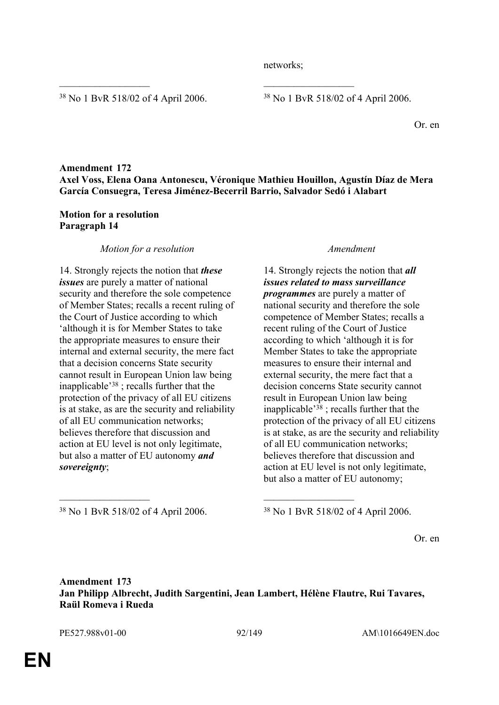networks;

<sup>38</sup> No 1 BvR 518/02 of 4 April 2006. <sup>38</sup> No 1 BvR 518/02 of 4 April 2006.

Or. en

# **Amendment 172 Axel Voss, Elena Oana Antonescu, Véronique Mathieu Houillon, Agustín Díaz de Mera García Consuegra, Teresa Jiménez-Becerril Barrio, Salvador Sedó i Alabart**

 $\mathcal{L}_\mathcal{L}$  , and the contribution of the contribution of the contribution of the contribution of the contribution of the contribution of the contribution of the contribution of the contribution of the contribution of

### **Motion for a resolution Paragraph 14**

### *Motion for a resolution Amendment*

14. Strongly rejects the notion that *these issues* are purely a matter of national security and therefore the sole competence of Member States; recalls a recent ruling of the Court of Justice according to which 'although it is for Member States to take the appropriate measures to ensure their internal and external security, the mere fact that a decision concerns State security cannot result in European Union law being inapplicable'<sup>38</sup> ; recalls further that the protection of the privacy of all EU citizens is at stake, as are the security and reliability of all EU communication networks; believes therefore that discussion and action at EU level is not only legitimate, but also a matter of EU autonomy *and sovereignty*;

14. Strongly rejects the notion that *all issues related to mass surveillance programmes* are purely a matter of national security and therefore the sole competence of Member States; recalls a recent ruling of the Court of Justice according to which 'although it is for Member States to take the appropriate measures to ensure their internal and external security, the mere fact that a decision concerns State security cannot result in European Union law being inapplicable<sup> $38$ </sup>; recalls further that the protection of the privacy of all EU citizens is at stake, as are the security and reliability of all EU communication networks; believes therefore that discussion and action at EU level is not only legitimate, but also a matter of EU autonomy;

<sup>38</sup> No 1 BvR 518/02 of 4 April 2006. <sup>38</sup> No 1 BvR 518/02 of 4 April 2006.

Or. en

# **Amendment 173 Jan Philipp Albrecht, Judith Sargentini, Jean Lambert, Hélène Flautre, Rui Tavares, Raül Romeva i Rueda**

 $\mathcal{L}_\mathcal{L}$  , and the contribution of the contribution of the contribution of the contribution of the contribution of the contribution of the contribution of the contribution of the contribution of the contribution of

PE527.988v01-00 92/149 AM\1016649EN.doc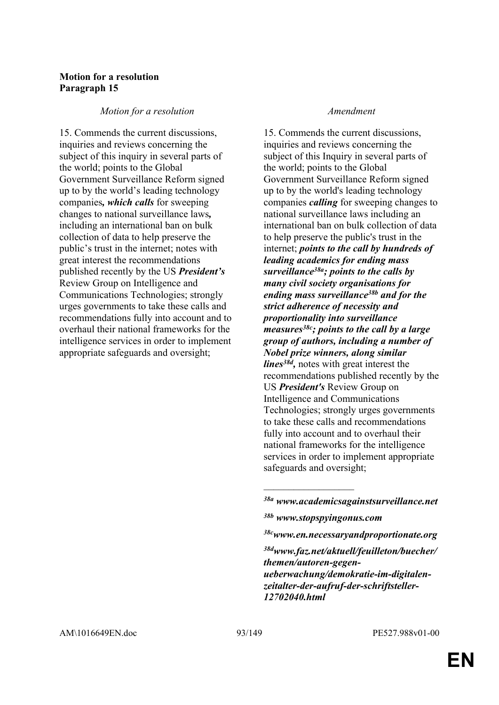### **Motion for a resolution Paragraph 15**

### *Motion for a resolution Amendment*

15. Commends the current discussions, inquiries and reviews concerning the subject of this inquiry in several parts of the world; points to the Global Government Surveillance Reform signed up to by the world's leading technology companies*, which calls* for sweeping changes to national surveillance laws*,* including an international ban on bulk collection of data to help preserve the public's trust in the internet; notes with great interest the recommendations published recently by the US *President's* Review Group on Intelligence and Communications Technologies; strongly urges governments to take these calls and recommendations fully into account and to overhaul their national frameworks for the intelligence services in order to implement appropriate safeguards and oversight;

15. Commends the current discussions, inquiries and reviews concerning the subject of this Inquiry in several parts of the world; points to the Global Government Surveillance Reform signed up to by the world's leading technology companies *calling* for sweeping changes to national surveillance laws including an international ban on bulk collection of data to help preserve the public's trust in the internet; *points to the call by hundreds of leading academics for ending mass surveillance38a; points to the calls by many civil society organisations for ending mass surveillance38b and for the strict adherence of necessity and proportionality into surveillance measures38c; points to the call by a large group of authors, including a number of Nobel prize winners, along similar lines38d ,* notes with great interest the recommendations published recently by the US *President's* Review Group on Intelligence and Communications Technologies; strongly urges governments to take these calls and recommendations fully into account and to overhaul their national frameworks for the intelligence services in order to implement appropriate safeguards and oversight;

 $\overline{\phantom{a}}$  , where  $\overline{\phantom{a}}$ 

*<sup>38</sup>a www.academicsagainstsurveillance.net* 

*<sup>38</sup>b www.stopspyingonus.com*

*<sup>38</sup>cwww.en.necessaryandproportionate.org*

*<sup>38</sup>dwww.faz.net/aktuell/feuilleton/buecher/ themen/autoren-gegenueberwachung/demokratie-im-digitalenzeitalter-der-aufruf-der-schriftsteller-12702040.html*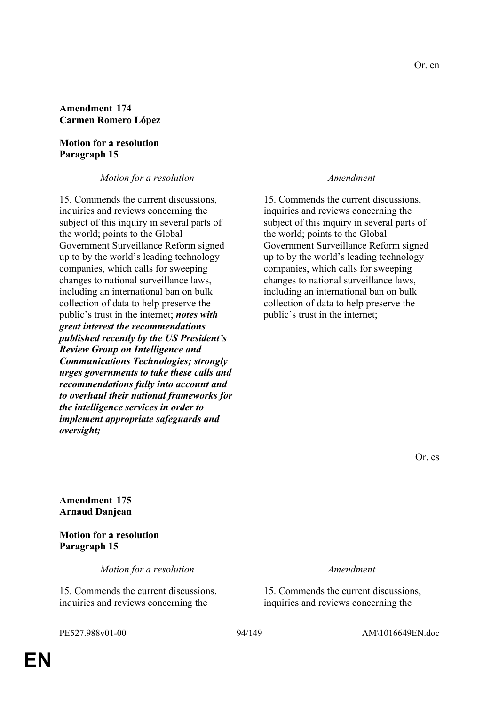### **Amendment 174 Carmen Romero López**

### **Motion for a resolution Paragraph 15**

*Motion for a resolution Amendment*

15. Commends the current discussions, inquiries and reviews concerning the subject of this inquiry in several parts of the world; points to the Global Government Surveillance Reform signed up to by the world's leading technology companies, which calls for sweeping changes to national surveillance laws, including an international ban on bulk collection of data to help preserve the public's trust in the internet; *notes with great interest the recommendations published recently by the US President's Review Group on Intelligence and Communications Technologies; strongly urges governments to take these calls and recommendations fully into account and to overhaul their national frameworks for the intelligence services in order to implement appropriate safeguards and oversight;*

15. Commends the current discussions, inquiries and reviews concerning the subject of this inquiry in several parts of the world; points to the Global Government Surveillance Reform signed up to by the world's leading technology companies, which calls for sweeping changes to national surveillance laws, including an international ban on bulk collection of data to help preserve the public's trust in the internet;

Or. es

**Amendment 175 Arnaud Danjean**

**Motion for a resolution Paragraph 15**

*Motion for a resolution Amendment*

15. Commends the current discussions, inquiries and reviews concerning the

15. Commends the current discussions, inquiries and reviews concerning the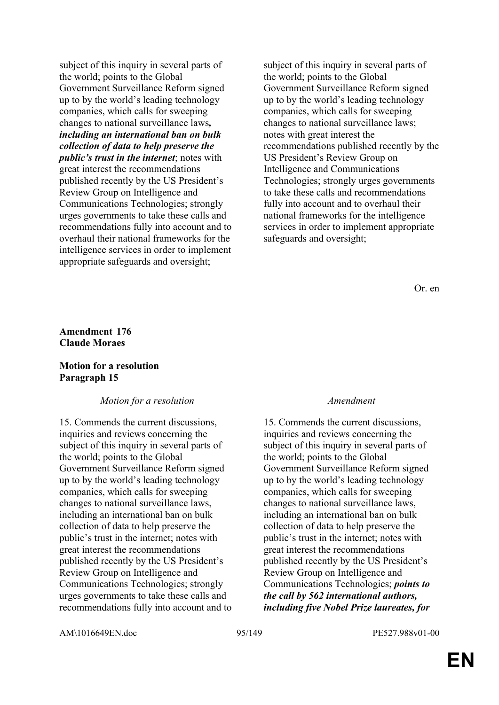subject of this inquiry in several parts of the world; points to the Global Government Surveillance Reform signed up to by the world's leading technology companies, which calls for sweeping changes to national surveillance laws*, including an international ban on bulk collection of data to help preserve the public's trust in the internet*; notes with great interest the recommendations published recently by the US President's Review Group on Intelligence and Communications Technologies; strongly urges governments to take these calls and recommendations fully into account and to overhaul their national frameworks for the intelligence services in order to implement appropriate safeguards and oversight;

subject of this inquiry in several parts of the world; points to the Global Government Surveillance Reform signed up to by the world's leading technology companies, which calls for sweeping changes to national surveillance laws; notes with great interest the recommendations published recently by the US President's Review Group on Intelligence and Communications Technologies; strongly urges governments to take these calls and recommendations fully into account and to overhaul their national frameworks for the intelligence services in order to implement appropriate safeguards and oversight;

Or. en

# **Amendment 176 Claude Moraes**

### **Motion for a resolution Paragraph 15**

### *Motion for a resolution Amendment*

15. Commends the current discussions, inquiries and reviews concerning the subject of this inquiry in several parts of the world; points to the Global Government Surveillance Reform signed up to by the world's leading technology companies, which calls for sweeping changes to national surveillance laws, including an international ban on bulk collection of data to help preserve the public's trust in the internet; notes with great interest the recommendations published recently by the US President's Review Group on Intelligence and Communications Technologies; strongly urges governments to take these calls and recommendations fully into account and to

15. Commends the current discussions, inquiries and reviews concerning the subject of this inquiry in several parts of the world; points to the Global Government Surveillance Reform signed up to by the world's leading technology companies, which calls for sweeping changes to national surveillance laws, including an international ban on bulk collection of data to help preserve the public's trust in the internet; notes with great interest the recommendations published recently by the US President's Review Group on Intelligence and Communications Technologies; *points to the call by 562 international authors, including five Nobel Prize laureates, for* 

AM\1016649EN.doc 95/149 PE527.988v01-00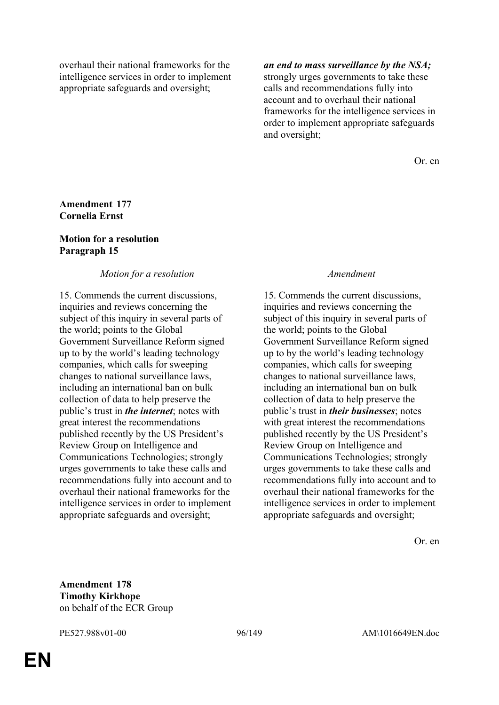overhaul their national frameworks for the intelligence services in order to implement appropriate safeguards and oversight;

# *an end to mass surveillance by the NSA;*

strongly urges governments to take these calls and recommendations fully into account and to overhaul their national frameworks for the intelligence services in order to implement appropriate safeguards and oversight;

Or. en

# **Amendment 177 Cornelia Ernst**

# **Motion for a resolution Paragraph 15**

# *Motion for a resolution Amendment*

15. Commends the current discussions, inquiries and reviews concerning the subject of this inquiry in several parts of the world; points to the Global Government Surveillance Reform signed up to by the world's leading technology companies, which calls for sweeping changes to national surveillance laws, including an international ban on bulk collection of data to help preserve the public's trust in *the internet*; notes with great interest the recommendations published recently by the US President's Review Group on Intelligence and Communications Technologies; strongly urges governments to take these calls and recommendations fully into account and to overhaul their national frameworks for the intelligence services in order to implement appropriate safeguards and oversight;

15. Commends the current discussions, inquiries and reviews concerning the subject of this inquiry in several parts of the world; points to the Global Government Surveillance Reform signed up to by the world's leading technology companies, which calls for sweeping changes to national surveillance laws, including an international ban on bulk collection of data to help preserve the public's trust in *their businesses*; notes with great interest the recommendations published recently by the US President's Review Group on Intelligence and Communications Technologies; strongly urges governments to take these calls and recommendations fully into account and to overhaul their national frameworks for the intelligence services in order to implement appropriate safeguards and oversight;

Or. en

**Amendment 178 Timothy Kirkhope** on behalf of the ECR Group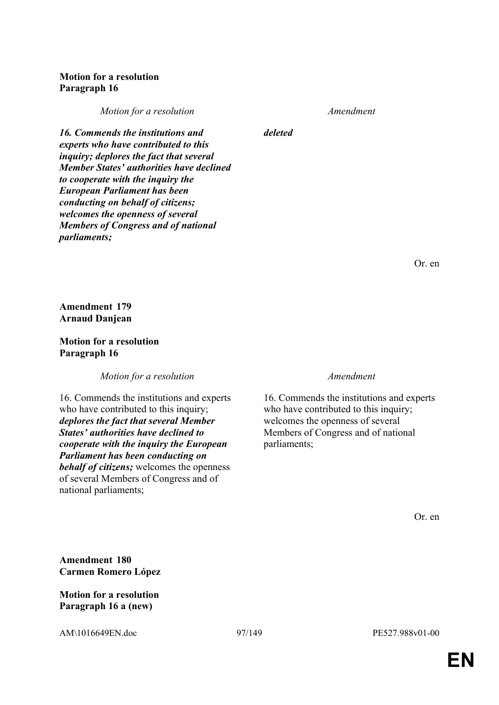# **Motion for a resolution Paragraph 16**

*Motion for a resolution Amendment*

*deleted*

*16. Commends the institutions and experts who have contributed to this inquiry; deplores the fact that several Member States' authorities have declined to cooperate with the inquiry the European Parliament has been conducting on behalf of citizens; welcomes the openness of several Members of Congress and of national parliaments;*

Or. en

**Amendment 179 Arnaud Danjean**

**Motion for a resolution Paragraph 16**

*Motion for a resolution Amendment*

16. Commends the institutions and experts who have contributed to this inquiry; *deplores the fact that several Member States' authorities have declined to cooperate with the inquiry the European Parliament has been conducting on behalf of citizens;* welcomes the openness of several Members of Congress and of national parliaments;

16. Commends the institutions and experts who have contributed to this inquiry; welcomes the openness of several Members of Congress and of national parliaments;

Or. en

**Amendment 180 Carmen Romero López**

**Motion for a resolution Paragraph 16 a (new)**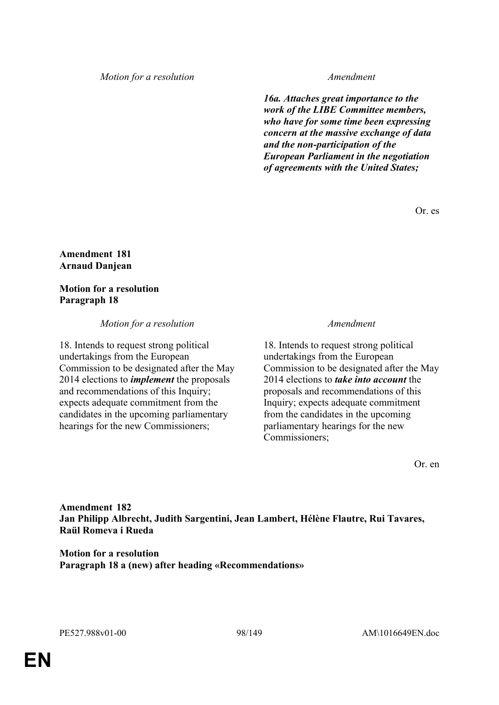### *Motion for a resolution Amendment*

*16a. Attaches great importance to the work of the LIBE Committee members, who have for some time been expressing concern at the massive exchange of data and the non-participation of the European Parliament in the negotiation of agreements with the United States;*

Or. es

### **Amendment 181 Arnaud Danjean**

### **Motion for a resolution Paragraph 18**

### *Motion for a resolution Amendment*

18. Intends to request strong political undertakings from the European Commission to be designated after the May 2014 elections to *implement* the proposals and recommendations of this Inquiry; expects adequate commitment from the candidates in the upcoming parliamentary hearings for the new Commissioners;

18. Intends to request strong political undertakings from the European Commission to be designated after the May 2014 elections to *take into account* the proposals and recommendations of this Inquiry; expects adequate commitment from the candidates in the upcoming parliamentary hearings for the new Commissioners;

Or. en

**Amendment 182 Jan Philipp Albrecht, Judith Sargentini, Jean Lambert, Hélène Flautre, Rui Tavares, Raül Romeva i Rueda**

**Motion for a resolution Paragraph 18 a (new) after heading «Recommendations»**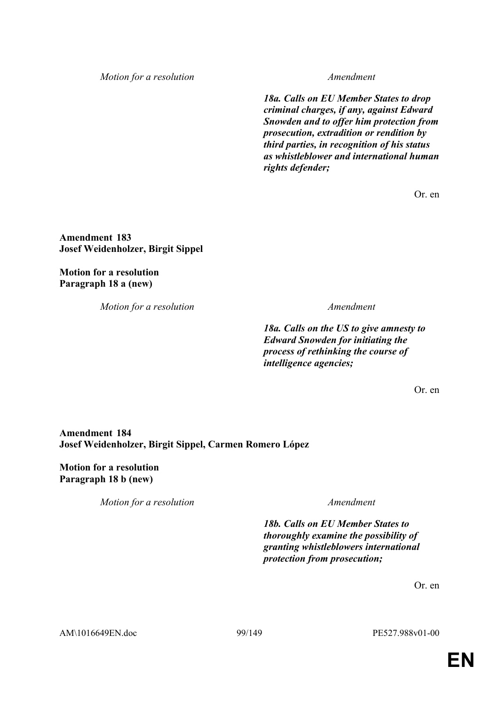*Motion for a resolution Amendment*

*18a. Calls on EU Member States to drop criminal charges, if any, against Edward Snowden and to offer him protection from prosecution, extradition or rendition by third parties, in recognition of his status as whistleblower and international human rights defender;*

Or. en

**Amendment 183 Josef Weidenholzer, Birgit Sippel**

**Motion for a resolution Paragraph 18 a (new)**

*Motion for a resolution Amendment*

*18a. Calls on the US to give amnesty to Edward Snowden for initiating the process of rethinking the course of intelligence agencies;*

Or. en

# **Amendment 184 Josef Weidenholzer, Birgit Sippel, Carmen Romero López**

**Motion for a resolution Paragraph 18 b (new)**

*Motion for a resolution Amendment*

*18b. Calls on EU Member States to thoroughly examine the possibility of granting whistleblowers international protection from prosecution;*

Or. en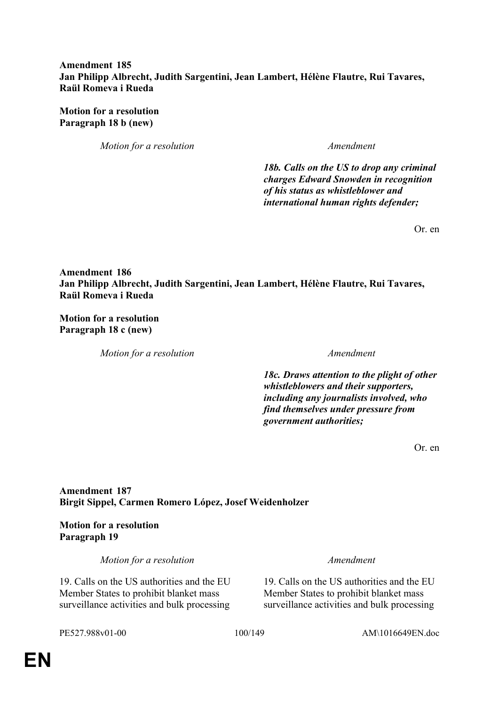# **Amendment 185 Jan Philipp Albrecht, Judith Sargentini, Jean Lambert, Hélène Flautre, Rui Tavares, Raül Romeva i Rueda**

**Motion for a resolution Paragraph 18 b (new)**

*Motion for a resolution Amendment*

*18b. Calls on the US to drop any criminal charges Edward Snowden in recognition of his status as whistleblower and international human rights defender;*

Or. en

**Amendment 186 Jan Philipp Albrecht, Judith Sargentini, Jean Lambert, Hélène Flautre, Rui Tavares, Raül Romeva i Rueda**

**Motion for a resolution Paragraph 18 c (new)**

*Motion for a resolution Amendment*

*18c. Draws attention to the plight of other whistleblowers and their supporters, including any journalists involved, who find themselves under pressure from government authorities;*

Or. en

# **Amendment 187 Birgit Sippel, Carmen Romero López, Josef Weidenholzer**

**Motion for a resolution Paragraph 19**

*Motion for a resolution Amendment*

19. Calls on the US authorities and the EU Member States to prohibit blanket mass surveillance activities and bulk processing

19. Calls on the US authorities and the EU Member States to prohibit blanket mass surveillance activities and bulk processing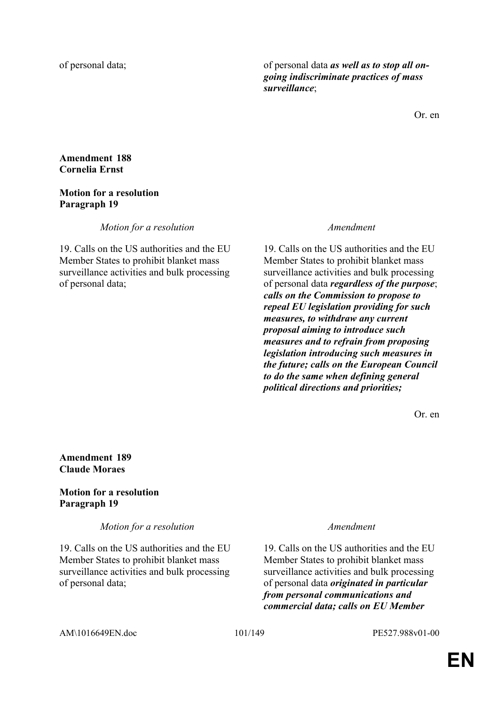of personal data; of personal data *as well as to stop all ongoing indiscriminate practices of mass surveillance*;

Or. en

### **Amendment 188 Cornelia Ernst**

### **Motion for a resolution Paragraph 19**

*Motion for a resolution Amendment*

19. Calls on the US authorities and the EU Member States to prohibit blanket mass surveillance activities and bulk processing of personal data;

19. Calls on the US authorities and the EU Member States to prohibit blanket mass surveillance activities and bulk processing of personal data *regardless of the purpose*; *calls on the Commission to propose to repeal EU legislation providing for such measures, to withdraw any current proposal aiming to introduce such measures and to refrain from proposing legislation introducing such measures in the future; calls on the European Council to do the same when defining general political directions and priorities;*

Or. en

### **Amendment 189 Claude Moraes**

### **Motion for a resolution Paragraph 19**

*Motion for a resolution Amendment*

19. Calls on the US authorities and the EU Member States to prohibit blanket mass surveillance activities and bulk processing of personal data;

19. Calls on the US authorities and the EU Member States to prohibit blanket mass surveillance activities and bulk processing of personal data *originated in particular from personal communications and commercial data; calls on EU Member*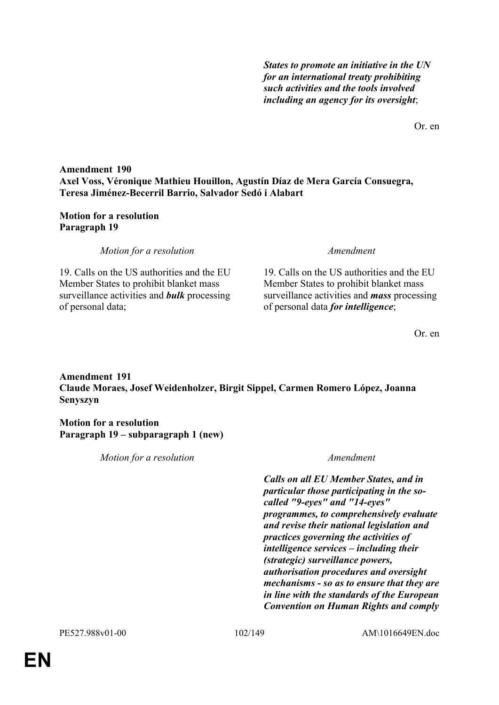*States to promote an initiative in the UN for an international treaty prohibiting such activities and the tools involved including an agency for its oversight*;

Or. en

# **Amendment 190 Axel Voss, Véronique Mathieu Houillon, Agustín Díaz de Mera García Consuegra, Teresa Jiménez-Becerril Barrio, Salvador Sedó i Alabart**

# **Motion for a resolution Paragraph 19**

*Motion for a resolution Amendment*

19. Calls on the US authorities and the EU Member States to prohibit blanket mass surveillance activities and *bulk* processing of personal data;

19. Calls on the US authorities and the EU Member States to prohibit blanket mass surveillance activities and *mass* processing of personal data *for intelligence*;

Or. en

# **Amendment 191 Claude Moraes, Josef Weidenholzer, Birgit Sippel, Carmen Romero López, Joanna Senyszyn**

**Motion for a resolution Paragraph 19 – subparagraph 1 (new)**

| Motion for a resolution | Amendment                                                                                                                                                                                                                                                                                                                                                                                                                                                                                                                        |
|-------------------------|----------------------------------------------------------------------------------------------------------------------------------------------------------------------------------------------------------------------------------------------------------------------------------------------------------------------------------------------------------------------------------------------------------------------------------------------------------------------------------------------------------------------------------|
|                         | <b>Calls on all EU Member States, and in</b><br>particular those participating in the so-<br>called "9-eyes" and "14-eyes"<br>programmes, to comprehensively evaluate<br>and revise their national legislation and<br>practices governing the activities of<br>intelligence services – including their<br>(strategic) surveillance powers,<br>authorisation procedures and oversight<br>mechanisms - so as to ensure that they are<br>in line with the standards of the European<br><b>Convention on Human Rights and comply</b> |
|                         |                                                                                                                                                                                                                                                                                                                                                                                                                                                                                                                                  |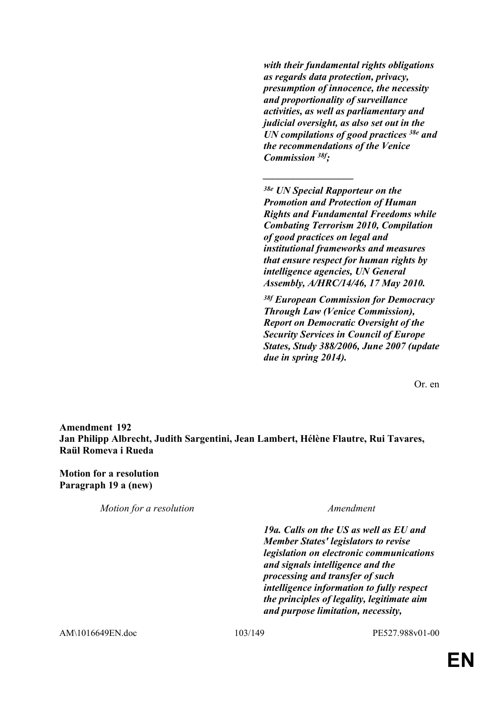*with their fundamental rights obligations as regards data protection, privacy, presumption of innocence, the necessity and proportionality of surveillance activities, as well as parliamentary and judicial oversight, as also set out in the UN compilations of good practices 38e and the recommendations of the Venice Commission 38f;* 

*38e UN Special Rapporteur on the Promotion and Protection of Human Rights and Fundamental Freedoms while Combating Terrorism 2010, Compilation of good practices on legal and institutional frameworks and measures that ensure respect for human rights by intelligence agencies, UN General Assembly, A/HRC/14/46, 17 May 2010.*

*\_\_\_\_\_\_\_\_\_\_\_\_\_\_\_\_\_\_*

*38f European Commission for Democracy Through Law (Venice Commission), Report on Democratic Oversight of the Security Services in Council of Europe States, Study 388/2006, June 2007 (update due in spring 2014).*

Or. en

**Amendment 192 Jan Philipp Albrecht, Judith Sargentini, Jean Lambert, Hélène Flautre, Rui Tavares, Raül Romeva i Rueda**

**Motion for a resolution Paragraph 19 a (new)**

*Motion for a resolution Amendment*

*19a. Calls on the US as well as EU and Member States' legislators to revise legislation on electronic communications and signals intelligence and the processing and transfer of such intelligence information to fully respect the principles of legality, legitimate aim and purpose limitation, necessity,* 

AM\1016649EN.doc 103/149 PE527.988v01-00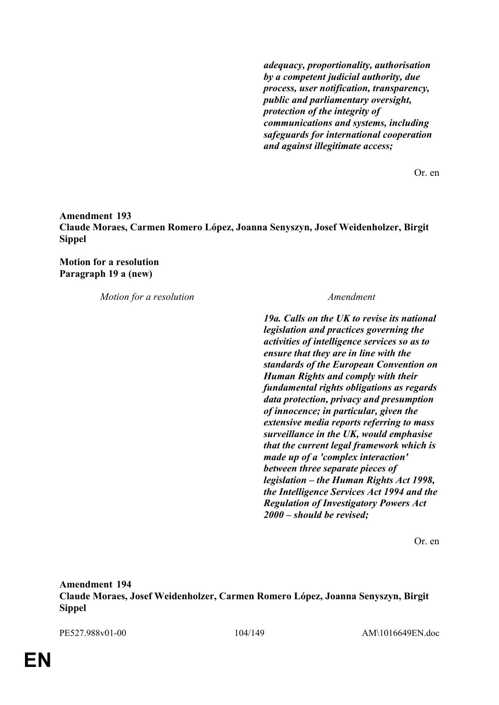*adequacy, proportionality, authorisation by a competent judicial authority, due process, user notification, transparency, public and parliamentary oversight, protection of the integrity of communications and systems, including safeguards for international cooperation and against illegitimate access;*

Or. en

**Amendment 193 Claude Moraes, Carmen Romero López, Joanna Senyszyn, Josef Weidenholzer, Birgit Sippel**

**Motion for a resolution Paragraph 19 a (new)**

*Motion for a resolution Amendment*

*19a. Calls on the UK to revise its national legislation and practices governing the activities of intelligence services so as to ensure that they are in line with the standards of the European Convention on Human Rights and comply with their fundamental rights obligations as regards data protection, privacy and presumption of innocence; in particular, given the extensive media reports referring to mass surveillance in the UK, would emphasise that the current legal framework which is made up of a 'complex interaction' between three separate pieces of legislation – the Human Rights Act 1998, the Intelligence Services Act 1994 and the Regulation of Investigatory Powers Act 2000 – should be revised;* 

Or. en

**Amendment 194 Claude Moraes, Josef Weidenholzer, Carmen Romero López, Joanna Senyszyn, Birgit Sippel**

PE527.988v01-00 104/149 AM\1016649EN.doc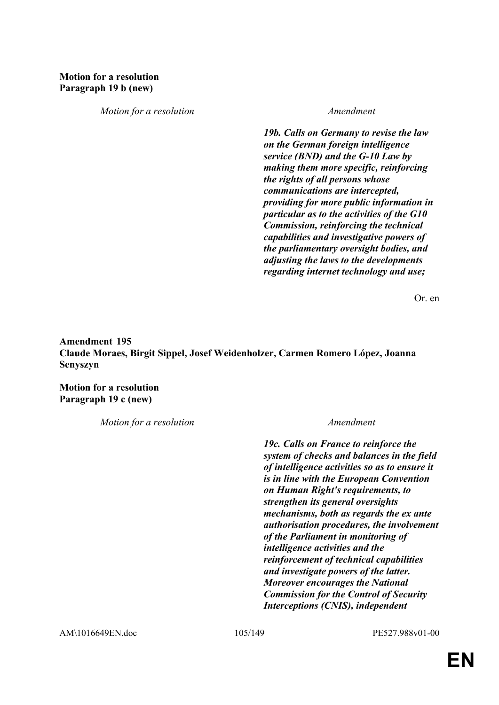# **Motion for a resolution Paragraph 19 b (new)**

*Motion for a resolution Amendment*

*19b. Calls on Germany to revise the law on the German foreign intelligence service (BND) and the G-10 Law by making them more specific, reinforcing the rights of all persons whose communications are intercepted, providing for more public information in particular as to the activities of the G10 Commission, reinforcing the technical capabilities and investigative powers of the parliamentary oversight bodies, and adjusting the laws to the developments regarding internet technology and use;*

Or. en

# **Amendment 195 Claude Moraes, Birgit Sippel, Josef Weidenholzer, Carmen Romero López, Joanna Senyszyn**

**Motion for a resolution Paragraph 19 c (new)**

*Motion for a resolution Amendment*

*19c. Calls on France to reinforce the system of checks and balances in the field of intelligence activities so as to ensure it is in line with the European Convention on Human Right's requirements, to strengthen its general oversights mechanisms, both as regards the ex ante authorisation procedures, the involvement of the Parliament in monitoring of intelligence activities and the reinforcement of technical capabilities and investigate powers of the latter. Moreover encourages the National Commission for the Control of Security Interceptions (CNIS), independent* 

AM\1016649EN.doc 105/149 PE527.988v01-00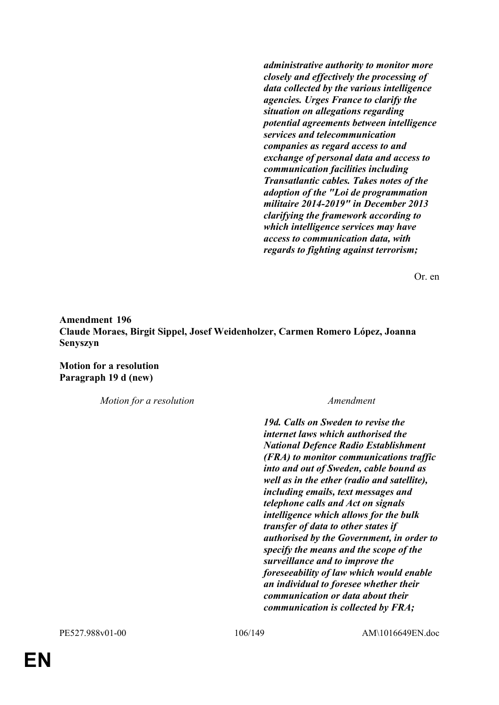*administrative authority to monitor more closely and effectively the processing of data collected by the various intelligence agencies. Urges France to clarify the situation on allegations regarding potential agreements between intelligence services and telecommunication companies as regard access to and exchange of personal data and access to communication facilities including Transatlantic cables. Takes notes of the adoption of the "Loi de programmation militaire 2014-2019" in December 2013 clarifying the framework according to which intelligence services may have access to communication data, with regards to fighting against terrorism;*

Or. en

# **Amendment 196 Claude Moraes, Birgit Sippel, Josef Weidenholzer, Carmen Romero López, Joanna Senyszyn**

**Motion for a resolution Paragraph 19 d (new)**

*Motion for a resolution Amendment*

*19d. Calls on Sweden to revise the internet laws which authorised the National Defence Radio Establishment (FRA) to monitor communications traffic into and out of Sweden, cable bound as well as in the ether (radio and satellite), including emails, text messages and telephone calls and Act on signals intelligence which allows for the bulk transfer of data to other states if authorised by the Government, in order to specify the means and the scope of the surveillance and to improve the foreseeability of law which would enable an individual to foresee whether their communication or data about their communication is collected by FRA;*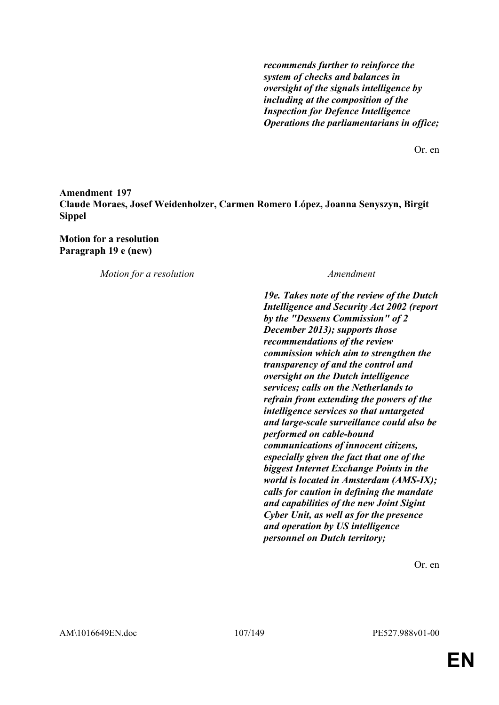*recommends further to reinforce the system of checks and balances in oversight of the signals intelligence by including at the composition of the Inspection for Defence Intelligence Operations the parliamentarians in office;*

Or. en

# **Amendment 197 Claude Moraes, Josef Weidenholzer, Carmen Romero López, Joanna Senyszyn, Birgit Sippel**

**Motion for a resolution Paragraph 19 e (new)**

*Motion for a resolution Amendment*

*19e. Takes note of the review of the Dutch Intelligence and Security Act 2002 (report by the "Dessens Commission" of 2 December 2013); supports those recommendations of the review commission which aim to strengthen the transparency of and the control and oversight on the Dutch intelligence services; calls on the Netherlands to refrain from extending the powers of the intelligence services so that untargeted and large-scale surveillance could also be performed on cable-bound communications of innocent citizens, especially given the fact that one of the biggest Internet Exchange Points in the world is located in Amsterdam (AMS-IX); calls for caution in defining the mandate and capabilities of the new Joint Sigint Cyber Unit, as well as for the presence and operation by US intelligence personnel on Dutch territory;*

Or. en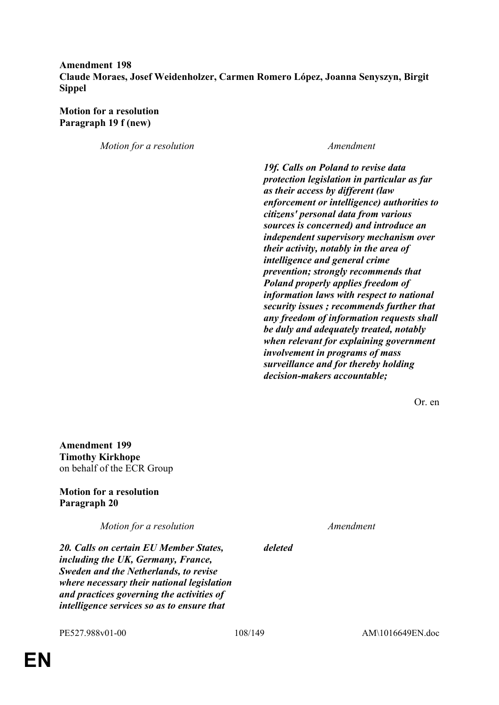# **Amendment 198 Claude Moraes, Josef Weidenholzer, Carmen Romero López, Joanna Senyszyn, Birgit Sippel**

**Motion for a resolution Paragraph 19 f (new)**

*Motion for a resolution Amendment*

*19f. Calls on Poland to revise data protection legislation in particular as far as their access by different (law enforcement or intelligence) authorities to citizens' personal data from various sources is concerned) and introduce an independent supervisory mechanism over their activity, notably in the area of intelligence and general crime prevention; strongly recommends that Poland properly applies freedom of information laws with respect to national security issues ; recommends further that any freedom of information requests shall be duly and adequately treated, notably when relevant for explaining government involvement in programs of mass surveillance and for thereby holding decision-makers accountable;*

Or. en

**Amendment 199 Timothy Kirkhope** on behalf of the ECR Group

**Motion for a resolution Paragraph 20**

*Motion for a resolution Amendment*

*20. Calls on certain EU Member States, including the UK, Germany, France, Sweden and the Netherlands, to revise where necessary their national legislation and practices governing the activities of intelligence services so as to ensure that* 

*deleted*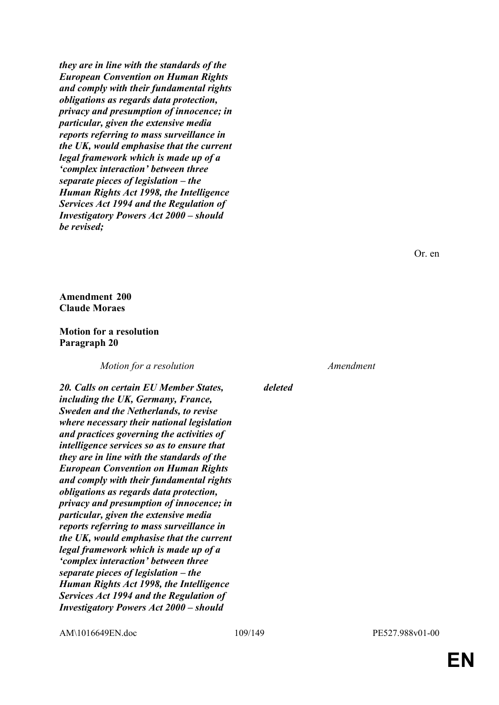*they are in line with the standards of the European Convention on Human Rights and comply with their fundamental rights obligations as regards data protection, privacy and presumption of innocence; in particular, given the extensive media reports referring to mass surveillance in the UK, would emphasise that the current legal framework which is made up of a 'complex interaction' between three separate pieces of legislation – the Human Rights Act 1998, the Intelligence Services Act 1994 and the Regulation of Investigatory Powers Act 2000 – should be revised;*

Or. en

**Amendment 200 Claude Moraes**

### **Motion for a resolution Paragraph 20**

*Motion for a resolution Amendment*

*20. Calls on certain EU Member States, including the UK, Germany, France, Sweden and the Netherlands, to revise where necessary their national legislation and practices governing the activities of intelligence services so as to ensure that they are in line with the standards of the European Convention on Human Rights and comply with their fundamental rights obligations as regards data protection, privacy and presumption of innocence; in particular, given the extensive media reports referring to mass surveillance in the UK, would emphasise that the current legal framework which is made up of a 'complex interaction' between three separate pieces of legislation – the Human Rights Act 1998, the Intelligence Services Act 1994 and the Regulation of Investigatory Powers Act 2000 – should* 

*deleted*

AM\1016649EN.doc 109/149 PE527.988v01-00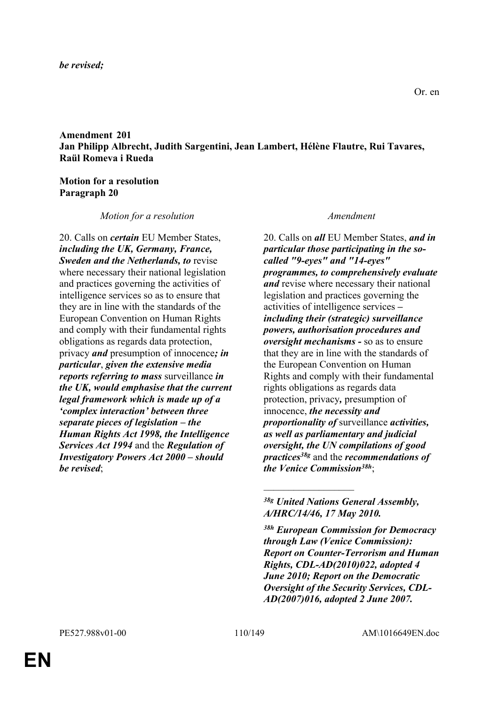### *be revised;*

**Amendment 201 Jan Philipp Albrecht, Judith Sargentini, Jean Lambert, Hélène Flautre, Rui Tavares, Raül Romeva i Rueda**

### **Motion for a resolution Paragraph 20**

### *Motion for a resolution Amendment*

20. Calls on *certain* EU Member States, *including the UK, Germany, France, Sweden and the Netherlands, to* revise where necessary their national legislation and practices governing the activities of intelligence services so as to ensure that they are in line with the standards of the European Convention on Human Rights and comply with their fundamental rights obligations as regards data protection, privacy *and* presumption of innocence*; in particular*, *given the extensive media reports referring to mass* surveillance *in the UK, would emphasise that the current legal framework which is made up of a 'complex interaction' between three separate pieces of legislation – the Human Rights Act 1998, the Intelligence Services Act 1994* and the *Regulation of Investigatory Powers Act 2000 – should be revised*;

20. Calls on *all* EU Member States, *and in particular those participating in the socalled "9-eyes" and "14-eyes" programmes, to comprehensively evaluate and* revise where necessary their national legislation and practices governing the activities of intelligence services *– including their (strategic) surveillance powers, authorisation procedures and oversight mechanisms -* so as to ensure that they are in line with the standards of the European Convention on Human Rights and comply with their fundamental rights obligations as regards data protection, privacy*,* presumption of innocence, *the necessity and proportionality of* surveillance *activities, as well as parliamentary and judicial oversight, the UN compilations of good practices38g* and the *recommendations of the Venice Commission38h*;

 $\overline{\phantom{a}}$  , where  $\overline{\phantom{a}}$ 

*<sup>38</sup>g United Nations General Assembly, A/HRC/14/46, 17 May 2010.*

*<sup>38</sup>h European Commission for Democracy through Law (Venice Commission): Report on Counter-Terrorism and Human Rights, CDL-AD(2010)022, adopted 4 June 2010; Report on the Democratic Oversight of the Security Services, CDL-AD(2007)016, adopted 2 June 2007.*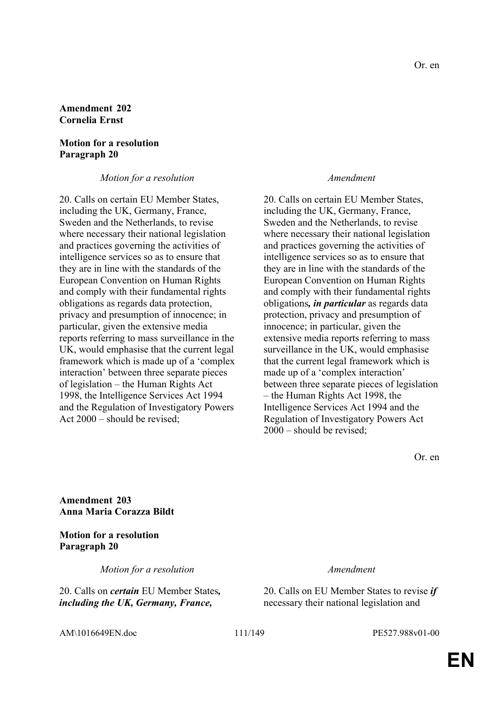### **Amendment 202 Cornelia Ernst**

## **Motion for a resolution Paragraph 20**

### *Motion for a resolution Amendment*

20. Calls on certain EU Member States, including the UK, Germany, France, Sweden and the Netherlands, to revise where necessary their national legislation and practices governing the activities of intelligence services so as to ensure that they are in line with the standards of the European Convention on Human Rights and comply with their fundamental rights obligations as regards data protection, privacy and presumption of innocence; in particular, given the extensive media reports referring to mass surveillance in the UK, would emphasise that the current legal framework which is made up of a 'complex interaction' between three separate pieces of legislation – the Human Rights Act 1998, the Intelligence Services Act 1994 and the Regulation of Investigatory Powers Act 2000 – should be revised;

20. Calls on certain EU Member States, including the UK, Germany, France, Sweden and the Netherlands, to revise where necessary their national legislation and practices governing the activities of intelligence services so as to ensure that they are in line with the standards of the European Convention on Human Rights and comply with their fundamental rights obligations*, in particular* as regards data protection, privacy and presumption of innocence; in particular, given the extensive media reports referring to mass surveillance in the UK, would emphasise that the current legal framework which is made up of a 'complex interaction' between three separate pieces of legislation – the Human Rights Act 1998, the Intelligence Services Act 1994 and the Regulation of Investigatory Powers Act 2000 – should be revised;

Or. en

**Amendment 203 Anna Maria Corazza Bildt**

**Motion for a resolution Paragraph 20**

*Motion for a resolution Amendment*

20. Calls on *certain* EU Member States*, including the UK, Germany, France,* 

20. Calls on EU Member States to revise *if* necessary their national legislation and

AM\1016649EN.doc 111/149 PE527.988v01-00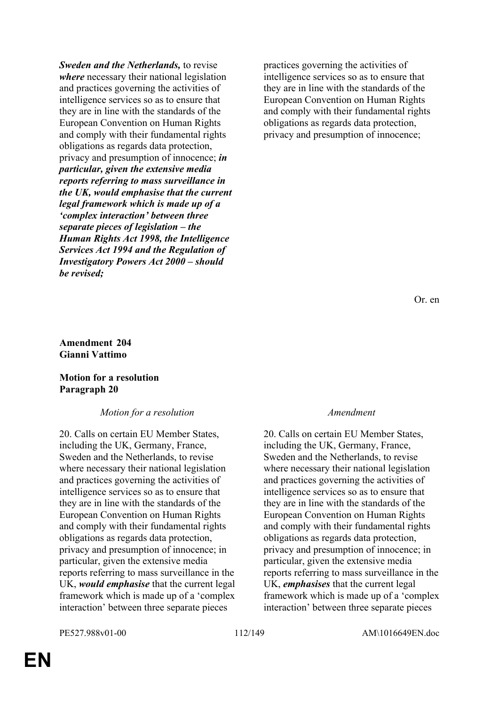*Sweden and the Netherlands,* to revise *where* necessary their national legislation and practices governing the activities of intelligence services so as to ensure that they are in line with the standards of the European Convention on Human Rights and comply with their fundamental rights obligations as regards data protection, privacy and presumption of innocence; *in particular, given the extensive media reports referring to mass surveillance in the UK, would emphasise that the current legal framework which is made up of a 'complex interaction' between three separate pieces of legislation – the Human Rights Act 1998, the Intelligence Services Act 1994 and the Regulation of Investigatory Powers Act 2000 – should be revised;*

practices governing the activities of intelligence services so as to ensure that they are in line with the standards of the European Convention on Human Rights and comply with their fundamental rights obligations as regards data protection, privacy and presumption of innocence;

Or. en

### **Amendment 204 Gianni Vattimo**

### **Motion for a resolution Paragraph 20**

# *Motion for a resolution Amendment*

20. Calls on certain EU Member States, including the UK, Germany, France, Sweden and the Netherlands, to revise where necessary their national legislation and practices governing the activities of intelligence services so as to ensure that they are in line with the standards of the European Convention on Human Rights and comply with their fundamental rights obligations as regards data protection, privacy and presumption of innocence; in particular, given the extensive media reports referring to mass surveillance in the UK, *would emphasise* that the current legal framework which is made up of a 'complex interaction' between three separate pieces

20. Calls on certain EU Member States, including the UK, Germany, France, Sweden and the Netherlands, to revise where necessary their national legislation and practices governing the activities of intelligence services so as to ensure that they are in line with the standards of the European Convention on Human Rights and comply with their fundamental rights obligations as regards data protection, privacy and presumption of innocence; in particular, given the extensive media reports referring to mass surveillance in the UK, *emphasises* that the current legal framework which is made up of a 'complex interaction' between three separate pieces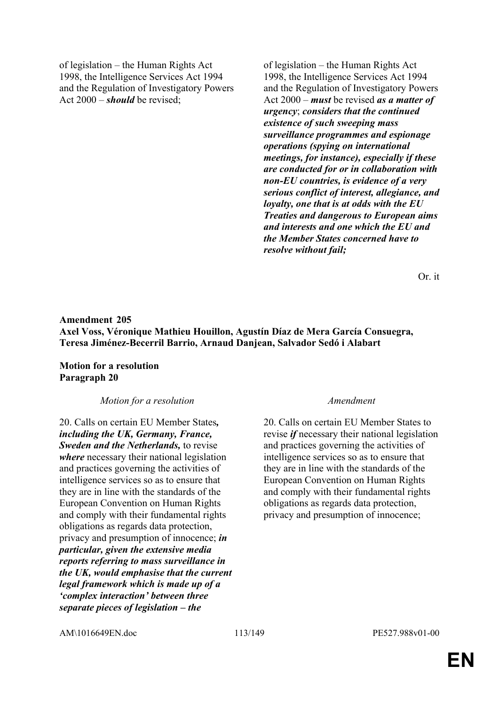of legislation – the Human Rights Act 1998, the Intelligence Services Act 1994 and the Regulation of Investigatory Powers Act 2000 – *should* be revised;

of legislation – the Human Rights Act 1998, the Intelligence Services Act 1994 and the Regulation of Investigatory Powers Act 2000 – *must* be revised *as a matter of urgency*; *considers that the continued existence of such sweeping mass surveillance programmes and espionage operations (spying on international meetings, for instance), especially if these are conducted for or in collaboration with non-EU countries, is evidence of a very serious conflict of interest, allegiance, and loyalty, one that is at odds with the EU Treaties and dangerous to European aims and interests and one which the EU and the Member States concerned have to resolve without fail;* 

Or. it

# **Amendment 205 Axel Voss, Véronique Mathieu Houillon, Agustín Díaz de Mera García Consuegra, Teresa Jiménez-Becerril Barrio, Arnaud Danjean, Salvador Sedó i Alabart**

**Motion for a resolution Paragraph 20**

*Motion for a resolution Amendment*

20. Calls on certain EU Member States*, including the UK, Germany, France, Sweden and the Netherlands,* to revise *where* necessary their national legislation and practices governing the activities of intelligence services so as to ensure that they are in line with the standards of the European Convention on Human Rights and comply with their fundamental rights obligations as regards data protection, privacy and presumption of innocence; *in particular, given the extensive media reports referring to mass surveillance in the UK, would emphasise that the current legal framework which is made up of a 'complex interaction' between three separate pieces of legislation – the* 

20. Calls on certain EU Member States to revise *if* necessary their national legislation and practices governing the activities of intelligence services so as to ensure that they are in line with the standards of the European Convention on Human Rights and comply with their fundamental rights obligations as regards data protection, privacy and presumption of innocence;

AM\1016649EN.doc 113/149 PE527.988v01-00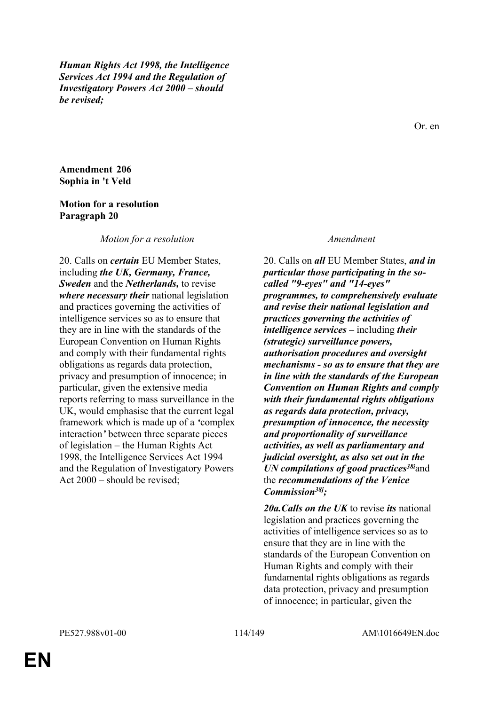*Human Rights Act 1998, the Intelligence Services Act 1994 and the Regulation of Investigatory Powers Act 2000 – should be revised;*

Or. en

**Amendment 206 Sophia in 't Veld**

### **Motion for a resolution Paragraph 20**

*Motion for a resolution Amendment*

20. Calls on *certain* EU Member States, including *the UK, Germany, France, Sweden* and the *Netherlands,* to revise *where necessary their* national legislation and practices governing the activities of intelligence services so as to ensure that they are in line with the standards of the European Convention on Human Rights and comply with their fundamental rights obligations as regards data protection, privacy and presumption of innocence; in particular, given the extensive media reports referring to mass surveillance in the UK, would emphasise that the current legal framework which is made up of a *'*complex interaction*'* between three separate pieces of legislation – the Human Rights Act 1998, the Intelligence Services Act 1994 and the Regulation of Investigatory Powers Act 2000 – should be revised;

20. Calls on *all* EU Member States, *and in particular those participating in the socalled "9-eyes" and "14-eyes" programmes, to comprehensively evaluate and revise their national legislation and practices governing the activities of intelligence services –* including *their (strategic) surveillance powers, authorisation procedures and oversight mechanisms - so as to ensure that they are in line with the standards of the European Convention on Human Rights and comply with their fundamental rights obligations as regards data protection, privacy, presumption of innocence, the necessity and proportionality of surveillance activities, as well as parliamentary and judicial oversight, as also set out in the UN compilations of good practices38i*and the *recommendations of the Venice Commission38j;* 

*20a.Calls on the UK* to revise *its* national legislation and practices governing the activities of intelligence services so as to ensure that they are in line with the standards of the European Convention on Human Rights and comply with their fundamental rights obligations as regards data protection, privacy and presumption of innocence; in particular, given the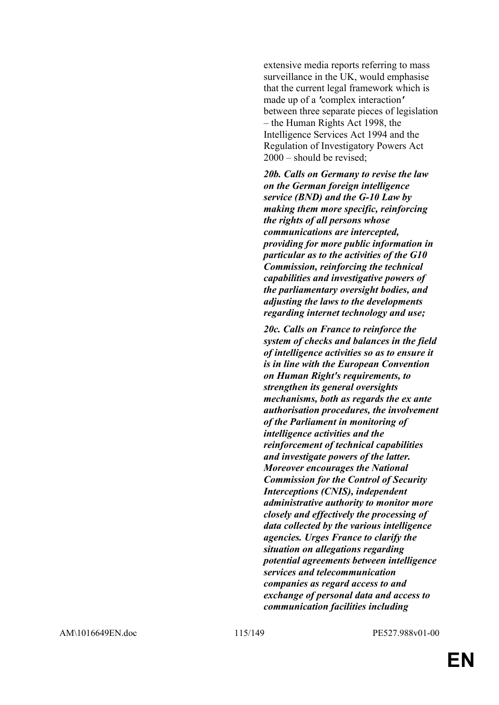extensive media reports referring to mass surveillance in the UK, would emphasise that the current legal framework which is made up of a *'*complex interaction*'* between three separate pieces of legislation – the Human Rights Act 1998, the Intelligence Services Act 1994 and the Regulation of Investigatory Powers Act 2000 – should be revised;

*20b. Calls on Germany to revise the law on the German foreign intelligence service (BND) and the G-10 Law by making them more specific, reinforcing the rights of all persons whose communications are intercepted, providing for more public information in particular as to the activities of the G10 Commission, reinforcing the technical capabilities and investigative powers of the parliamentary oversight bodies, and adjusting the laws to the developments regarding internet technology and use;*

*20c. Calls on France to reinforce the system of checks and balances in the field of intelligence activities so as to ensure it is in line with the European Convention on Human Right's requirements, to strengthen its general oversights mechanisms, both as regards the ex ante authorisation procedures, the involvement of the Parliament in monitoring of intelligence activities and the reinforcement of technical capabilities and investigate powers of the latter. Moreover encourages the National Commission for the Control of Security Interceptions (CNIS), independent administrative authority to monitor more closely and effectively the processing of data collected by the various intelligence agencies. Urges France to clarify the situation on allegations regarding potential agreements between intelligence services and telecommunication companies as regard access to and exchange of personal data and access to communication facilities including*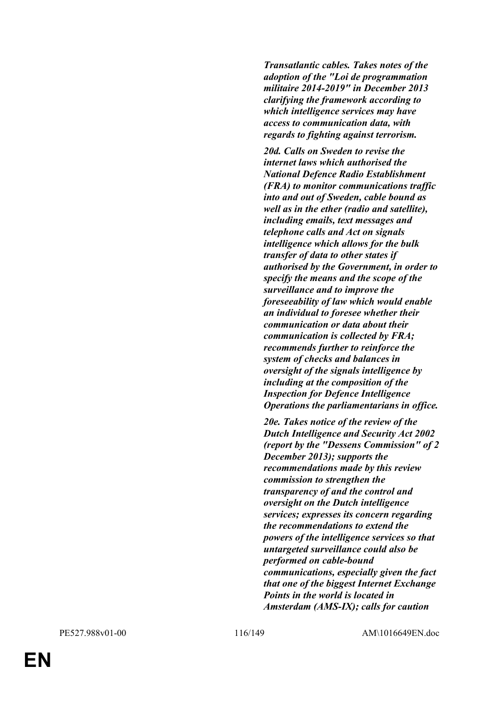*Transatlantic cables. Takes notes of the adoption of the "Loi de programmation militaire 2014-2019" in December 2013 clarifying the framework according to which intelligence services may have access to communication data, with regards to fighting against terrorism.*

*20d. Calls on Sweden to revise the internet laws which authorised the National Defence Radio Establishment (FRA) to monitor communications traffic into and out of Sweden, cable bound as well as in the ether (radio and satellite), including emails, text messages and telephone calls and Act on signals intelligence which allows for the bulk transfer of data to other states if authorised by the Government, in order to specify the means and the scope of the surveillance and to improve the foreseeability of law which would enable an individual to foresee whether their communication or data about their communication is collected by FRA; recommends further to reinforce the system of checks and balances in oversight of the signals intelligence by including at the composition of the Inspection for Defence Intelligence Operations the parliamentarians in office.*

*20e. Takes notice of the review of the Dutch Intelligence and Security Act 2002 (report by the "Dessens Commission" of 2 December 2013); supports the recommendations made by this review commission to strengthen the transparency of and the control and oversight on the Dutch intelligence services; expresses its concern regarding the recommendations to extend the powers of the intelligence services so that untargeted surveillance could also be performed on cable-bound communications, especially given the fact that one of the biggest Internet Exchange Points in the world is located in Amsterdam (AMS-IX); calls for caution*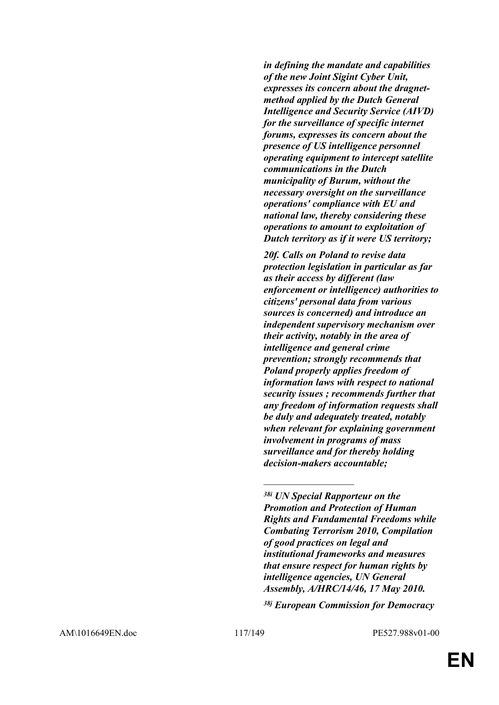*in defining the mandate and capabilities of the new Joint Sigint Cyber Unit, expresses its concern about the dragnetmethod applied by the Dutch General Intelligence and Security Service (AIVD) for the surveillance of specific internet forums, expresses its concern about the presence of US intelligence personnel operating equipment to intercept satellite communications in the Dutch municipality of Burum, without the necessary oversight on the surveillance operations' compliance with EU and national law, thereby considering these operations to amount to exploitation of Dutch territory as if it were US territory;*

*20f. Calls on Poland to revise data protection legislation in particular as far as their access by different (law enforcement or intelligence) authorities to citizens' personal data from various sources is concerned) and introduce an independent supervisory mechanism over their activity, notably in the area of intelligence and general crime prevention; strongly recommends that Poland properly applies freedom of information laws with respect to national security issues ; recommends further that any freedom of information requests shall be duly and adequately treated, notably when relevant for explaining government involvement in programs of mass surveillance and for thereby holding decision-makers accountable;*

 $\overline{\phantom{a}}$  , where  $\overline{\phantom{a}}$ 

*38j European Commission for Democracy* 

*<sup>38</sup>i UN Special Rapporteur on the Promotion and Protection of Human Rights and Fundamental Freedoms while Combating Terrorism 2010, Compilation of good practices on legal and institutional frameworks and measures that ensure respect for human rights by intelligence agencies, UN General Assembly, A/HRC/14/46, 17 May 2010.*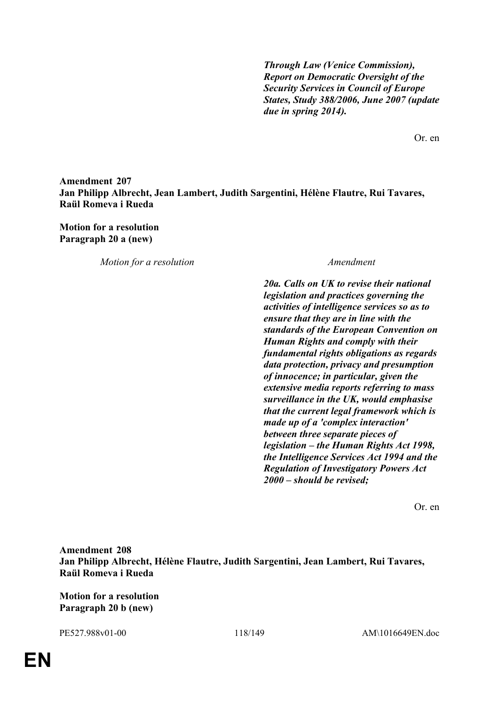*Through Law (Venice Commission), Report on Democratic Oversight of the Security Services in Council of Europe States, Study 388/2006, June 2007 (update due in spring 2014).*

Or. en

# **Amendment 207 Jan Philipp Albrecht, Jean Lambert, Judith Sargentini, Hélène Flautre, Rui Tavares, Raül Romeva i Rueda**

**Motion for a resolution Paragraph 20 a (new)**

*Motion for a resolution Amendment*

*20a. Calls on UK to revise their national legislation and practices governing the activities of intelligence services so as to ensure that they are in line with the standards of the European Convention on Human Rights and comply with their fundamental rights obligations as regards data protection, privacy and presumption of innocence; in particular, given the extensive media reports referring to mass surveillance in the UK, would emphasise that the current legal framework which is made up of a 'complex interaction' between three separate pieces of legislation – the Human Rights Act 1998, the Intelligence Services Act 1994 and the Regulation of Investigatory Powers Act 2000 – should be revised;*

Or. en

**Amendment 208 Jan Philipp Albrecht, Hélène Flautre, Judith Sargentini, Jean Lambert, Rui Tavares, Raül Romeva i Rueda**

**Motion for a resolution Paragraph 20 b (new)**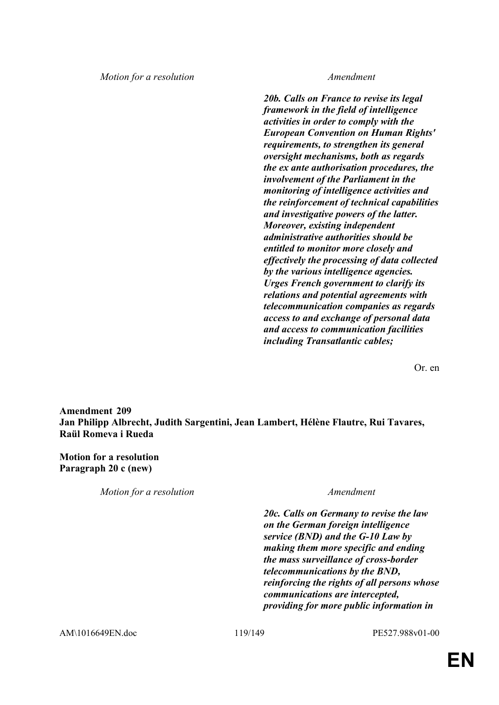*Motion for a resolution Amendment*

*20b. Calls on France to revise its legal framework in the field of intelligence activities in order to comply with the European Convention on Human Rights' requirements, to strengthen its general oversight mechanisms, both as regards the ex ante authorisation procedures, the involvement of the Parliament in the monitoring of intelligence activities and the reinforcement of technical capabilities and investigative powers of the latter. Moreover, existing independent administrative authorities should be entitled to monitor more closely and effectively the processing of data collected by the various intelligence agencies. Urges French government to clarify its relations and potential agreements with telecommunication companies as regards access to and exchange of personal data and access to communication facilities including Transatlantic cables;*

Or. en

**Amendment 209 Jan Philipp Albrecht, Judith Sargentini, Jean Lambert, Hélène Flautre, Rui Tavares, Raül Romeva i Rueda**

**Motion for a resolution Paragraph 20 c (new)**

*Motion for a resolution Amendment*

*20c. Calls on Germany to revise the law on the German foreign intelligence service (BND) and the G-10 Law by making them more specific and ending the mass surveillance of cross-border telecommunications by the BND, reinforcing the rights of all persons whose communications are intercepted, providing for more public information in*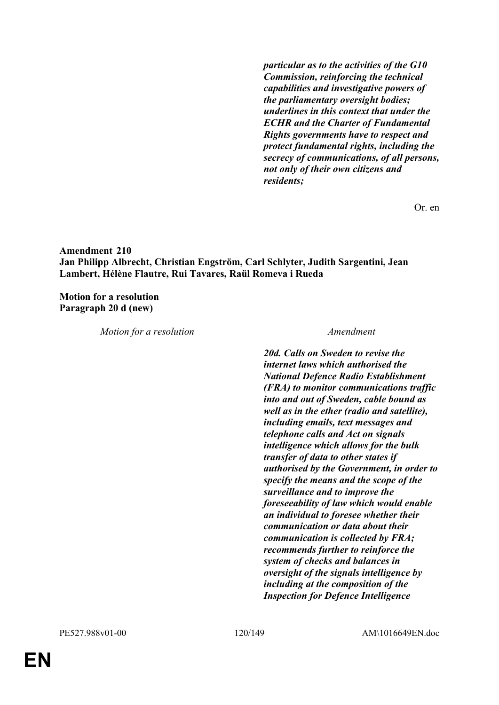*particular as to the activities of the G10 Commission, reinforcing the technical capabilities and investigative powers of the parliamentary oversight bodies; underlines in this context that under the ECHR and the Charter of Fundamental Rights governments have to respect and protect fundamental rights, including the secrecy of communications, of all persons, not only of their own citizens and residents;*

Or. en

## **Amendment 210 Jan Philipp Albrecht, Christian Engström, Carl Schlyter, Judith Sargentini, Jean Lambert, Hélène Flautre, Rui Tavares, Raül Romeva i Rueda**

**Motion for a resolution Paragraph 20 d (new)**

*Motion for a resolution Amendment*

*20d. Calls on Sweden to revise the internet laws which authorised the National Defence Radio Establishment (FRA) to monitor communications traffic into and out of Sweden, cable bound as well as in the ether (radio and satellite), including emails, text messages and telephone calls and Act on signals intelligence which allows for the bulk transfer of data to other states if authorised by the Government, in order to specify the means and the scope of the surveillance and to improve the foreseeability of law which would enable an individual to foresee whether their communication or data about their communication is collected by FRA; recommends further to reinforce the system of checks and balances in oversight of the signals intelligence by including at the composition of the Inspection for Defence Intelligence*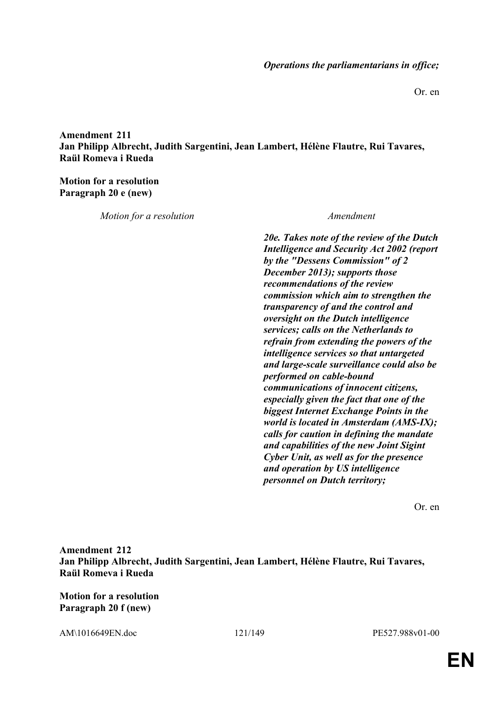Or. en

**Amendment 211 Jan Philipp Albrecht, Judith Sargentini, Jean Lambert, Hélène Flautre, Rui Tavares, Raül Romeva i Rueda**

**Motion for a resolution Paragraph 20 e (new)**

*Motion for a resolution Amendment*

*20e. Takes note of the review of the Dutch Intelligence and Security Act 2002 (report by the "Dessens Commission" of 2 December 2013); supports those recommendations of the review commission which aim to strengthen the transparency of and the control and oversight on the Dutch intelligence services; calls on the Netherlands to refrain from extending the powers of the intelligence services so that untargeted and large-scale surveillance could also be performed on cable-bound communications of innocent citizens, especially given the fact that one of the biggest Internet Exchange Points in the world is located in Amsterdam (AMS-IX); calls for caution in defining the mandate and capabilities of the new Joint Sigint Cyber Unit, as well as for the presence and operation by US intelligence personnel on Dutch territory;*

Or. en

**Amendment 212 Jan Philipp Albrecht, Judith Sargentini, Jean Lambert, Hélène Flautre, Rui Tavares, Raül Romeva i Rueda**

**Motion for a resolution Paragraph 20 f (new)**

AM\1016649EN.doc 121/149 PE527.988v01-00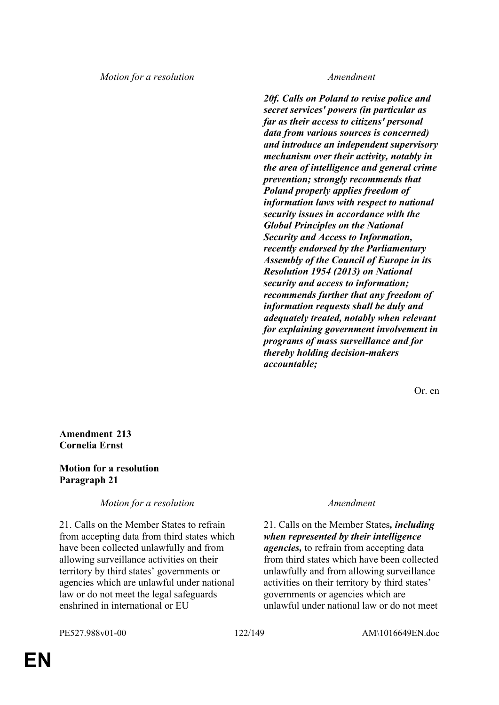*Motion for a resolution Amendment*

*20f. Calls on Poland to revise police and secret services' powers (in particular as far as their access to citizens' personal data from various sources is concerned) and introduce an independent supervisory mechanism over their activity, notably in the area of intelligence and general crime prevention; strongly recommends that Poland properly applies freedom of information laws with respect to national security issues in accordance with the Global Principles on the National Security and Access to Information, recently endorsed by the Parliamentary Assembly of the Council of Europe in its Resolution 1954 (2013) on National security and access to information; recommends further that any freedom of information requests shall be duly and adequately treated, notably when relevant for explaining government involvement in programs of mass surveillance and for thereby holding decision-makers accountable;*

Or. en

**Amendment 213 Cornelia Ernst**

## **Motion for a resolution Paragraph 21**

*Motion for a resolution Amendment*

21. Calls on the Member States to refrain from accepting data from third states which have been collected unlawfully and from allowing surveillance activities on their territory by third states' governments or agencies which are unlawful under national law or do not meet the legal safeguards enshrined in international or EU

21. Calls on the Member States*, including when represented by their intelligence agencies,* to refrain from accepting data from third states which have been collected unlawfully and from allowing surveillance activities on their territory by third states' governments or agencies which are unlawful under national law or do not meet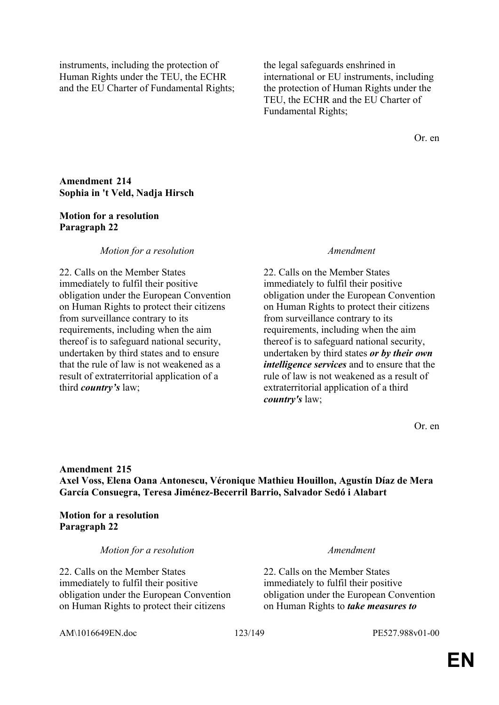instruments, including the protection of Human Rights under the TEU, the ECHR and the EU Charter of Fundamental Rights;

the legal safeguards enshrined in international or EU instruments, including the protection of Human Rights under the TEU, the ECHR and the EU Charter of Fundamental Rights;

Or. en

## **Amendment 214 Sophia in 't Veld, Nadja Hirsch**

### **Motion for a resolution Paragraph 22**

### *Motion for a resolution Amendment*

22. Calls on the Member States immediately to fulfil their positive obligation under the European Convention on Human Rights to protect their citizens from surveillance contrary to its requirements, including when the aim thereof is to safeguard national security, undertaken by third states and to ensure that the rule of law is not weakened as a result of extraterritorial application of a third *country's* law;

22. Calls on the Member States immediately to fulfil their positive obligation under the European Convention on Human Rights to protect their citizens from surveillance contrary to its requirements, including when the aim thereof is to safeguard national security, undertaken by third states *or by their own intelligence services* and to ensure that the rule of law is not weakened as a result of extraterritorial application of a third *country's* law;

Or. en

# **Amendment 215 Axel Voss, Elena Oana Antonescu, Véronique Mathieu Houillon, Agustín Díaz de Mera García Consuegra, Teresa Jiménez-Becerril Barrio, Salvador Sedó i Alabart**

**Motion for a resolution Paragraph 22**

*Motion for a resolution Amendment*

22. Calls on the Member States immediately to fulfil their positive obligation under the European Convention on Human Rights to protect their citizens

22. Calls on the Member States immediately to fulfil their positive obligation under the European Convention on Human Rights to *take measures to* 

AM\1016649EN.doc 123/149 PE527.988v01-00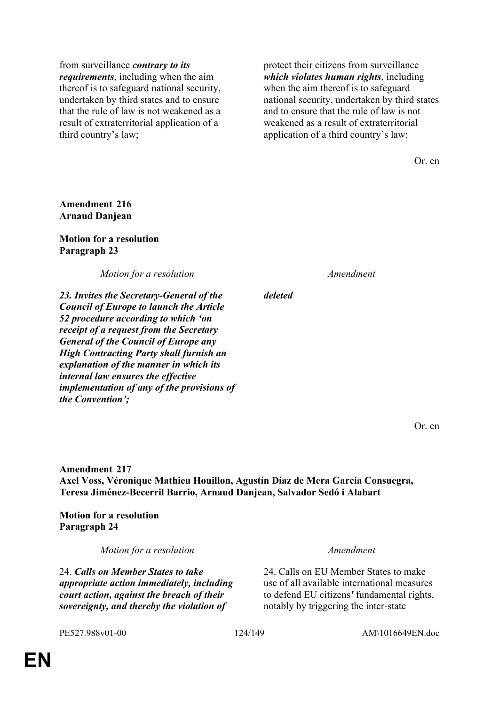from surveillance *contrary to its requirements*, including when the aim thereof is to safeguard national security, undertaken by third states and to ensure that the rule of law is not weakened as a result of extraterritorial application of a third country's law;

protect their citizens from surveillance *which violates human rights*, including when the aim thereof is to safeguard national security, undertaken by third states and to ensure that the rule of law is not weakened as a result of extraterritorial application of a third country's law;

Or. en

## **Amendment 216 Arnaud Danjean**

### **Motion for a resolution Paragraph 23**

*Motion for a resolution Amendment*

*23. Invites the Secretary-General of the Council of Europe to launch the Article 52 procedure according to which 'on receipt of a request from the Secretary General of the Council of Europe any High Contracting Party shall furnish an explanation of the manner in which its internal law ensures the effective implementation of any of the provisions of the Convention';*

*deleted*

Or. en

**Amendment 217 Axel Voss, Véronique Mathieu Houillon, Agustín Díaz de Mera García Consuegra, Teresa Jiménez-Becerril Barrio, Arnaud Danjean, Salvador Sedó i Alabart**

**Motion for a resolution Paragraph 24**

*Motion for a resolution Amendment*

24. *Calls on Member States to take appropriate action immediately, including court action, against the breach of their sovereignty, and thereby the violation of* 

24. Calls on EU Member States to make use of all available international measures to defend EU citizens*'* fundamental rights, notably by triggering the inter-state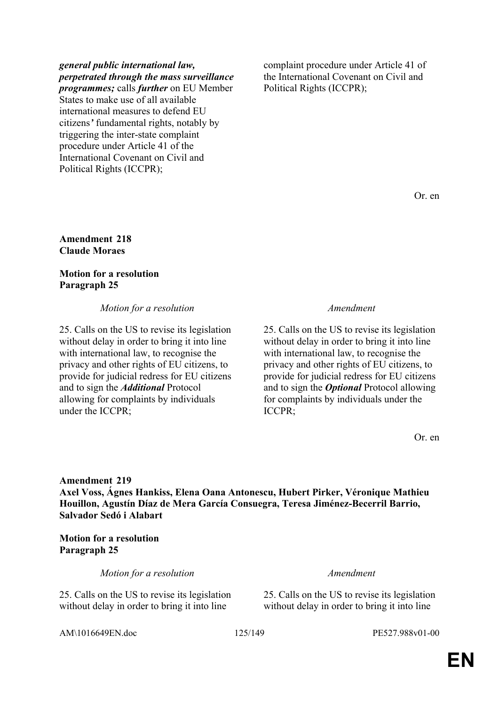### *general public international law, perpetrated through the mass surveillance programmes;* calls *further* on EU Member

States to make use of all available international measures to defend EU citizens*'* fundamental rights, notably by triggering the inter-state complaint procedure under Article 41 of the International Covenant on Civil and Political Rights (ICCPR);

complaint procedure under Article 41 of the International Covenant on Civil and Political Rights (ICCPR);

Or. en

### **Amendment 218 Claude Moraes**

# **Motion for a resolution Paragraph 25**

# *Motion for a resolution Amendment*

25. Calls on the US to revise its legislation without delay in order to bring it into line with international law, to recognise the privacy and other rights of EU citizens, to provide for judicial redress for EU citizens and to sign the *Additional* Protocol allowing for complaints by individuals under the ICCPR;

25. Calls on the US to revise its legislation without delay in order to bring it into line with international law, to recognise the privacy and other rights of EU citizens, to provide for judicial redress for EU citizens and to sign the *Optional* Protocol allowing for complaints by individuals under the ICCPR;

Or. en

**Amendment 219 Axel Voss, Ágnes Hankiss, Elena Oana Antonescu, Hubert Pirker, Véronique Mathieu Houillon, Agustín Díaz de Mera García Consuegra, Teresa Jiménez-Becerril Barrio, Salvador Sedó i Alabart**

**Motion for a resolution Paragraph 25**

*Motion for a resolution Amendment*

25. Calls on the US to revise its legislation without delay in order to bring it into line

25. Calls on the US to revise its legislation without delay in order to bring it into line

AM\1016649EN.doc 125/149 PE527.988v01-00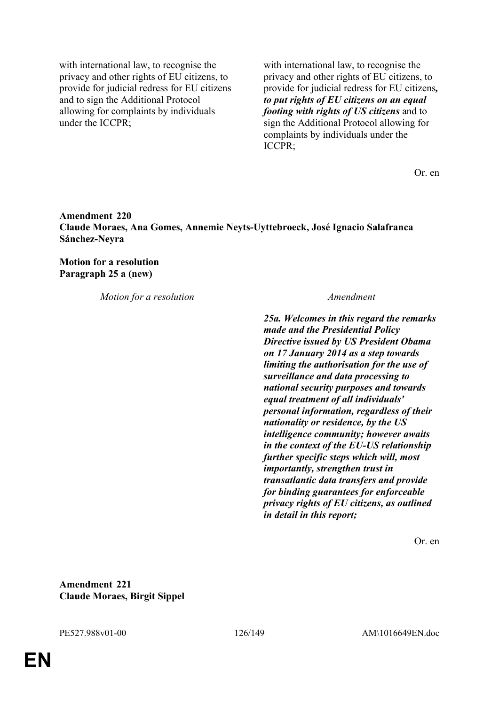with international law, to recognise the privacy and other rights of EU citizens, to provide for judicial redress for EU citizens and to sign the Additional Protocol allowing for complaints by individuals under the ICCPR;

with international law, to recognise the privacy and other rights of EU citizens, to provide for judicial redress for EU citizens*, to put rights of EU citizens on an equal footing with rights of US citizens* and to sign the Additional Protocol allowing for complaints by individuals under the ICCPR;

Or. en

## **Amendment 220 Claude Moraes, Ana Gomes, Annemie Neyts-Uyttebroeck, José Ignacio Salafranca Sánchez-Neyra**

**Motion for a resolution Paragraph 25 a (new)**

*Motion for a resolution Amendment*

*25a. Welcomes in this regard the remarks made and the Presidential Policy Directive issued by US President Obama on 17 January 2014 as a step towards limiting the authorisation for the use of surveillance and data processing to national security purposes and towards equal treatment of all individuals' personal information, regardless of their nationality or residence, by the US intelligence community; however awaits in the context of the EU-US relationship further specific steps which will, most importantly, strengthen trust in transatlantic data transfers and provide for binding guarantees for enforceable privacy rights of EU citizens, as outlined in detail in this report;*

Or. en

**Amendment 221 Claude Moraes, Birgit Sippel**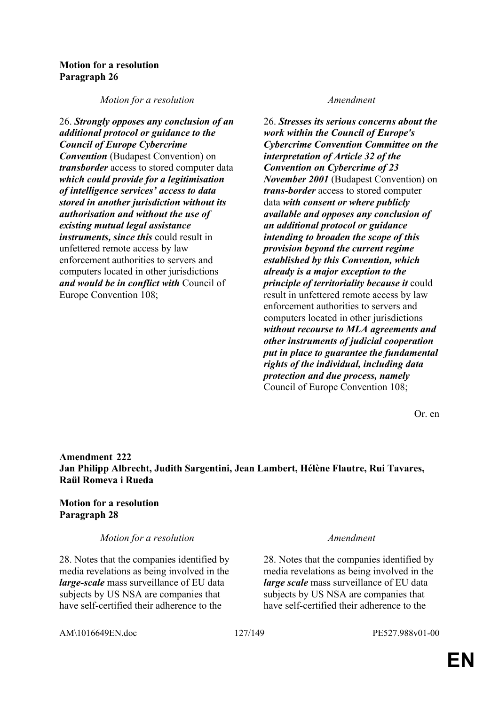## **Motion for a resolution Paragraph 26**

*Motion for a resolution Amendment*

26. *Strongly opposes any conclusion of an additional protocol or guidance to the Council of Europe Cybercrime Convention* (Budapest Convention) on *transborder* access to stored computer data *which could provide for a legitimisation of intelligence services' access to data stored in another jurisdiction without its authorisation and without the use of existing mutual legal assistance instruments, since this* could result in unfettered remote access by law enforcement authorities to servers and computers located in other jurisdictions *and would be in conflict with* Council of Europe Convention 108;

26. *Stresses its serious concerns about the work within the Council of Europe's Cybercrime Convention Committee on the interpretation of Article 32 of the Convention on Cybercrime of 23 November 2001* (Budapest Convention) on *trans-border* access to stored computer data *with consent or where publicly available and opposes any conclusion of an additional protocol or guidance intending to broaden the scope of this provision beyond the current regime established by this Convention, which already is a major exception to the principle of territoriality because it* could result in unfettered remote access by law enforcement authorities to servers and computers located in other jurisdictions *without recourse to MLA agreements and other instruments of judicial cooperation put in place to guarantee the fundamental rights of the individual, including data protection and due process, namely* Council of Europe Convention 108;

Or. en

**Amendment 222 Jan Philipp Albrecht, Judith Sargentini, Jean Lambert, Hélène Flautre, Rui Tavares, Raül Romeva i Rueda**

## **Motion for a resolution Paragraph 28**

*Motion for a resolution Amendment*

28. Notes that the companies identified by media revelations as being involved in the *large-scale* mass surveillance of EU data subjects by US NSA are companies that have self-certified their adherence to the

28. Notes that the companies identified by media revelations as being involved in the *large scale* mass surveillance of EU data subjects by US NSA are companies that have self-certified their adherence to the

AM\1016649EN.doc 127/149 PE527.988v01-00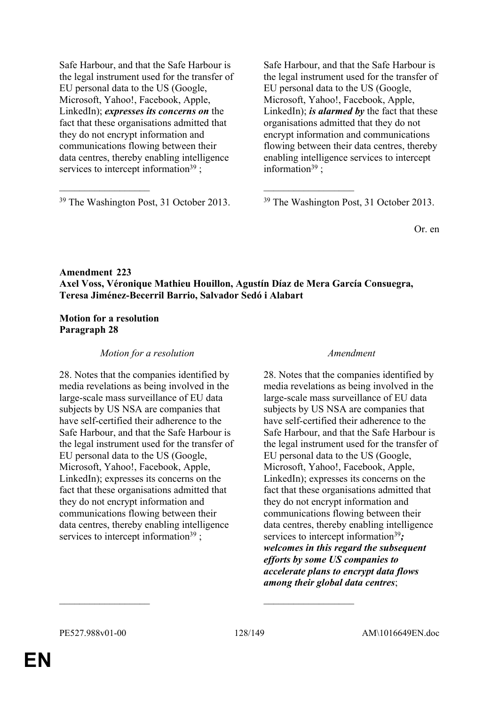Safe Harbour, and that the Safe Harbour is the legal instrument used for the transfer of EU personal data to the US (Google, Microsoft, Yahoo!, Facebook, Apple, LinkedIn); *expresses its concerns on* the fact that these organisations admitted that they do not encrypt information and communications flowing between their data centres, thereby enabling intelligence services to intercept information<sup>39</sup>;

 $39$  The Washington Post, 31 October 2013.  $39$  The Washington Post, 31 October 2013.

Safe Harbour, and that the Safe Harbour is the legal instrument used for the transfer of EU personal data to the US (Google, Microsoft, Yahoo!, Facebook, Apple, LinkedIn); *is alarmed by* the fact that these organisations admitted that they do not encrypt information and communications flowing between their data centres, thereby enabling intelligence services to intercept information<sup>39</sup>:

Or. en

# **Amendment 223 Axel Voss, Véronique Mathieu Houillon, Agustín Díaz de Mera García Consuegra, Teresa Jiménez-Becerril Barrio, Salvador Sedó i Alabart**

 $\mathcal{L}_\mathcal{L}$  , and the contribution of the contribution of the contribution of the contribution of the contribution of the contribution of the contribution of the contribution of the contribution of the contribution of

# **Motion for a resolution Paragraph 28**

# *Motion for a resolution Amendment*

28. Notes that the companies identified by media revelations as being involved in the large-scale mass surveillance of EU data subjects by US NSA are companies that have self-certified their adherence to the Safe Harbour, and that the Safe Harbour is the legal instrument used for the transfer of EU personal data to the US (Google, Microsoft, Yahoo!, Facebook, Apple, LinkedIn); expresses its concerns on the fact that these organisations admitted that they do not encrypt information and communications flowing between their data centres, thereby enabling intelligence services to intercept information<sup>39</sup>;

28. Notes that the companies identified by media revelations as being involved in the large-scale mass surveillance of EU data subjects by US NSA are companies that have self-certified their adherence to the Safe Harbour, and that the Safe Harbour is the legal instrument used for the transfer of EU personal data to the US (Google, Microsoft, Yahoo!, Facebook, Apple, LinkedIn); expresses its concerns on the fact that these organisations admitted that they do not encrypt information and communications flowing between their data centres, thereby enabling intelligence services to intercept information<sup>39</sup>; *welcomes in this regard the subsequent efforts by some US companies to accelerate plans to encrypt data flows among their global data centres*;

 $\mathcal{L}_\text{max}$  and  $\mathcal{L}_\text{max}$  and  $\mathcal{L}_\text{max}$  and  $\mathcal{L}_\text{max}$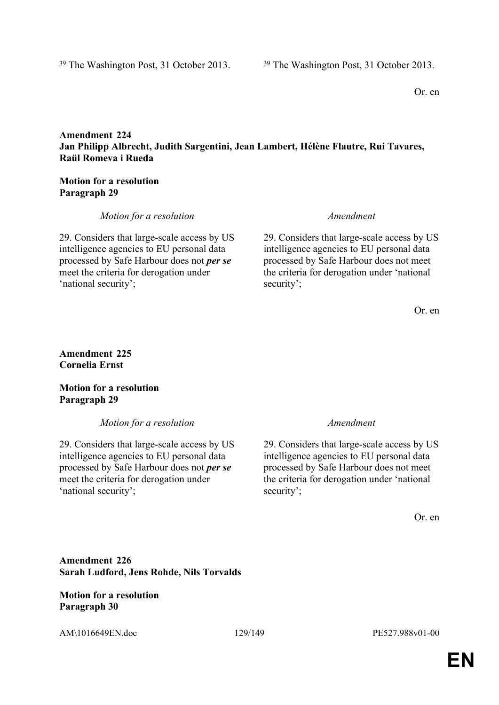# **Amendment 224 Jan Philipp Albrecht, Judith Sargentini, Jean Lambert, Hélène Flautre, Rui Tavares, Raül Romeva i Rueda**

## **Motion for a resolution Paragraph 29**

# *Motion for a resolution Amendment*

29. Considers that large-scale access by US intelligence agencies to EU personal data processed by Safe Harbour does not *per se* meet the criteria for derogation under 'national security';

29. Considers that large-scale access by US intelligence agencies to EU personal data processed by Safe Harbour does not meet the criteria for derogation under 'national security';

Or. en

# **Amendment 225 Cornelia Ernst**

# **Motion for a resolution Paragraph 29**

*Motion for a resolution Amendment*

29. Considers that large-scale access by US intelligence agencies to EU personal data processed by Safe Harbour does not *per se* meet the criteria for derogation under 'national security';

29. Considers that large-scale access by US intelligence agencies to EU personal data processed by Safe Harbour does not meet the criteria for derogation under 'national security';

Or. en

**Amendment 226 Sarah Ludford, Jens Rohde, Nils Torvalds**

**Motion for a resolution Paragraph 30**

AM\1016649EN.doc 129/149 PE527.988v01-00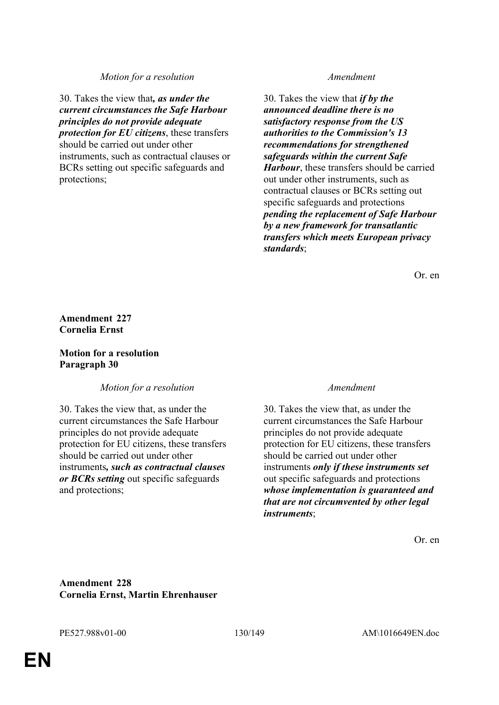### *Motion for a resolution Amendment*

30. Takes the view that*, as under the current circumstances the Safe Harbour principles do not provide adequate protection for EU citizens*, these transfers should be carried out under other instruments, such as contractual clauses or BCRs setting out specific safeguards and protections;

30. Takes the view that *if by the announced deadline there is no satisfactory response from the US authorities to the Commission's 13 recommendations for strengthened safeguards within the current Safe Harbour*, these transfers should be carried out under other instruments, such as contractual clauses or BCRs setting out specific safeguards and protections *pending the replacement of Safe Harbour by a new framework for transatlantic transfers which meets European privacy standards*;

Or. en

**Amendment 227 Cornelia Ernst**

## **Motion for a resolution Paragraph 30**

*Motion for a resolution Amendment*

30. Takes the view that, as under the current circumstances the Safe Harbour principles do not provide adequate protection for EU citizens, these transfers should be carried out under other instruments*, such as contractual clauses or BCRs setting* out specific safeguards and protections;

30. Takes the view that, as under the current circumstances the Safe Harbour principles do not provide adequate protection for EU citizens, these transfers should be carried out under other instruments *only if these instruments set* out specific safeguards and protections *whose implementation is guaranteed and that are not circumvented by other legal instruments*;

Or. en

**Amendment 228 Cornelia Ernst, Martin Ehrenhauser**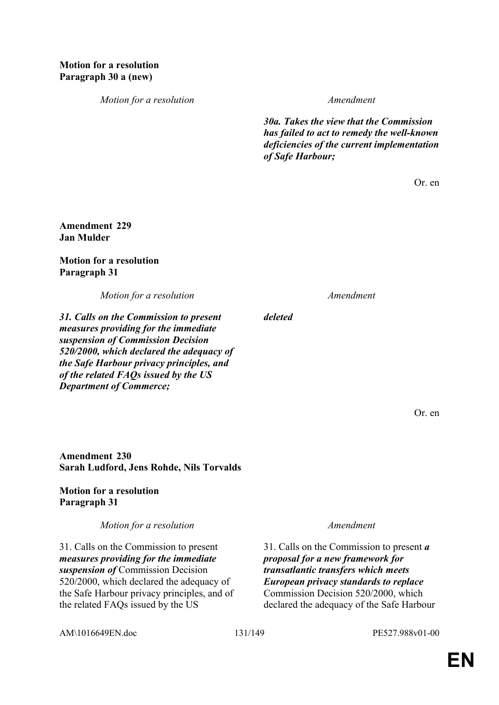*Motion for a resolution Amendment*

*30a. Takes the view that the Commission has failed to act to remedy the well-known deficiencies of the current implementation of Safe Harbour;*

Or. en

## **Amendment 229 Jan Mulder**

## **Motion for a resolution Paragraph 31**

*Motion for a resolution Amendment*

*31. Calls on the Commission to present measures providing for the immediate suspension of Commission Decision 520/2000, which declared the adequacy of the Safe Harbour privacy principles, and of the related FAQs issued by the US Department of Commerce;*

Or. en

**Amendment 230 Sarah Ludford, Jens Rohde, Nils Torvalds**

**Motion for a resolution Paragraph 31**

*Motion for a resolution Amendment*

31. Calls on the Commission to present *measures providing for the immediate suspension of* Commission Decision 520/2000, which declared the adequacy of the Safe Harbour privacy principles, and of the related FAQs issued by the US

31. Calls on the Commission to present *a proposal for a new framework for transatlantic transfers which meets European privacy standards to replace* Commission Decision 520/2000, which declared the adequacy of the Safe Harbour

AM\1016649EN.doc 131/149 PE527.988v01-00

*deleted*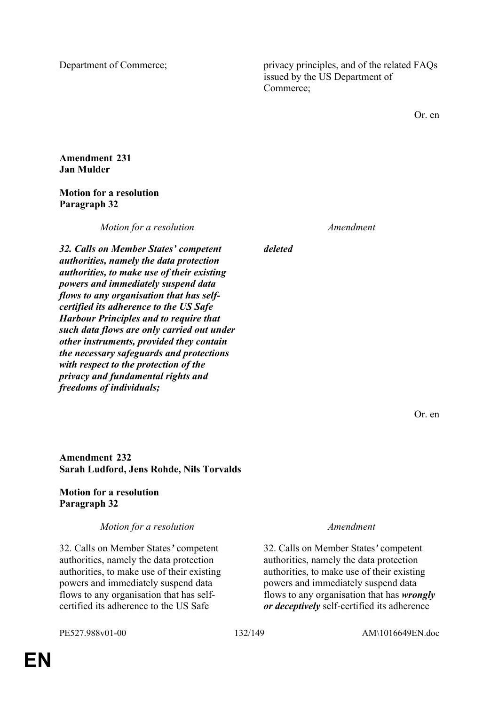Department of Commerce; privacy principles, and of the related FAQs issued by the US Department of Commerce;

Or. en

### **Amendment 231 Jan Mulder**

# **Motion for a resolution Paragraph 32**

*Motion for a resolution Amendment*

*deleted*

*32. Calls on Member States' competent authorities, namely the data protection authorities, to make use of their existing powers and immediately suspend data flows to any organisation that has selfcertified its adherence to the US Safe Harbour Principles and to require that such data flows are only carried out under other instruments, provided they contain the necessary safeguards and protections with respect to the protection of the privacy and fundamental rights and freedoms of individuals;*

Or. en

**Amendment 232 Sarah Ludford, Jens Rohde, Nils Torvalds**

# **Motion for a resolution Paragraph 32**

*Motion for a resolution Amendment*

32. Calls on Member States*'* competent authorities, namely the data protection authorities, to make use of their existing powers and immediately suspend data flows to any organisation that has selfcertified its adherence to the US Safe

32. Calls on Member States*'* competent authorities, namely the data protection authorities, to make use of their existing powers and immediately suspend data flows to any organisation that has *wrongly or deceptively* self-certified its adherence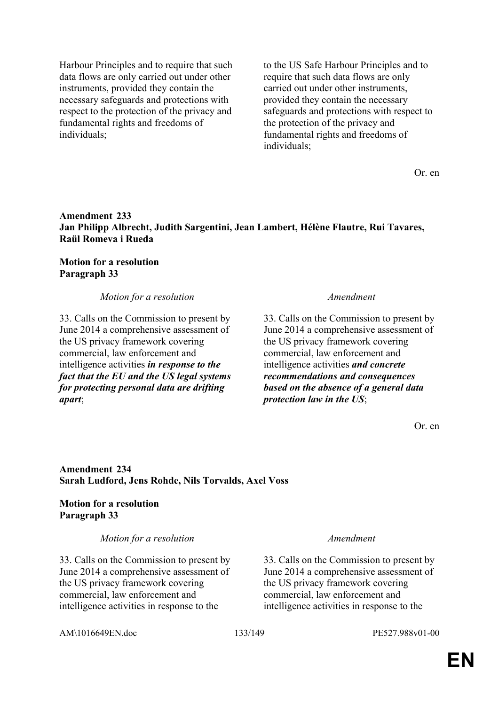Harbour Principles and to require that such data flows are only carried out under other instruments, provided they contain the necessary safeguards and protections with respect to the protection of the privacy and fundamental rights and freedoms of individuals;

to the US Safe Harbour Principles and to require that such data flows are only carried out under other instruments, provided they contain the necessary safeguards and protections with respect to the protection of the privacy and fundamental rights and freedoms of individuals;

Or. en

## **Amendment 233 Jan Philipp Albrecht, Judith Sargentini, Jean Lambert, Hélène Flautre, Rui Tavares, Raül Romeva i Rueda**

## **Motion for a resolution Paragraph 33**

*Motion for a resolution Amendment*

33. Calls on the Commission to present by June 2014 a comprehensive assessment of the US privacy framework covering commercial, law enforcement and intelligence activities *in response to the fact that the EU and the US legal systems for protecting personal data are drifting apart*;

33. Calls on the Commission to present by June 2014 a comprehensive assessment of the US privacy framework covering commercial, law enforcement and intelligence activities *and concrete recommendations and consequences based on the absence of a general data protection law in the US*;

Or. en

## **Amendment 234 Sarah Ludford, Jens Rohde, Nils Torvalds, Axel Voss**

## **Motion for a resolution Paragraph 33**

*Motion for a resolution Amendment*

33. Calls on the Commission to present by June 2014 a comprehensive assessment of the US privacy framework covering commercial, law enforcement and intelligence activities in response to the

33. Calls on the Commission to present by June 2014 a comprehensive assessment of the US privacy framework covering commercial, law enforcement and intelligence activities in response to the

AM\1016649EN.doc 133/149 PE527.988v01-00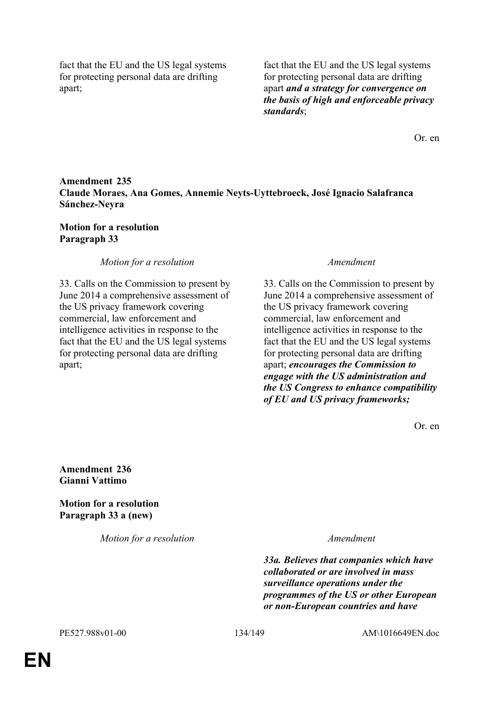fact that the EU and the US legal systems for protecting personal data are drifting apart;

fact that the EU and the US legal systems for protecting personal data are drifting apart *and a strategy for convergence on the basis of high and enforceable privacy standards*;

Or. en

# **Amendment 235 Claude Moraes, Ana Gomes, Annemie Neyts-Uyttebroeck, José Ignacio Salafranca Sánchez-Neyra**

## **Motion for a resolution Paragraph 33**

## *Motion for a resolution Amendment*

33. Calls on the Commission to present by June 2014 a comprehensive assessment of the US privacy framework covering commercial, law enforcement and intelligence activities in response to the fact that the EU and the US legal systems for protecting personal data are drifting apart;

33. Calls on the Commission to present by June 2014 a comprehensive assessment of the US privacy framework covering commercial, law enforcement and intelligence activities in response to the fact that the EU and the US legal systems for protecting personal data are drifting apart; *encourages the Commission to engage with the US administration and the US Congress to enhance compatibility of EU and US privacy frameworks;*

Or. en

**Amendment 236 Gianni Vattimo**

**Motion for a resolution Paragraph 33 a (new)**

*Motion for a resolution Amendment*

*33a. Believes that companies which have collaborated or are involved in mass surveillance operations under the programmes of the US or other European or non-European countries and have*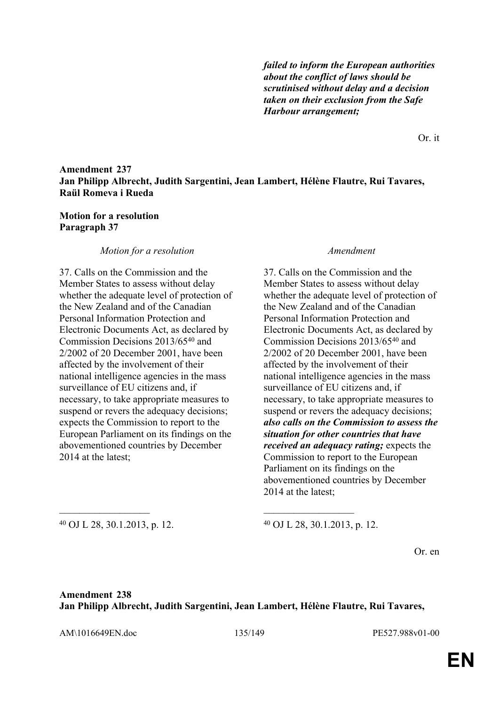*failed to inform the European authorities about the conflict of laws should be scrutinised without delay and a decision taken on their exclusion from the Safe Harbour arrangement;* 

Or. it

## **Amendment 237 Jan Philipp Albrecht, Judith Sargentini, Jean Lambert, Hélène Flautre, Rui Tavares, Raül Romeva i Rueda**

### **Motion for a resolution Paragraph 37**

### *Motion for a resolution Amendment*

37. Calls on the Commission and the Member States to assess without delay whether the adequate level of protection of the New Zealand and of the Canadian Personal Information Protection and Electronic Documents Act, as declared by Commission Decisions 2013/65<sup>40</sup> and 2/2002 of 20 December 2001, have been affected by the involvement of their national intelligence agencies in the mass surveillance of EU citizens and, if necessary, to take appropriate measures to suspend or revers the adequacy decisions; expects the Commission to report to the European Parliament on its findings on the abovementioned countries by December 2014 at the latest;

37. Calls on the Commission and the Member States to assess without delay whether the adequate level of protection of the New Zealand and of the Canadian Personal Information Protection and Electronic Documents Act, as declared by Commission Decisions 2013/65<sup>40</sup> and 2/2002 of 20 December 2001, have been affected by the involvement of their national intelligence agencies in the mass surveillance of EU citizens and, if necessary, to take appropriate measures to suspend or revers the adequacy decisions; *also calls on the Commission to assess the situation for other countries that have received an adequacy rating;* expects the Commission to report to the European Parliament on its findings on the abovementioned countries by December 2014 at the latest;

<sup>40</sup> OJ L 28, 30.1.2013, p. 12. <sup>40</sup> OJ L 28, 30.1.2013, p. 12.

Or. en

# **Amendment 238 Jan Philipp Albrecht, Judith Sargentini, Jean Lambert, Hélène Flautre, Rui Tavares,**

 $\mathcal{L}_\mathcal{L}$  , and the contribution of the contribution of the contribution of the contribution of the contribution of the contribution of the contribution of the contribution of the contribution of the contribution of

AM\1016649EN.doc 135/149 PE527.988v01-00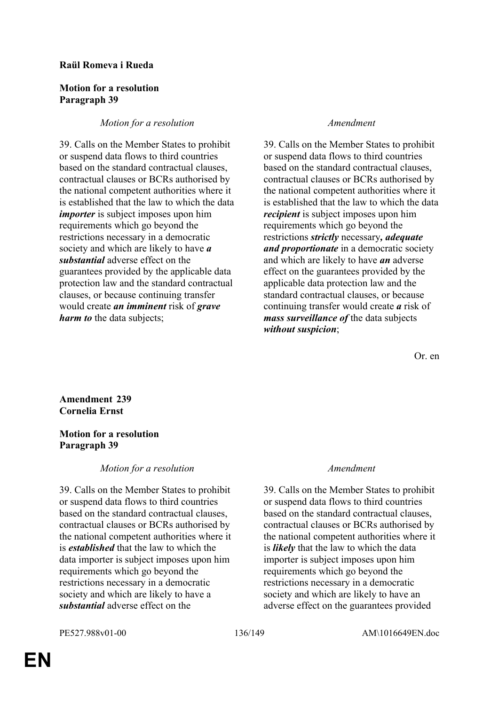## **Raül Romeva i Rueda**

### **Motion for a resolution Paragraph 39**

# *Motion for a resolution Amendment*

39. Calls on the Member States to prohibit or suspend data flows to third countries based on the standard contractual clauses, contractual clauses or BCRs authorised by the national competent authorities where it is established that the law to which the data *importer* is subject imposes upon him requirements which go beyond the restrictions necessary in a democratic society and which are likely to have *a substantial* adverse effect on the guarantees provided by the applicable data protection law and the standard contractual clauses, or because continuing transfer would create *an imminent* risk of *grave harm to* the data subjects;

39. Calls on the Member States to prohibit or suspend data flows to third countries based on the standard contractual clauses, contractual clauses or BCRs authorised by the national competent authorities where it is established that the law to which the data *recipient* is subject imposes upon him requirements which go beyond the restrictions *strictly* necessary*, adequate and proportionate* in a democratic society and which are likely to have *an* adverse effect on the guarantees provided by the applicable data protection law and the standard contractual clauses, or because continuing transfer would create *a* risk of *mass surveillance of* the data subjects *without suspicion*;

Or. en

**Amendment 239 Cornelia Ernst**

# **Motion for a resolution Paragraph 39**

# *Motion for a resolution Amendment*

39. Calls on the Member States to prohibit or suspend data flows to third countries based on the standard contractual clauses, contractual clauses or BCRs authorised by the national competent authorities where it is *established* that the law to which the data importer is subject imposes upon him requirements which go beyond the restrictions necessary in a democratic society and which are likely to have a *substantial* adverse effect on the

39. Calls on the Member States to prohibit or suspend data flows to third countries based on the standard contractual clauses, contractual clauses or BCRs authorised by the national competent authorities where it is *likely* that the law to which the data importer is subject imposes upon him requirements which go beyond the restrictions necessary in a democratic society and which are likely to have an adverse effect on the guarantees provided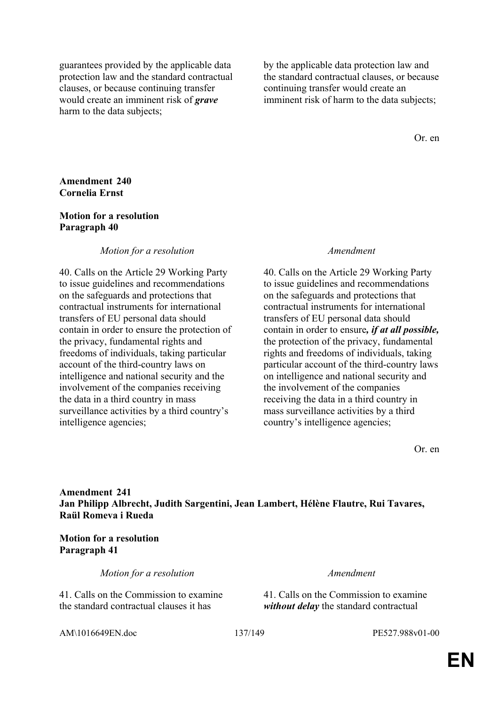guarantees provided by the applicable data protection law and the standard contractual clauses, or because continuing transfer would create an imminent risk of *grave* harm to the data subjects;

by the applicable data protection law and the standard contractual clauses, or because continuing transfer would create an imminent risk of harm to the data subjects;

Or. en

### **Amendment 240 Cornelia Ernst**

### **Motion for a resolution Paragraph 40**

### *Motion for a resolution Amendment*

40. Calls on the Article 29 Working Party to issue guidelines and recommendations on the safeguards and protections that contractual instruments for international transfers of EU personal data should contain in order to ensure the protection of the privacy, fundamental rights and freedoms of individuals, taking particular account of the third-country laws on intelligence and national security and the involvement of the companies receiving the data in a third country in mass surveillance activities by a third country's intelligence agencies;

40. Calls on the Article 29 Working Party to issue guidelines and recommendations on the safeguards and protections that contractual instruments for international transfers of EU personal data should contain in order to ensure*, if at all possible,*  the protection of the privacy, fundamental rights and freedoms of individuals, taking particular account of the third-country laws on intelligence and national security and the involvement of the companies receiving the data in a third country in mass surveillance activities by a third country's intelligence agencies;

Or. en

# **Amendment 241 Jan Philipp Albrecht, Judith Sargentini, Jean Lambert, Hélène Flautre, Rui Tavares, Raül Romeva i Rueda**

### **Motion for a resolution Paragraph 41**

*Motion for a resolution Amendment*

41. Calls on the Commission to examine the standard contractual clauses it has

41. Calls on the Commission to examine *without delay* the standard contractual

AM\1016649EN.doc 137/149 PE527.988v01-00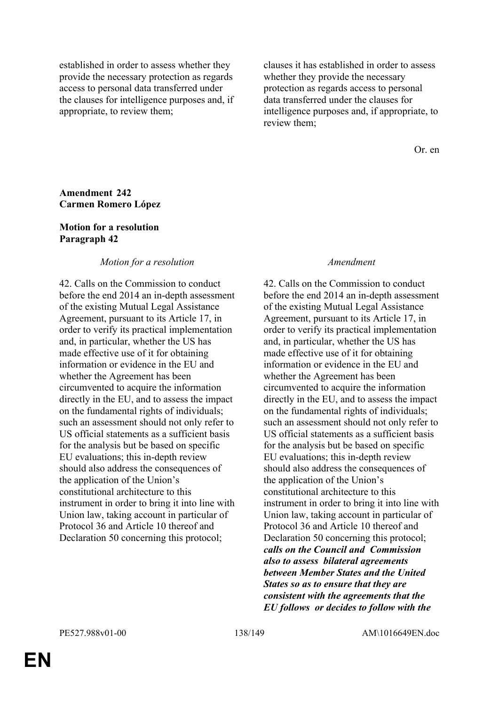established in order to assess whether they provide the necessary protection as regards access to personal data transferred under the clauses for intelligence purposes and, if appropriate, to review them;

clauses it has established in order to assess whether they provide the necessary protection as regards access to personal data transferred under the clauses for intelligence purposes and, if appropriate, to review them;

Or. en

### **Amendment 242 Carmen Romero López**

### **Motion for a resolution Paragraph 42**

### *Motion for a resolution Amendment*

42. Calls on the Commission to conduct before the end 2014 an in-depth assessment of the existing Mutual Legal Assistance Agreement, pursuant to its Article 17, in order to verify its practical implementation and, in particular, whether the US has made effective use of it for obtaining information or evidence in the EU and whether the Agreement has been circumvented to acquire the information directly in the EU, and to assess the impact on the fundamental rights of individuals; such an assessment should not only refer to US official statements as a sufficient basis for the analysis but be based on specific EU evaluations; this in-depth review should also address the consequences of the application of the Union's constitutional architecture to this instrument in order to bring it into line with Union law, taking account in particular of Protocol 36 and Article 10 thereof and Declaration 50 concerning this protocol;

42. Calls on the Commission to conduct before the end 2014 an in-depth assessment of the existing Mutual Legal Assistance Agreement, pursuant to its Article 17, in order to verify its practical implementation and, in particular, whether the US has made effective use of it for obtaining information or evidence in the EU and whether the Agreement has been circumvented to acquire the information directly in the EU, and to assess the impact on the fundamental rights of individuals; such an assessment should not only refer to US official statements as a sufficient basis for the analysis but be based on specific EU evaluations; this in-depth review should also address the consequences of the application of the Union's constitutional architecture to this instrument in order to bring it into line with Union law, taking account in particular of Protocol 36 and Article 10 thereof and Declaration 50 concerning this protocol; *calls on the Council and Commission also to assess bilateral agreements between Member States and the United States so as to ensure that they are consistent with the agreements that the EU follows or decides to follow with the*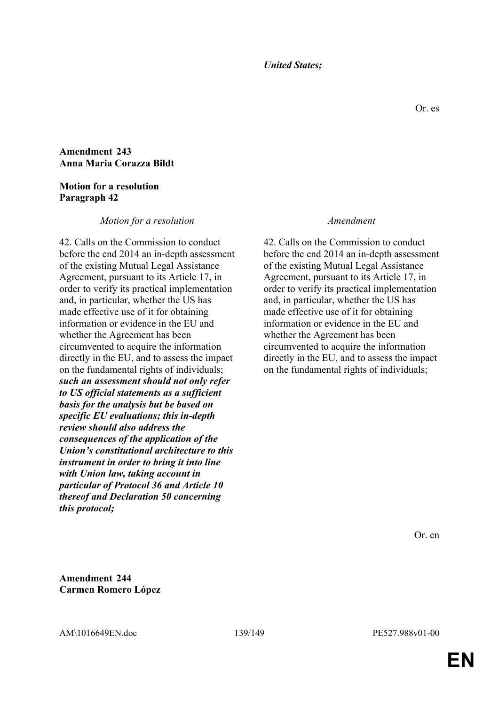### *United States;*

## **Amendment 243 Anna Maria Corazza Bildt**

### **Motion for a resolution Paragraph 42**

### *Motion for a resolution Amendment*

42. Calls on the Commission to conduct before the end 2014 an in-depth assessment of the existing Mutual Legal Assistance Agreement, pursuant to its Article 17, in order to verify its practical implementation and, in particular, whether the US has made effective use of it for obtaining information or evidence in the EU and whether the Agreement has been circumvented to acquire the information directly in the EU, and to assess the impact on the fundamental rights of individuals; *such an assessment should not only refer to US official statements as a sufficient basis for the analysis but be based on specific EU evaluations; this in-depth review should also address the consequences of the application of the Union's constitutional architecture to this instrument in order to bring it into line with Union law, taking account in particular of Protocol 36 and Article 10 thereof and Declaration 50 concerning this protocol;*

42. Calls on the Commission to conduct before the end 2014 an in-depth assessment of the existing Mutual Legal Assistance Agreement, pursuant to its Article 17, in order to verify its practical implementation and, in particular, whether the US has made effective use of it for obtaining information or evidence in the EU and whether the Agreement has been circumvented to acquire the information directly in the EU, and to assess the impact on the fundamental rights of individuals;

Or. en

**Amendment 244 Carmen Romero López**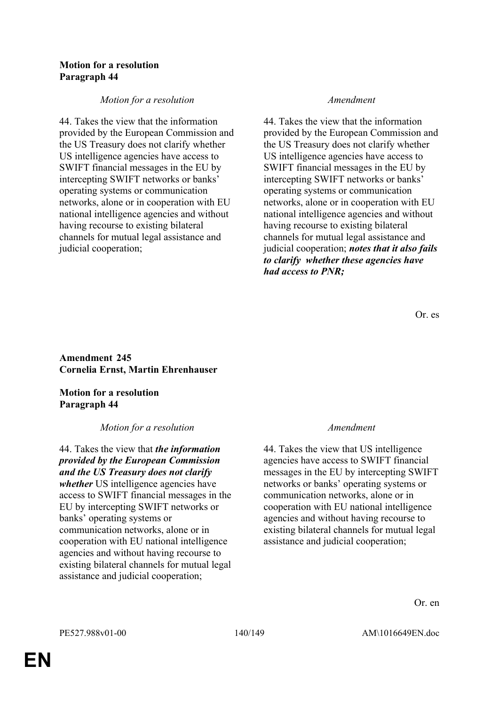## **Motion for a resolution Paragraph 44**

## *Motion for a resolution Amendment*

44. Takes the view that the information provided by the European Commission and the US Treasury does not clarify whether US intelligence agencies have access to SWIFT financial messages in the EU by intercepting SWIFT networks or banks' operating systems or communication networks, alone or in cooperation with EU national intelligence agencies and without having recourse to existing bilateral channels for mutual legal assistance and judicial cooperation;

44. Takes the view that the information provided by the European Commission and the US Treasury does not clarify whether US intelligence agencies have access to SWIFT financial messages in the EU by intercepting SWIFT networks or banks' operating systems or communication networks, alone or in cooperation with EU national intelligence agencies and without having recourse to existing bilateral channels for mutual legal assistance and judicial cooperation; *notes that it also fails to clarify whether these agencies have had access to PNR;*

Or. es

# **Amendment 245 Cornelia Ernst, Martin Ehrenhauser**

# **Motion for a resolution Paragraph 44**

# *Motion for a resolution Amendment*

44. Takes the view that *the information provided by the European Commission and the US Treasury does not clarify whether* US intelligence agencies have access to SWIFT financial messages in the EU by intercepting SWIFT networks or banks' operating systems or communication networks, alone or in cooperation with EU national intelligence agencies and without having recourse to existing bilateral channels for mutual legal assistance and judicial cooperation;

44. Takes the view that US intelligence agencies have access to SWIFT financial messages in the EU by intercepting SWIFT networks or banks' operating systems or communication networks, alone or in cooperation with EU national intelligence agencies and without having recourse to existing bilateral channels for mutual legal assistance and judicial cooperation;

Or. en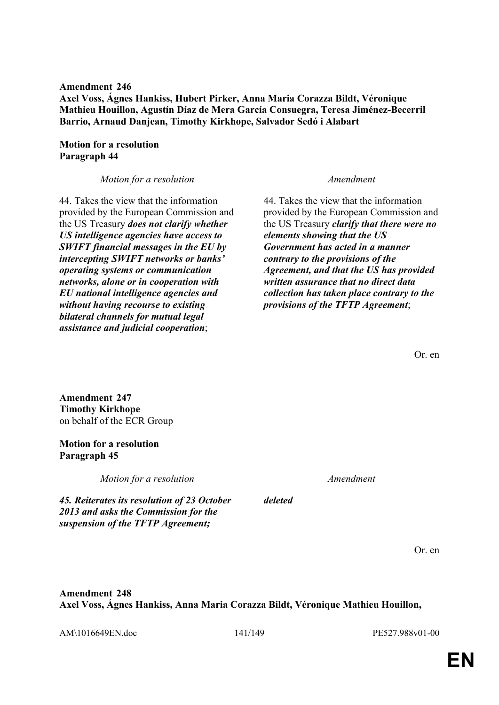**Amendment 246 Axel Voss, Ágnes Hankiss, Hubert Pirker, Anna Maria Corazza Bildt, Véronique Mathieu Houillon, Agustín Díaz de Mera García Consuegra, Teresa Jiménez-Becerril Barrio, Arnaud Danjean, Timothy Kirkhope, Salvador Sedó i Alabart**

# **Motion for a resolution Paragraph 44**

*Motion for a resolution Amendment*

44. Takes the view that the information provided by the European Commission and the US Treasury *does not clarify whether US intelligence agencies have access to SWIFT financial messages in the EU by intercepting SWIFT networks or banks' operating systems or communication networks, alone or in cooperation with EU national intelligence agencies and without having recourse to existing bilateral channels for mutual legal assistance and judicial cooperation*;

44. Takes the view that the information provided by the European Commission and the US Treasury *clarify that there were no elements showing that the US Government has acted in a manner contrary to the provisions of the Agreement, and that the US has provided written assurance that no direct data collection has taken place contrary to the provisions of the TFTP Agreement*;

Or. en

**Amendment 247 Timothy Kirkhope** on behalf of the ECR Group

# **Motion for a resolution Paragraph 45**

*Motion for a resolution Amendment*

*45. Reiterates its resolution of 23 October 2013 and asks the Commission for the suspension of the TFTP Agreement;*

*deleted*

Or. en

**Amendment 248 Axel Voss, Ágnes Hankiss, Anna Maria Corazza Bildt, Véronique Mathieu Houillon,** 

AM\1016649EN.doc 141/149 PE527.988v01-00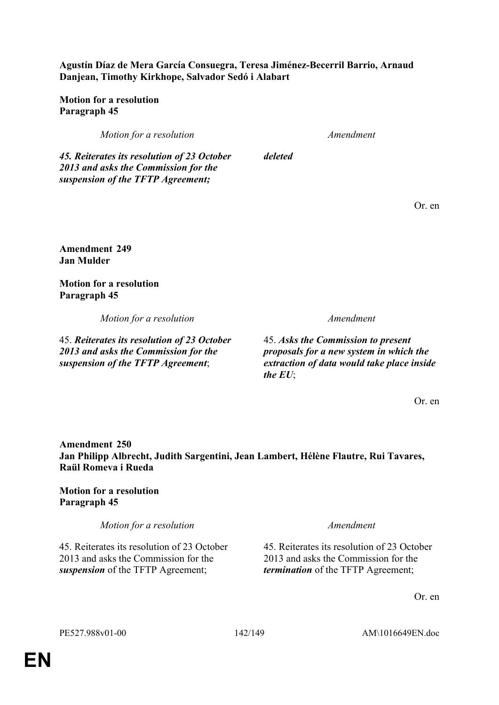**Raül Romeva i Rueda**

**Motion for a resolution Paragraph 45**

**Amendment 250**

*Motion for a resolution Amendment*

45. Reiterates its resolution of 23 October 2013 and asks the Commission for the *suspension* of the TFTP Agreement;

45. Reiterates its resolution of 23 October 2013 and asks the Commission for the *termination* of the TFTP Agreement;

Or. en

PE527.988v01-00 142/149 AM\1016649EN.doc

Or. en

Or. en

*2013 and asks the Commission for the suspension of the TFTP Agreement*;

45. *Asks the Commission to present proposals for a new system in which the extraction of data would take place inside the EU*;

**Amendment 249 Jan Mulder**

**Motion for a resolution Paragraph 45**

*Motion for a resolution Amendment*

45. *Reiterates its resolution of 23 October* 

**Agustín Díaz de Mera García Consuegra, Teresa Jiménez-Becerril Barrio, Arnaud Danjean, Timothy Kirkhope, Salvador Sedó i Alabart**

**Motion for a resolution Paragraph 45**

*Motion for a resolution Amendment*

*deleted*

**Jan Philipp Albrecht, Judith Sargentini, Jean Lambert, Hélène Flautre, Rui Tavares,** 

*45. Reiterates its resolution of 23 October 2013 and asks the Commission for the suspension of the TFTP Agreement;*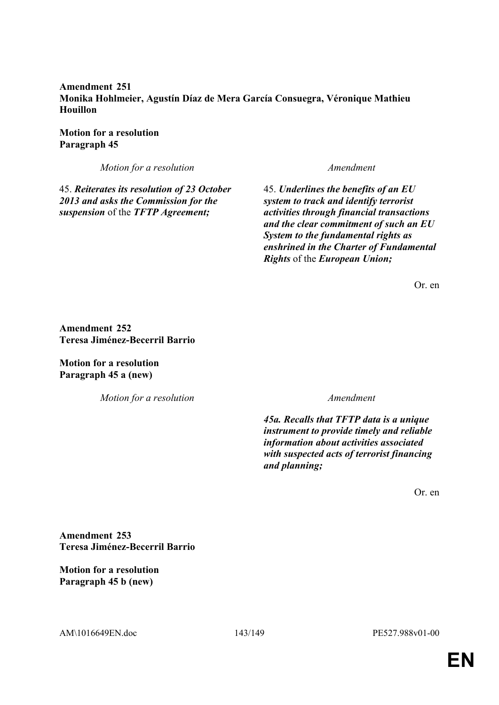**Amendment 251 Monika Hohlmeier, Agustín Díaz de Mera García Consuegra, Véronique Mathieu Houillon**

**Motion for a resolution Paragraph 45**

*Motion for a resolution Amendment*

45. *Reiterates its resolution of 23 October 2013 and asks the Commission for the suspension* of the *TFTP Agreement;*

45. *Underlines the benefits of an EU system to track and identify terrorist activities through financial transactions and the clear commitment of such an EU System to the fundamental rights as enshrined in the Charter of Fundamental Rights* of the *European Union;*

Or. en

**Amendment 252 Teresa Jiménez-Becerril Barrio**

**Motion for a resolution Paragraph 45 a (new)**

*Motion for a resolution Amendment*

*45a. Recalls that TFTP data is a unique instrument to provide timely and reliable information about activities associated with suspected acts of terrorist financing and planning;*

Or. en

**Amendment 253 Teresa Jiménez-Becerril Barrio**

**Motion for a resolution Paragraph 45 b (new)**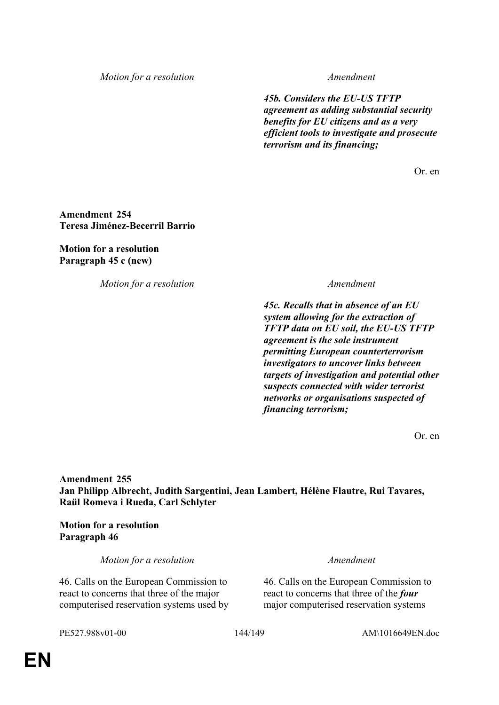*Motion for a resolution Amendment*

*45b. Considers the EU-US TFTP agreement as adding substantial security benefits for EU citizens and as a very efficient tools to investigate and prosecute terrorism and its financing;*

Or. en

**Amendment 254 Teresa Jiménez-Becerril Barrio**

**Motion for a resolution Paragraph 45 c (new)**

*Motion for a resolution Amendment*

*45c. Recalls that in absence of an EU system allowing for the extraction of TFTP data on EU soil, the EU-US TFTP agreement is the sole instrument permitting European counterterrorism investigators to uncover links between targets of investigation and potential other suspects connected with wider terrorist networks or organisations suspected of financing terrorism;*

Or. en

**Amendment 255 Jan Philipp Albrecht, Judith Sargentini, Jean Lambert, Hélène Flautre, Rui Tavares, Raül Romeva i Rueda, Carl Schlyter**

**Motion for a resolution Paragraph 46**

*Motion for a resolution Amendment*

46. Calls on the European Commission to react to concerns that three of the major computerised reservation systems used by

46. Calls on the European Commission to react to concerns that three of the *four* major computerised reservation systems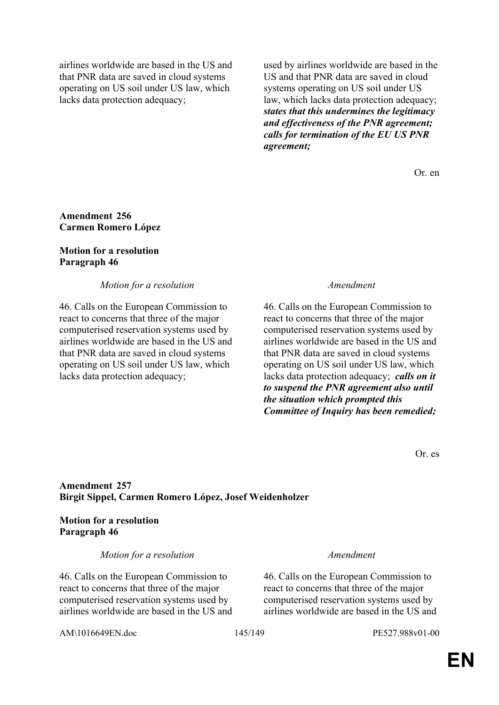airlines worldwide are based in the US and that PNR data are saved in cloud systems operating on US soil under US law, which lacks data protection adequacy;

used by airlines worldwide are based in the US and that PNR data are saved in cloud systems operating on US soil under US law, which lacks data protection adequacy; *states that this undermines the legitimacy and effectiveness of the PNR agreement; calls for termination of the EU US PNR agreement;*

Or. en

## **Amendment 256 Carmen Romero López**

## **Motion for a resolution Paragraph 46**

*Motion for a resolution Amendment*

46. Calls on the European Commission to react to concerns that three of the major computerised reservation systems used by airlines worldwide are based in the US and that PNR data are saved in cloud systems operating on US soil under US law, which lacks data protection adequacy;

46. Calls on the European Commission to react to concerns that three of the major computerised reservation systems used by airlines worldwide are based in the US and that PNR data are saved in cloud systems operating on US soil under US law, which lacks data protection adequacy; *calls on it to suspend the PNR agreement also until the situation which prompted this Committee of Inquiry has been remedied;*

Or. es

## **Amendment 257 Birgit Sippel, Carmen Romero López, Josef Weidenholzer**

**Motion for a resolution Paragraph 46**

*Motion for a resolution Amendment*

46. Calls on the European Commission to react to concerns that three of the major computerised reservation systems used by airlines worldwide are based in the US and

46. Calls on the European Commission to react to concerns that three of the major computerised reservation systems used by airlines worldwide are based in the US and

AM\1016649EN.doc 145/149 PE527.988v01-00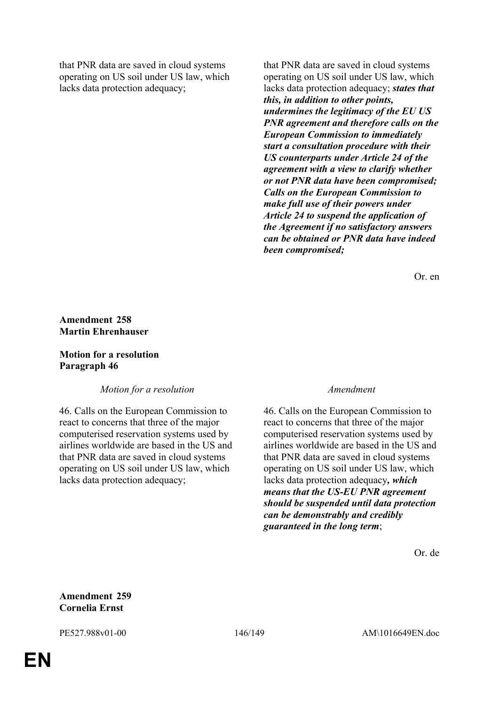that PNR data are saved in cloud systems operating on US soil under US law, which lacks data protection adequacy;

that PNR data are saved in cloud systems operating on US soil under US law, which lacks data protection adequacy; *states that this, in addition to other points, undermines the legitimacy of the EU US PNR agreement and therefore calls on the European Commission to immediately start a consultation procedure with their US counterparts under Article 24 of the agreement with a view to clarify whether or not PNR data have been compromised; Calls on the European Commission to make full use of their powers under Article 24 to suspend the application of the Agreement if no satisfactory answers can be obtained or PNR data have indeed been compromised;*

Or. en

## **Amendment 258 Martin Ehrenhauser**

## **Motion for a resolution Paragraph 46**

*Motion for a resolution Amendment*

46. Calls on the European Commission to react to concerns that three of the major computerised reservation systems used by airlines worldwide are based in the US and that PNR data are saved in cloud systems operating on US soil under US law, which lacks data protection adequacy;

46. Calls on the European Commission to react to concerns that three of the major computerised reservation systems used by airlines worldwide are based in the US and that PNR data are saved in cloud systems operating on US soil under US law, which lacks data protection adequacy*, which means that the US-EU PNR agreement should be suspended until data protection can be demonstrably and credibly guaranteed in the long term*;

Or. de

**Amendment 259 Cornelia Ernst**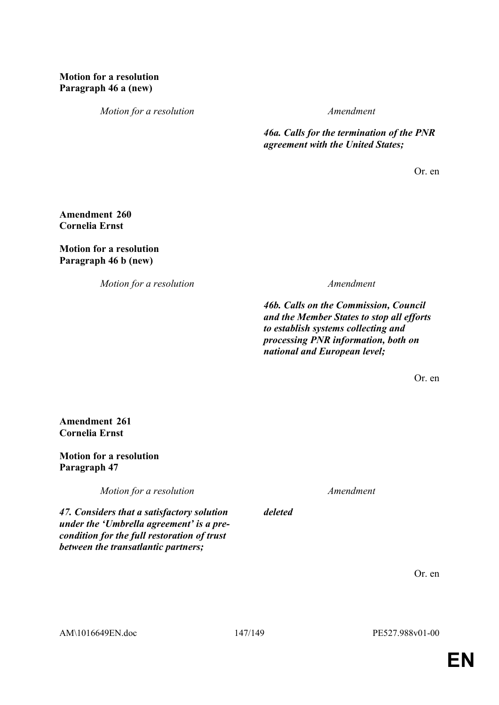# **Motion for a resolution Paragraph 46 a (new)**

*Motion for a resolution Amendment*

*46a. Calls for the termination of the PNR agreement with the United States;*

Or. en

**Amendment 260 Cornelia Ernst**

## **Motion for a resolution Paragraph 46 b (new)**

*Motion for a resolution Amendment*

*46b. Calls on the Commission, Council and the Member States to stop all efforts to establish systems collecting and processing PNR information, both on national and European level;*

Or. en

**Amendment 261 Cornelia Ernst**

## **Motion for a resolution Paragraph 47**

*Motion for a resolution Amendment*

*47. Considers that a satisfactory solution under the 'Umbrella agreement' is a precondition for the full restoration of trust between the transatlantic partners;*

Or. en

*deleted*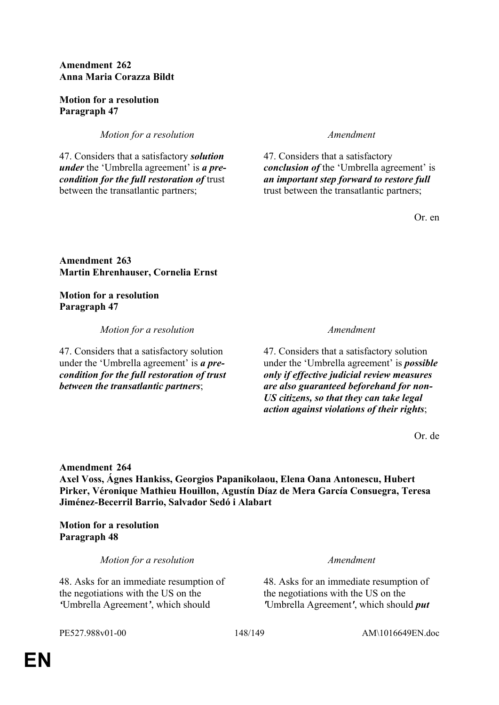# **Amendment 262 Anna Maria Corazza Bildt**

## **Motion for a resolution Paragraph 47**

*Motion for a resolution Amendment* 

47. Considers that a satisfactory *solution under* the 'Umbrella agreement' is *a precondition for the full restoration of* trust between the transatlantic partners;

47. Considers that a satisfactory *conclusion of* the 'Umbrella agreement' is *an important step forward to restore full*  trust between the transatlantic partners;

Or. en

**Amendment 263 Martin Ehrenhauser, Cornelia Ernst**

# **Motion for a resolution Paragraph 47**

*Motion for a resolution Amendment*

47. Considers that a satisfactory solution under the 'Umbrella agreement' is *a precondition for the full restoration of trust between the transatlantic partners*;

47. Considers that a satisfactory solution under the 'Umbrella agreement' is *possible only if effective judicial review measures are also guaranteed beforehand for non-US citizens, so that they can take legal action against violations of their rights*;

Or. de

# **Amendment 264**

**Axel Voss, Ágnes Hankiss, Georgios Papanikolaou, Elena Oana Antonescu, Hubert Pirker, Véronique Mathieu Houillon, Agustín Díaz de Mera García Consuegra, Teresa Jiménez-Becerril Barrio, Salvador Sedó i Alabart**

**Motion for a resolution Paragraph 48**

*Motion for a resolution Amendment*

48. Asks for an immediate resumption of the negotiations with the US on the *'*Umbrella Agreement*'*, which should

48. Asks for an immediate resumption of the negotiations with the US on the *'*Umbrella Agreement*'*, which should *put*